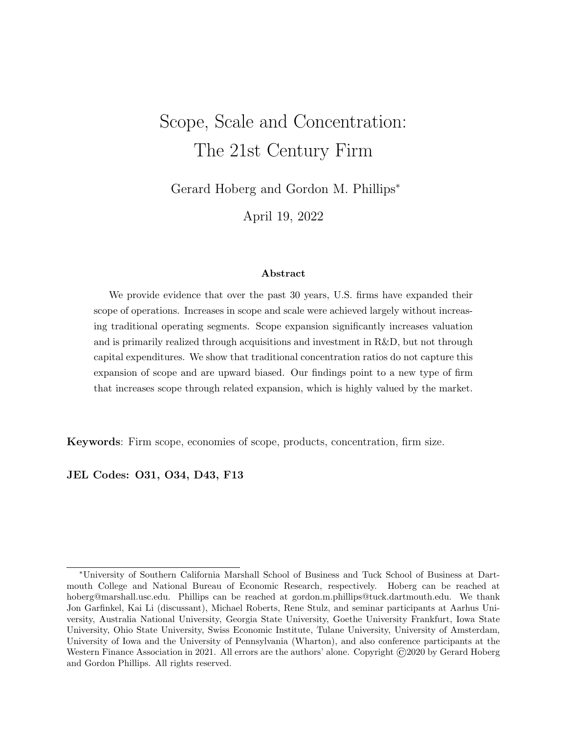# Scope, Scale and Concentration: The 21st Century Firm

Gerard Hoberg and Gordon M. Phillips<sup>∗</sup>

April 19, 2022

#### Abstract

We provide evidence that over the past 30 years, U.S. firms have expanded their scope of operations. Increases in scope and scale were achieved largely without increasing traditional operating segments. Scope expansion significantly increases valuation and is primarily realized through acquisitions and investment in R&D, but not through capital expenditures. We show that traditional concentration ratios do not capture this expansion of scope and are upward biased. Our findings point to a new type of firm that increases scope through related expansion, which is highly valued by the market.

Keywords: Firm scope, economies of scope, products, concentration, firm size.

JEL Codes: O31, O34, D43, F13

<sup>∗</sup>University of Southern California Marshall School of Business and Tuck School of Business at Dartmouth College and National Bureau of Economic Research, respectively. Hoberg can be reached at hoberg@marshall.usc.edu. Phillips can be reached at gordon.m.phillips@tuck.dartmouth.edu. We thank Jon Garfinkel, Kai Li (discussant), Michael Roberts, Rene Stulz, and seminar participants at Aarhus University, Australia National University, Georgia State University, Goethe University Frankfurt, Iowa State University, Ohio State University, Swiss Economic Institute, Tulane University, University of Amsterdam, University of Iowa and the University of Pennsylvania (Wharton), and also conference participants at the Western Finance Association in 2021. All errors are the authors' alone. Copyright  $\odot$ 2020 by Gerard Hoberg and Gordon Phillips. All rights reserved.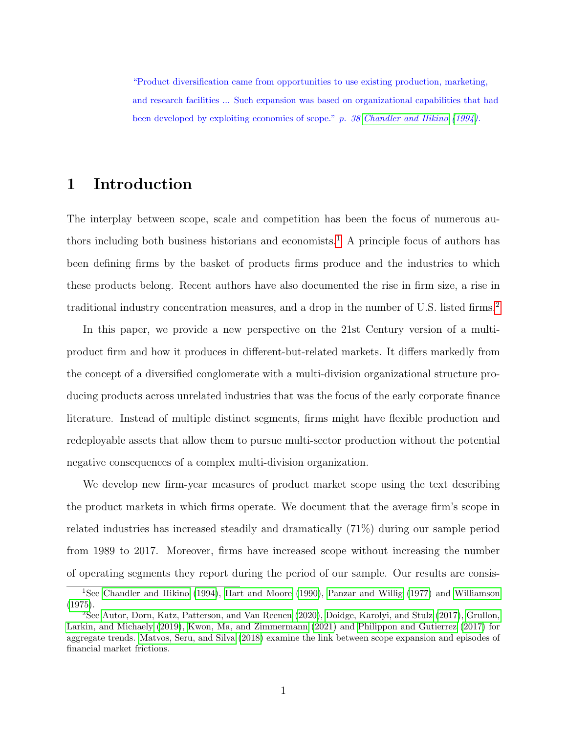"Product diversification came from opportunities to use existing production, marketing, and research facilities ... Such expansion was based on organizational capabilities that had been developed by exploiting economies of scope." p. 38 [Chandler and Hikino](#page-36-0) [\(1994\)](#page-36-0).

# 1 Introduction

The interplay between scope, scale and competition has been the focus of numerous au-thors including both business historians and economists.<sup>[1](#page-1-0)</sup> A principle focus of authors has been defining firms by the basket of products firms produce and the industries to which these products belong. Recent authors have also documented the rise in firm size, a rise in traditional industry concentration measures, and a drop in the number of U.S. listed firms.[2](#page-1-1)

In this paper, we provide a new perspective on the 21st Century version of a multiproduct firm and how it produces in different-but-related markets. It differs markedly from the concept of a diversified conglomerate with a multi-division organizational structure producing products across unrelated industries that was the focus of the early corporate finance literature. Instead of multiple distinct segments, firms might have flexible production and redeployable assets that allow them to pursue multi-sector production without the potential negative consequences of a complex multi-division organization.

We develop new firm-year measures of product market scope using the text describing the product markets in which firms operate. We document that the average firm's scope in related industries has increased steadily and dramatically (71%) during our sample period from 1989 to 2017. Moreover, firms have increased scope without increasing the number of operating segments they report during the period of our sample. Our results are consis-

<span id="page-1-0"></span><sup>&</sup>lt;sup>1</sup>See [Chandler and Hikino](#page-36-0) [\(1994\)](#page-36-0), [Hart and Moore](#page-36-1) [\(1990\)](#page-36-1), [Panzar and Willig](#page-37-0) [\(1977\)](#page-37-0) and [Williamson](#page-37-1) [\(1975\)](#page-37-1).

<span id="page-1-1"></span><sup>2</sup>See [Autor, Dorn, Katz, Patterson, and Van Reenen](#page-36-2) [\(2020\)](#page-36-2), [Doidge, Karolyi, and Stulz](#page-36-3) [\(2017\)](#page-36-3), [Grullon,](#page-36-4) [Larkin, and Michaely](#page-36-4) [\(2019\)](#page-36-4), [Kwon, Ma, and Zimmermann](#page-37-2) [\(2021\)](#page-37-2) and [Philippon and Gutierrez](#page-37-3) [\(2017\)](#page-37-3) for aggregate trends. [Matvos, Seru, and Silva](#page-37-4) [\(2018\)](#page-37-4) examine the link between scope expansion and episodes of financial market frictions.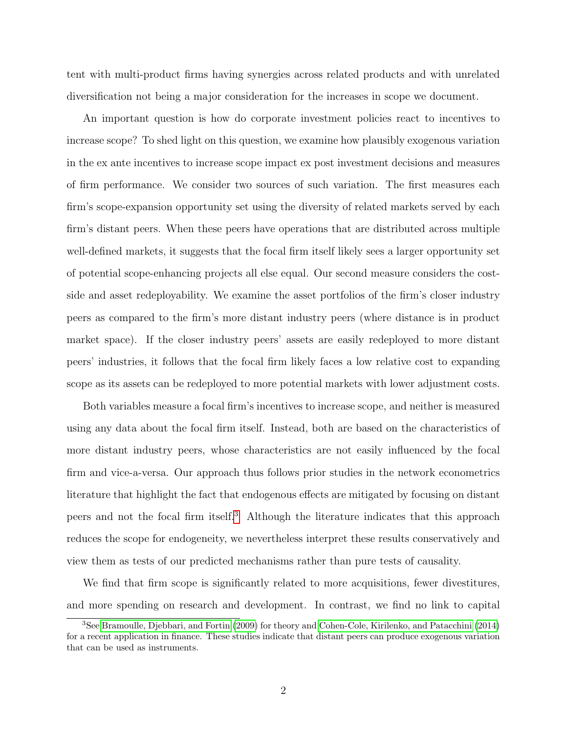tent with multi-product firms having synergies across related products and with unrelated diversification not being a major consideration for the increases in scope we document.

An important question is how do corporate investment policies react to incentives to increase scope? To shed light on this question, we examine how plausibly exogenous variation in the ex ante incentives to increase scope impact ex post investment decisions and measures of firm performance. We consider two sources of such variation. The first measures each firm's scope-expansion opportunity set using the diversity of related markets served by each firm's distant peers. When these peers have operations that are distributed across multiple well-defined markets, it suggests that the focal firm itself likely sees a larger opportunity set of potential scope-enhancing projects all else equal. Our second measure considers the costside and asset redeployability. We examine the asset portfolios of the firm's closer industry peers as compared to the firm's more distant industry peers (where distance is in product market space). If the closer industry peers' assets are easily redeployed to more distant peers' industries, it follows that the focal firm likely faces a low relative cost to expanding scope as its assets can be redeployed to more potential markets with lower adjustment costs.

Both variables measure a focal firm's incentives to increase scope, and neither is measured using any data about the focal firm itself. Instead, both are based on the characteristics of more distant industry peers, whose characteristics are not easily influenced by the focal firm and vice-a-versa. Our approach thus follows prior studies in the network econometrics literature that highlight the fact that endogenous effects are mitigated by focusing on distant peers and not the focal firm itself.[3](#page-2-0) Although the literature indicates that this approach reduces the scope for endogeneity, we nevertheless interpret these results conservatively and view them as tests of our predicted mechanisms rather than pure tests of causality.

We find that firm scope is significantly related to more acquisitions, fewer divestitures, and more spending on research and development. In contrast, we find no link to capital

<span id="page-2-0"></span><sup>3</sup>See [Bramoulle, Djebbari, and Fortin](#page-36-5) [\(2009\)](#page-36-5) for theory and [Cohen-Cole, Kirilenko, and Patacchini](#page-36-6) [\(2014\)](#page-36-6) for a recent application in finance. These studies indicate that distant peers can produce exogenous variation that can be used as instruments.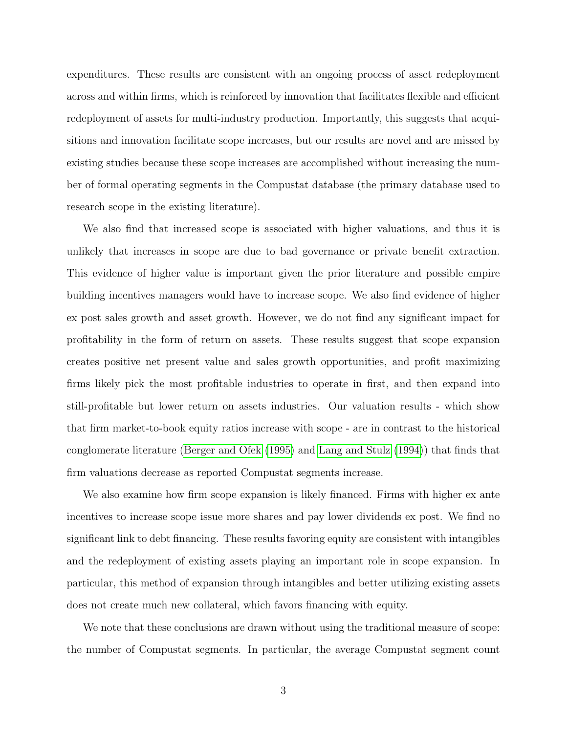expenditures. These results are consistent with an ongoing process of asset redeployment across and within firms, which is reinforced by innovation that facilitates flexible and efficient redeployment of assets for multi-industry production. Importantly, this suggests that acquisitions and innovation facilitate scope increases, but our results are novel and are missed by existing studies because these scope increases are accomplished without increasing the number of formal operating segments in the Compustat database (the primary database used to research scope in the existing literature).

We also find that increased scope is associated with higher valuations, and thus it is unlikely that increases in scope are due to bad governance or private benefit extraction. This evidence of higher value is important given the prior literature and possible empire building incentives managers would have to increase scope. We also find evidence of higher ex post sales growth and asset growth. However, we do not find any significant impact for profitability in the form of return on assets. These results suggest that scope expansion creates positive net present value and sales growth opportunities, and profit maximizing firms likely pick the most profitable industries to operate in first, and then expand into still-profitable but lower return on assets industries. Our valuation results - which show that firm market-to-book equity ratios increase with scope - are in contrast to the historical conglomerate literature [\(Berger and Ofek](#page-36-7) [\(1995\)](#page-36-7) and [Lang and Stulz](#page-37-5) [\(1994\)](#page-37-5)) that finds that firm valuations decrease as reported Compustat segments increase.

We also examine how firm scope expansion is likely financed. Firms with higher ex ante incentives to increase scope issue more shares and pay lower dividends ex post. We find no significant link to debt financing. These results favoring equity are consistent with intangibles and the redeployment of existing assets playing an important role in scope expansion. In particular, this method of expansion through intangibles and better utilizing existing assets does not create much new collateral, which favors financing with equity.

We note that these conclusions are drawn without using the traditional measure of scope: the number of Compustat segments. In particular, the average Compustat segment count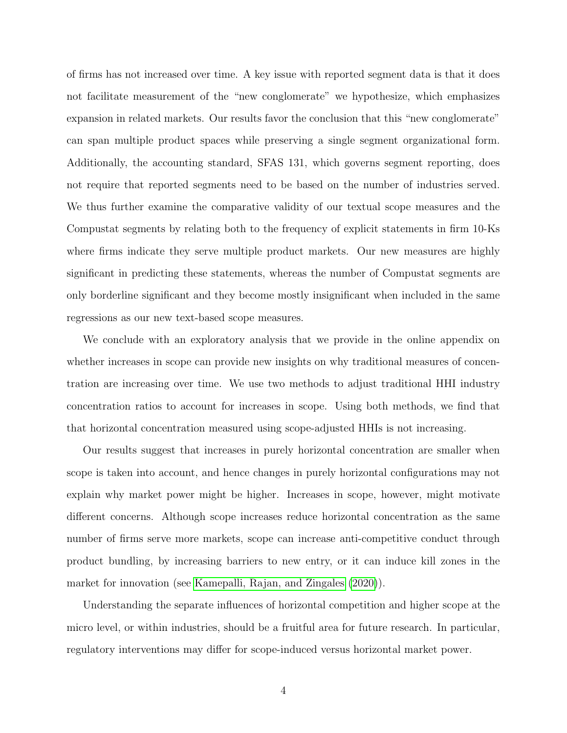of firms has not increased over time. A key issue with reported segment data is that it does not facilitate measurement of the "new conglomerate" we hypothesize, which emphasizes expansion in related markets. Our results favor the conclusion that this "new conglomerate" can span multiple product spaces while preserving a single segment organizational form. Additionally, the accounting standard, SFAS 131, which governs segment reporting, does not require that reported segments need to be based on the number of industries served. We thus further examine the comparative validity of our textual scope measures and the Compustat segments by relating both to the frequency of explicit statements in firm 10-Ks where firms indicate they serve multiple product markets. Our new measures are highly significant in predicting these statements, whereas the number of Compustat segments are only borderline significant and they become mostly insignificant when included in the same regressions as our new text-based scope measures.

We conclude with an exploratory analysis that we provide in the online appendix on whether increases in scope can provide new insights on why traditional measures of concentration are increasing over time. We use two methods to adjust traditional HHI industry concentration ratios to account for increases in scope. Using both methods, we find that that horizontal concentration measured using scope-adjusted HHIs is not increasing.

Our results suggest that increases in purely horizontal concentration are smaller when scope is taken into account, and hence changes in purely horizontal configurations may not explain why market power might be higher. Increases in scope, however, might motivate different concerns. Although scope increases reduce horizontal concentration as the same number of firms serve more markets, scope can increase anti-competitive conduct through product bundling, by increasing barriers to new entry, or it can induce kill zones in the market for innovation (see [Kamepalli, Rajan, and Zingales](#page-37-6) [\(2020\)](#page-37-6)).

Understanding the separate influences of horizontal competition and higher scope at the micro level, or within industries, should be a fruitful area for future research. In particular, regulatory interventions may differ for scope-induced versus horizontal market power.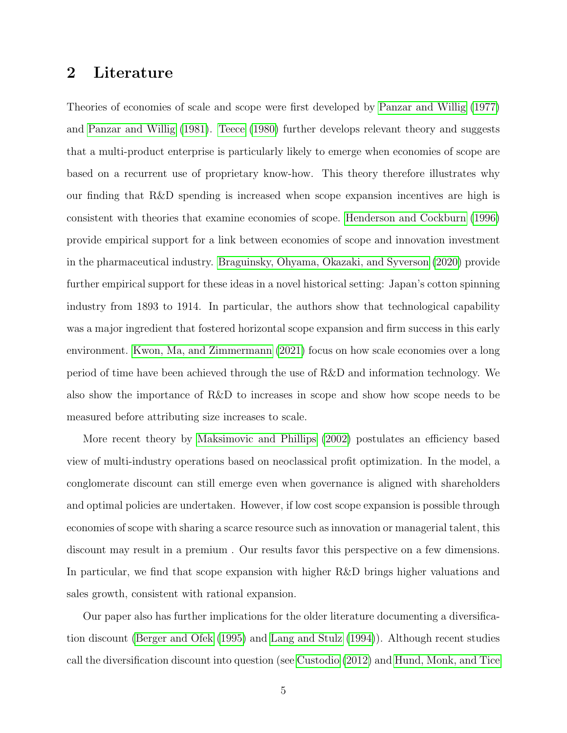# 2 Literature

Theories of economies of scale and scope were first developed by [Panzar and Willig](#page-37-0) [\(1977\)](#page-37-0) and [Panzar and Willig](#page-37-7) [\(1981\)](#page-37-7). [Teece](#page-37-8) [\(1980\)](#page-37-8) further develops relevant theory and suggests that a multi-product enterprise is particularly likely to emerge when economies of scope are based on a recurrent use of proprietary know-how. This theory therefore illustrates why our finding that R&D spending is increased when scope expansion incentives are high is consistent with theories that examine economies of scope. [Henderson and Cockburn](#page-36-8) [\(1996\)](#page-36-8) provide empirical support for a link between economies of scope and innovation investment in the pharmaceutical industry. [Braguinsky, Ohyama, Okazaki, and Syverson](#page-36-9) [\(2020\)](#page-36-9) provide further empirical support for these ideas in a novel historical setting: Japan's cotton spinning industry from 1893 to 1914. In particular, the authors show that technological capability was a major ingredient that fostered horizontal scope expansion and firm success in this early environment. [Kwon, Ma, and Zimmermann](#page-37-2) [\(2021\)](#page-37-2) focus on how scale economies over a long period of time have been achieved through the use of R&D and information technology. We also show the importance of R&D to increases in scope and show how scope needs to be measured before attributing size increases to scale.

More recent theory by [Maksimovic and Phillips](#page-37-9) [\(2002\)](#page-37-9) postulates an efficiency based view of multi-industry operations based on neoclassical profit optimization. In the model, a conglomerate discount can still emerge even when governance is aligned with shareholders and optimal policies are undertaken. However, if low cost scope expansion is possible through economies of scope with sharing a scarce resource such as innovation or managerial talent, this discount may result in a premium . Our results favor this perspective on a few dimensions. In particular, we find that scope expansion with higher R&D brings higher valuations and sales growth, consistent with rational expansion.

Our paper also has further implications for the older literature documenting a diversification discount [\(Berger and Ofek](#page-36-7) [\(1995\)](#page-36-7) and [Lang and Stulz](#page-37-5) [\(1994\)](#page-37-5)). Although recent studies call the diversification discount into question (see [Custodio](#page-36-10) [\(2012\)](#page-36-10) and [Hund, Monk, and Tice](#page-37-10)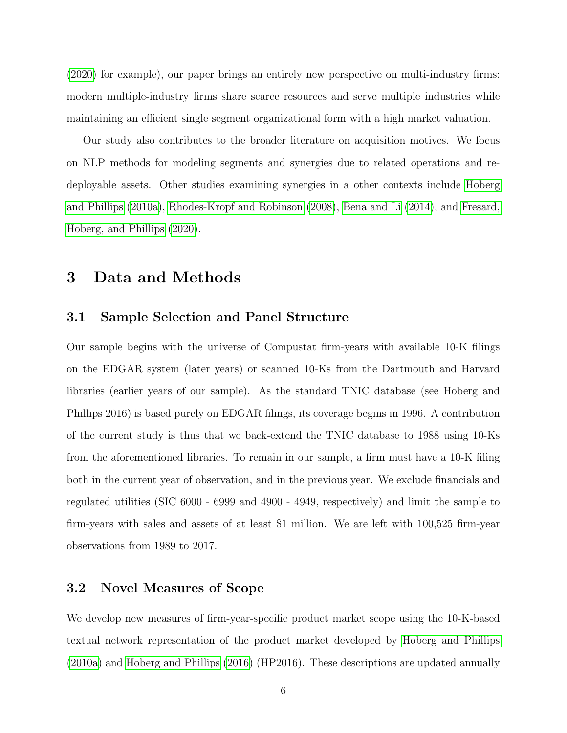[\(2020\)](#page-37-10) for example), our paper brings an entirely new perspective on multi-industry firms: modern multiple-industry firms share scarce resources and serve multiple industries while maintaining an efficient single segment organizational form with a high market valuation.

Our study also contributes to the broader literature on acquisition motives. We focus on NLP methods for modeling segments and synergies due to related operations and redeployable assets. Other studies examining synergies in a other contexts include [Hoberg](#page-36-11) [and Phillips](#page-36-11) [\(2010a\)](#page-36-11), [Rhodes-Kropf and Robinson](#page-37-11) [\(2008\)](#page-37-11), [Bena and Li](#page-36-12) [\(2014\)](#page-36-12), and [Fresard,](#page-36-13) [Hoberg, and Phillips](#page-36-13) [\(2020\)](#page-36-13).

# <span id="page-6-0"></span>3 Data and Methods

# 3.1 Sample Selection and Panel Structure

Our sample begins with the universe of Compustat firm-years with available 10-K filings on the EDGAR system (later years) or scanned 10-Ks from the Dartmouth and Harvard libraries (earlier years of our sample). As the standard TNIC database (see Hoberg and Phillips 2016) is based purely on EDGAR filings, its coverage begins in 1996. A contribution of the current study is thus that we back-extend the TNIC database to 1988 using 10-Ks from the aforementioned libraries. To remain in our sample, a firm must have a 10-K filing both in the current year of observation, and in the previous year. We exclude financials and regulated utilities (SIC 6000 - 6999 and 4900 - 4949, respectively) and limit the sample to firm-years with sales and assets of at least \$1 million. We are left with 100,525 firm-year observations from 1989 to 2017.

# 3.2 Novel Measures of Scope

We develop new measures of firm-year-specific product market scope using the 10-K-based textual network representation of the product market developed by [Hoberg and Phillips](#page-36-11) [\(2010a\)](#page-36-11) and [Hoberg and Phillips](#page-37-12) [\(2016\)](#page-37-12) (HP2016). These descriptions are updated annually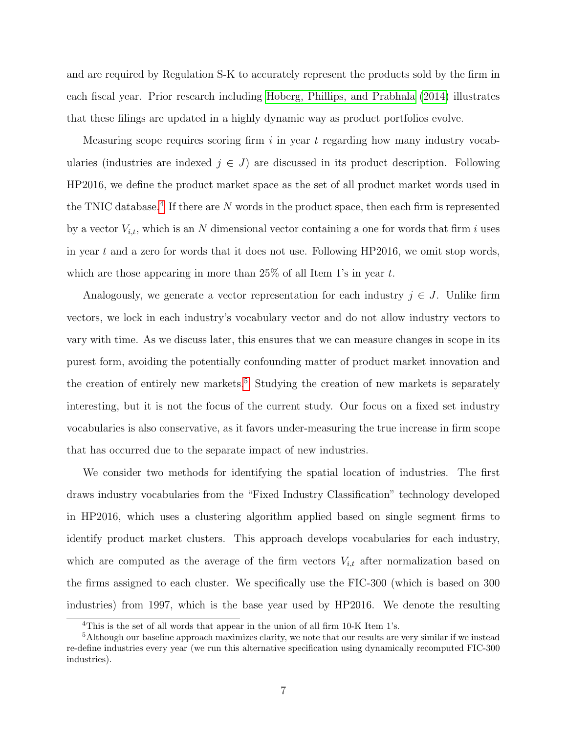and are required by Regulation S-K to accurately represent the products sold by the firm in each fiscal year. Prior research including [Hoberg, Phillips, and Prabhala](#page-37-13) [\(2014\)](#page-37-13) illustrates that these filings are updated in a highly dynamic way as product portfolios evolve.

Measuring scope requires scoring firm  $i$  in year  $t$  regarding how many industry vocabularies (industries are indexed  $j \in J$ ) are discussed in its product description. Following HP2016, we define the product market space as the set of all product market words used in the TNIC database.<sup>[4](#page-7-0)</sup> If there are  $N$  words in the product space, then each firm is represented by a vector  $V_{i,t}$ , which is an N dimensional vector containing a one for words that firm i uses in year t and a zero for words that it does not use. Following HP2016, we omit stop words, which are those appearing in more than  $25\%$  of all Item 1's in year t.

Analogously, we generate a vector representation for each industry  $j \in J$ . Unlike firm vectors, we lock in each industry's vocabulary vector and do not allow industry vectors to vary with time. As we discuss later, this ensures that we can measure changes in scope in its purest form, avoiding the potentially confounding matter of product market innovation and the creation of entirely new markets.<sup>[5](#page-7-1)</sup> Studying the creation of new markets is separately interesting, but it is not the focus of the current study. Our focus on a fixed set industry vocabularies is also conservative, as it favors under-measuring the true increase in firm scope that has occurred due to the separate impact of new industries.

We consider two methods for identifying the spatial location of industries. The first draws industry vocabularies from the "Fixed Industry Classification" technology developed in HP2016, which uses a clustering algorithm applied based on single segment firms to identify product market clusters. This approach develops vocabularies for each industry, which are computed as the average of the firm vectors  $V_{i,t}$  after normalization based on the firms assigned to each cluster. We specifically use the FIC-300 (which is based on 300 industries) from 1997, which is the base year used by HP2016. We denote the resulting

<span id="page-7-1"></span><span id="page-7-0"></span> $4$ This is the set of all words that appear in the union of all firm 10-K Item 1's.

<sup>5</sup>Although our baseline approach maximizes clarity, we note that our results are very similar if we instead re-define industries every year (we run this alternative specification using dynamically recomputed FIC-300 industries).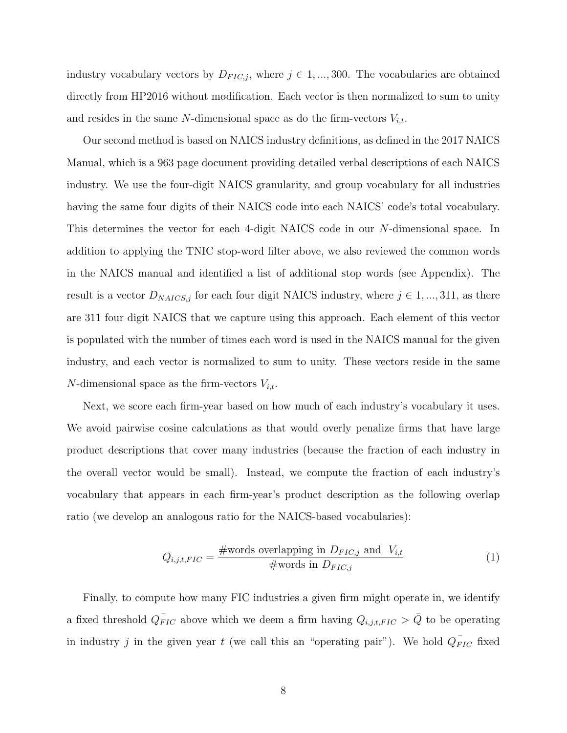industry vocabulary vectors by  $D_{FIC,j}$ , where  $j \in 1, ..., 300$ . The vocabularies are obtained directly from HP2016 without modification. Each vector is then normalized to sum to unity and resides in the same N-dimensional space as do the firm-vectors  $V_{i,t}$ .

Our second method is based on NAICS industry definitions, as defined in the 2017 NAICS Manual, which is a 963 page document providing detailed verbal descriptions of each NAICS industry. We use the four-digit NAICS granularity, and group vocabulary for all industries having the same four digits of their NAICS code into each NAICS' code's total vocabulary. This determines the vector for each 4-digit NAICS code in our N-dimensional space. In addition to applying the TNIC stop-word filter above, we also reviewed the common words in the NAICS manual and identified a list of additional stop words (see Appendix). The result is a vector  $D_{NAICS,j}$  for each four digit NAICS industry, where  $j \in 1, ..., 311$ , as there are 311 four digit NAICS that we capture using this approach. Each element of this vector is populated with the number of times each word is used in the NAICS manual for the given industry, and each vector is normalized to sum to unity. These vectors reside in the same N-dimensional space as the firm-vectors  $V_{i,t}$ .

Next, we score each firm-year based on how much of each industry's vocabulary it uses. We avoid pairwise cosine calculations as that would overly penalize firms that have large product descriptions that cover many industries (because the fraction of each industry in the overall vector would be small). Instead, we compute the fraction of each industry's vocabulary that appears in each firm-year's product description as the following overlap ratio (we develop an analogous ratio for the NAICS-based vocabularies):

$$
Q_{i,j,t,FIC} = \frac{\text{#words overlapping in } D_{FIC,j} \text{ and } V_{i,t}}{\text{#words in } D_{FIC,j}}
$$
(1)

Finally, to compute how many FIC industries a given firm might operate in, we identify a fixed threshold  $\overline{Q_{FIC}}$  above which we deem a firm having  $Q_{i,j,t,FIC} > \overline{Q}$  to be operating in industry j in the given year t (we call this an "operating pair"). We hold  $Q_{FIC}^{\dagger}$  fixed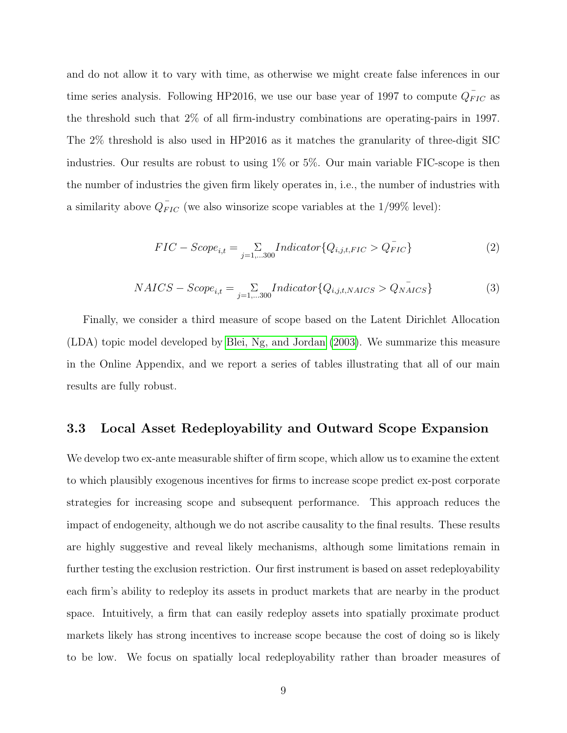and do not allow it to vary with time, as otherwise we might create false inferences in our time series analysis. Following HP2016, we use our base year of 1997 to compute  $Q_{FIC}^-$  as the threshold such that 2% of all firm-industry combinations are operating-pairs in 1997. The 2% threshold is also used in HP2016 as it matches the granularity of three-digit SIC industries. Our results are robust to using 1% or 5%. Our main variable FIC-scope is then the number of industries the given firm likely operates in, i.e., the number of industries with a similarity above  $Q_{FIC}^{\dagger}$  (we also winsorize scope variables at the 1/99% level):

$$
FIC - Score_{i,t} = \sum_{j=1,...300} Indicator \{Q_{i,j,t,FIC} > Q_{FIC}^{-}\}
$$
 (2)

$$
NAICS - Score_{i,t} = \sum_{j=1,...300} Indicator \{Q_{i,j,t,NAICS} > Q_{NAICS}\}
$$
 (3)

Finally, we consider a third measure of scope based on the Latent Dirichlet Allocation (LDA) topic model developed by [Blei, Ng, and Jordan](#page-36-14) [\(2003\)](#page-36-14). We summarize this measure in the Online Appendix, and we report a series of tables illustrating that all of our main results are fully robust.

### <span id="page-9-0"></span>3.3 Local Asset Redeployability and Outward Scope Expansion

We develop two ex-ante measurable shifter of firm scope, which allow us to examine the extent to which plausibly exogenous incentives for firms to increase scope predict ex-post corporate strategies for increasing scope and subsequent performance. This approach reduces the impact of endogeneity, although we do not ascribe causality to the final results. These results are highly suggestive and reveal likely mechanisms, although some limitations remain in further testing the exclusion restriction. Our first instrument is based on asset redeployability each firm's ability to redeploy its assets in product markets that are nearby in the product space. Intuitively, a firm that can easily redeploy assets into spatially proximate product markets likely has strong incentives to increase scope because the cost of doing so is likely to be low. We focus on spatially local redeployability rather than broader measures of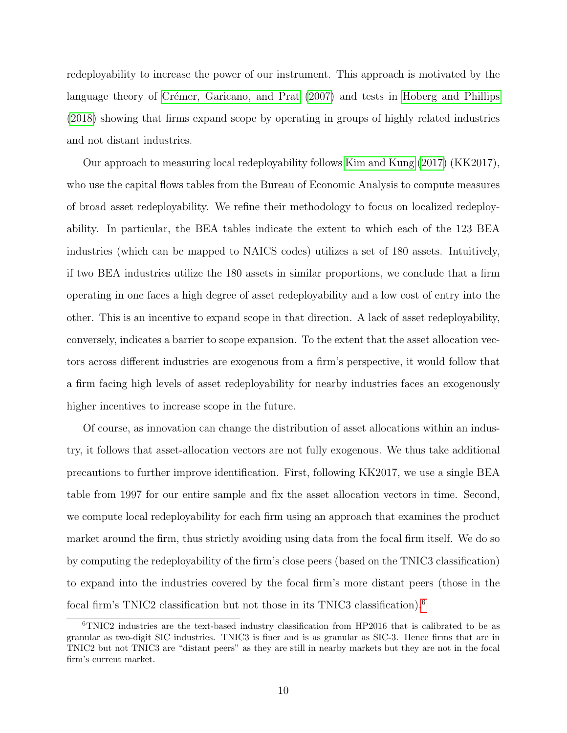redeployability to increase the power of our instrument. This approach is motivated by the language theory of Crémer, Garicano, and Prat [\(2007\)](#page-36-15) and tests in [Hoberg and Phillips](#page-37-14) [\(2018\)](#page-37-14) showing that firms expand scope by operating in groups of highly related industries and not distant industries.

Our approach to measuring local redeployability follows [Kim and Kung](#page-37-15) [\(2017\)](#page-37-15) (KK2017), who use the capital flows tables from the Bureau of Economic Analysis to compute measures of broad asset redeployability. We refine their methodology to focus on localized redeployability. In particular, the BEA tables indicate the extent to which each of the 123 BEA industries (which can be mapped to NAICS codes) utilizes a set of 180 assets. Intuitively, if two BEA industries utilize the 180 assets in similar proportions, we conclude that a firm operating in one faces a high degree of asset redeployability and a low cost of entry into the other. This is an incentive to expand scope in that direction. A lack of asset redeployability, conversely, indicates a barrier to scope expansion. To the extent that the asset allocation vectors across different industries are exogenous from a firm's perspective, it would follow that a firm facing high levels of asset redeployability for nearby industries faces an exogenously higher incentives to increase scope in the future.

Of course, as innovation can change the distribution of asset allocations within an industry, it follows that asset-allocation vectors are not fully exogenous. We thus take additional precautions to further improve identification. First, following KK2017, we use a single BEA table from 1997 for our entire sample and fix the asset allocation vectors in time. Second, we compute local redeployability for each firm using an approach that examines the product market around the firm, thus strictly avoiding using data from the focal firm itself. We do so by computing the redeployability of the firm's close peers (based on the TNIC3 classification) to expand into the industries covered by the focal firm's more distant peers (those in the focal firm's TNIC2 classification but not those in its TNIC3 classification).[6](#page-10-0)

<span id="page-10-0"></span><sup>6</sup>TNIC2 industries are the text-based industry classification from HP2016 that is calibrated to be as granular as two-digit SIC industries. TNIC3 is finer and is as granular as SIC-3. Hence firms that are in TNIC2 but not TNIC3 are "distant peers" as they are still in nearby markets but they are not in the focal firm's current market.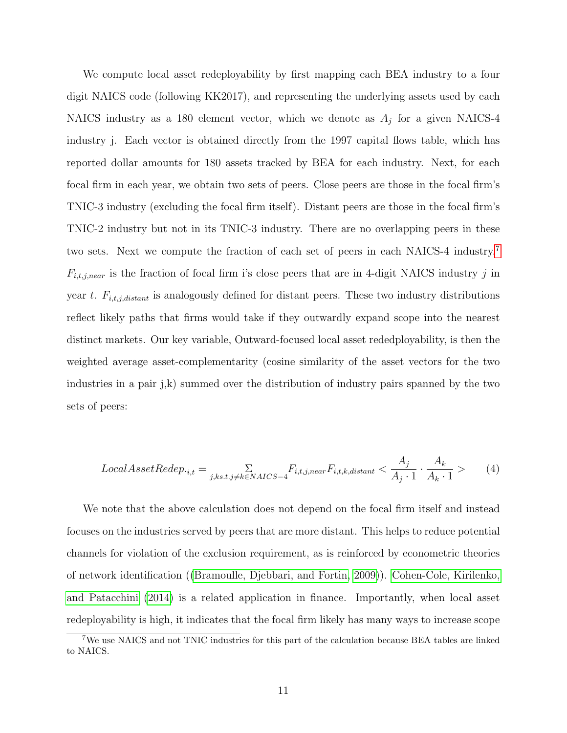We compute local asset redeployability by first mapping each BEA industry to a four digit NAICS code (following KK2017), and representing the underlying assets used by each NAICS industry as a 180 element vector, which we denote as  $A_j$  for a given NAICS-4 industry j. Each vector is obtained directly from the 1997 capital flows table, which has reported dollar amounts for 180 assets tracked by BEA for each industry. Next, for each focal firm in each year, we obtain two sets of peers. Close peers are those in the focal firm's TNIC-3 industry (excluding the focal firm itself). Distant peers are those in the focal firm's TNIC-2 industry but not in its TNIC-3 industry. There are no overlapping peers in these two sets. Next we compute the fraction of each set of peers in each NAICS-4 industry.[7](#page-11-0)  $F_{i,t,j,near}$  is the fraction of focal firm i's close peers that are in 4-digit NAICS industry j in year t.  $F_{i,t,j,distant}$  is analogously defined for distant peers. These two industry distributions reflect likely paths that firms would take if they outwardly expand scope into the nearest distinct markets. Our key variable, Outward-focused local asset rededployability, is then the weighted average asset-complementarity (cosine similarity of the asset vectors for the two industries in a pair j,k) summed over the distribution of industry pairs spanned by the two sets of peers:

$$
Local AssetRedep.i,t = \sum_{j,ks.t. j \neq k \in NACS - 4} F_{i,t,j,near} F_{i,t,k,distant} < \frac{A_j}{A_j \cdot 1} \cdot \frac{A_k}{A_k \cdot 1} > \tag{4}
$$

We note that the above calculation does not depend on the focal firm itself and instead focuses on the industries served by peers that are more distant. This helps to reduce potential channels for violation of the exclusion requirement, as is reinforced by econometric theories of network identification ([\(Bramoulle, Djebbari, and Fortin, 2009\)](#page-36-5)). [Cohen-Cole, Kirilenko,](#page-36-6) [and Patacchini](#page-36-6) [\(2014\)](#page-36-6) is a related application in finance. Importantly, when local asset redeployability is high, it indicates that the focal firm likely has many ways to increase scope

<span id="page-11-0"></span><sup>7</sup>We use NAICS and not TNIC industries for this part of the calculation because BEA tables are linked to NAICS.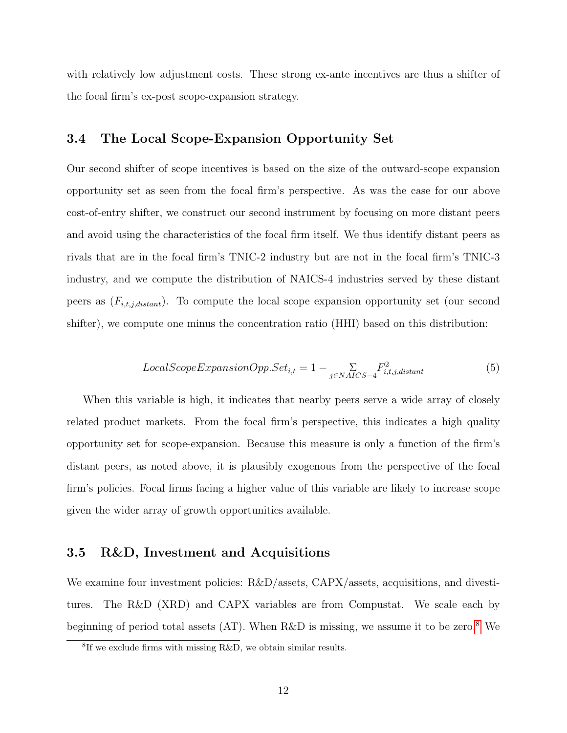with relatively low adjustment costs. These strong ex-ante incentives are thus a shifter of the focal firm's ex-post scope-expansion strategy.

# 3.4 The Local Scope-Expansion Opportunity Set

Our second shifter of scope incentives is based on the size of the outward-scope expansion opportunity set as seen from the focal firm's perspective. As was the case for our above cost-of-entry shifter, we construct our second instrument by focusing on more distant peers and avoid using the characteristics of the focal firm itself. We thus identify distant peers as rivals that are in the focal firm's TNIC-2 industry but are not in the focal firm's TNIC-3 industry, and we compute the distribution of NAICS-4 industries served by these distant peers as  $(F_{i,t,j,distant})$ . To compute the local scope expansion opportunity set (our second shifter), we compute one minus the concentration ratio (HHI) based on this distribution:

$$
LocalScopeExpansionOpp. Set_{i,t} = 1 - \sum_{j \in NALCS-4} F_{i,t,j,distant}^2 \tag{5}
$$

When this variable is high, it indicates that nearby peers serve a wide array of closely related product markets. From the focal firm's perspective, this indicates a high quality opportunity set for scope-expansion. Because this measure is only a function of the firm's distant peers, as noted above, it is plausibly exogenous from the perspective of the focal firm's policies. Focal firms facing a higher value of this variable are likely to increase scope given the wider array of growth opportunities available.

### 3.5 R&D, Investment and Acquisitions

We examine four investment policies: R&D/assets, CAPX/assets, acquisitions, and divestitures. The R&D (XRD) and CAPX variables are from Compustat. We scale each by beginning of period total assets  $(AT)$ . When R&D is missing, we assume it to be zero.<sup>[8](#page-12-0)</sup> We

<span id="page-12-0"></span><sup>8</sup> If we exclude firms with missing R&D, we obtain similar results.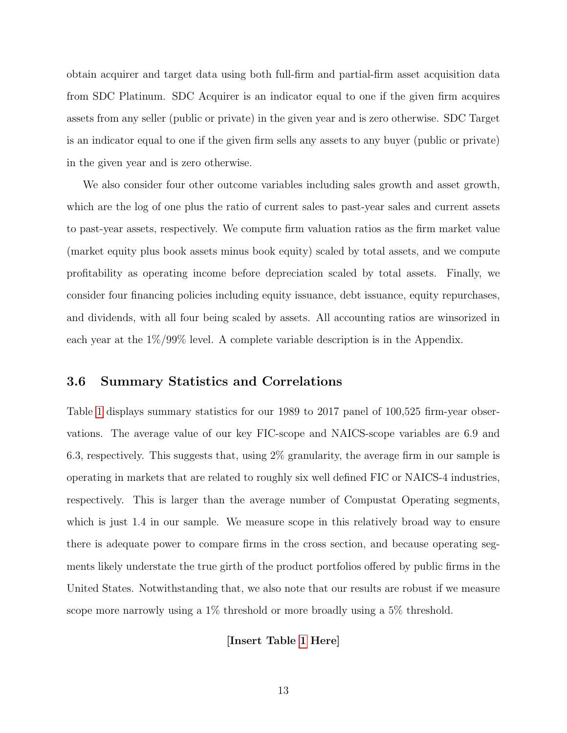obtain acquirer and target data using both full-firm and partial-firm asset acquisition data from SDC Platinum. SDC Acquirer is an indicator equal to one if the given firm acquires assets from any seller (public or private) in the given year and is zero otherwise. SDC Target is an indicator equal to one if the given firm sells any assets to any buyer (public or private) in the given year and is zero otherwise.

We also consider four other outcome variables including sales growth and asset growth, which are the log of one plus the ratio of current sales to past-year sales and current assets to past-year assets, respectively. We compute firm valuation ratios as the firm market value (market equity plus book assets minus book equity) scaled by total assets, and we compute profitability as operating income before depreciation scaled by total assets. Finally, we consider four financing policies including equity issuance, debt issuance, equity repurchases, and dividends, with all four being scaled by assets. All accounting ratios are winsorized in each year at the 1%/99% level. A complete variable description is in the Appendix.

### 3.6 Summary Statistics and Correlations

Table [1](#page-40-0) displays summary statistics for our 1989 to 2017 panel of 100,525 firm-year observations. The average value of our key FIC-scope and NAICS-scope variables are 6.9 and 6.3, respectively. This suggests that, using 2% granularity, the average firm in our sample is operating in markets that are related to roughly six well defined FIC or NAICS-4 industries, respectively. This is larger than the average number of Compustat Operating segments, which is just 1.4 in our sample. We measure scope in this relatively broad way to ensure there is adequate power to compare firms in the cross section, and because operating segments likely understate the true girth of the product portfolios offered by public firms in the United States. Notwithstanding that, we also note that our results are robust if we measure scope more narrowly using a 1% threshold or more broadly using a 5% threshold.

### [Insert Table [1](#page-40-0) Here]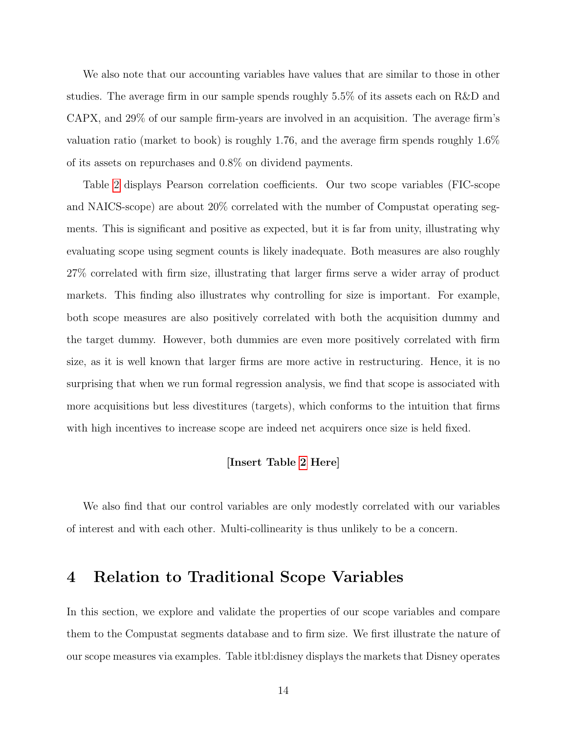We also note that our accounting variables have values that are similar to those in other studies. The average firm in our sample spends roughly 5.5% of its assets each on R&D and CAPX, and 29% of our sample firm-years are involved in an acquisition. The average firm's valuation ratio (market to book) is roughly 1.76, and the average firm spends roughly 1.6% of its assets on repurchases and 0.8% on dividend payments.

Table [2](#page-41-0) displays Pearson correlation coefficients. Our two scope variables (FIC-scope and NAICS-scope) are about 20% correlated with the number of Compustat operating segments. This is significant and positive as expected, but it is far from unity, illustrating why evaluating scope using segment counts is likely inadequate. Both measures are also roughly 27% correlated with firm size, illustrating that larger firms serve a wider array of product markets. This finding also illustrates why controlling for size is important. For example, both scope measures are also positively correlated with both the acquisition dummy and the target dummy. However, both dummies are even more positively correlated with firm size, as it is well known that larger firms are more active in restructuring. Hence, it is no surprising that when we run formal regression analysis, we find that scope is associated with more acquisitions but less divestitures (targets), which conforms to the intuition that firms with high incentives to increase scope are indeed net acquirers once size is held fixed.

### [Insert Table [2](#page-41-0) Here]

We also find that our control variables are only modestly correlated with our variables of interest and with each other. Multi-collinearity is thus unlikely to be a concern.

# 4 Relation to Traditional Scope Variables

In this section, we explore and validate the properties of our scope variables and compare them to the Compustat segments database and to firm size. We first illustrate the nature of our scope measures via examples. Table itbl:disney displays the markets that Disney operates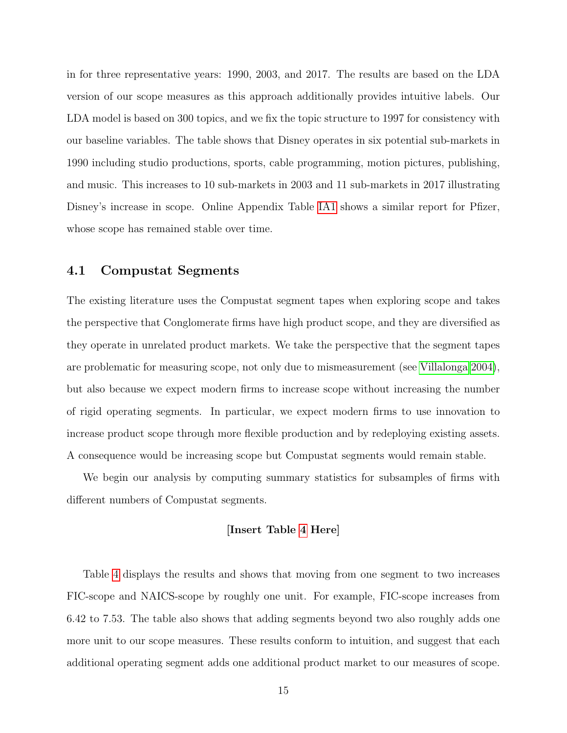in for three representative years: 1990, 2003, and 2017. The results are based on the LDA version of our scope measures as this approach additionally provides intuitive labels. Our LDA model is based on 300 topics, and we fix the topic structure to 1997 for consistency with our baseline variables. The table shows that Disney operates in six potential sub-markets in 1990 including studio productions, sports, cable programming, motion pictures, publishing, and music. This increases to 10 sub-markets in 2003 and 11 sub-markets in 2017 illustrating Disney's increase in scope. Online Appendix Table [IA1](#page-67-0) shows a similar report for Pfizer, whose scope has remained stable over time.

### 4.1 Compustat Segments

The existing literature uses the Compustat segment tapes when exploring scope and takes the perspective that Conglomerate firms have high product scope, and they are diversified as they operate in unrelated product markets. We take the perspective that the segment tapes are problematic for measuring scope, not only due to mismeasurement (see [Villalonga 2004\)](#page-37-16), but also because we expect modern firms to increase scope without increasing the number of rigid operating segments. In particular, we expect modern firms to use innovation to increase product scope through more flexible production and by redeploying existing assets. A consequence would be increasing scope but Compustat segments would remain stable.

We begin our analysis by computing summary statistics for subsamples of firms with different numbers of Compustat segments.

### [Insert Table [4](#page-43-0) Here]

Table [4](#page-43-0) displays the results and shows that moving from one segment to two increases FIC-scope and NAICS-scope by roughly one unit. For example, FIC-scope increases from 6.42 to 7.53. The table also shows that adding segments beyond two also roughly adds one more unit to our scope measures. These results conform to intuition, and suggest that each additional operating segment adds one additional product market to our measures of scope.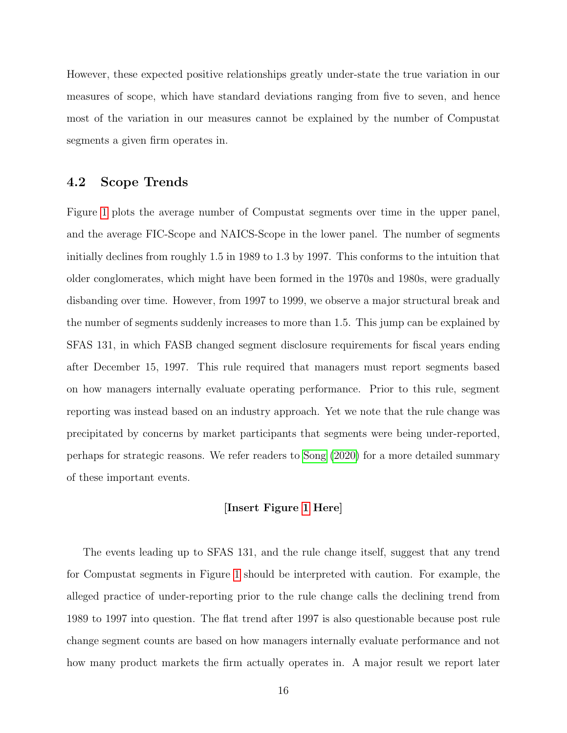However, these expected positive relationships greatly under-state the true variation in our measures of scope, which have standard deviations ranging from five to seven, and hence most of the variation in our measures cannot be explained by the number of Compustat segments a given firm operates in.

# 4.2 Scope Trends

Figure [1](#page-56-0) plots the average number of Compustat segments over time in the upper panel, and the average FIC-Scope and NAICS-Scope in the lower panel. The number of segments initially declines from roughly 1.5 in 1989 to 1.3 by 1997. This conforms to the intuition that older conglomerates, which might have been formed in the 1970s and 1980s, were gradually disbanding over time. However, from 1997 to 1999, we observe a major structural break and the number of segments suddenly increases to more than 1.5. This jump can be explained by SFAS 131, in which FASB changed segment disclosure requirements for fiscal years ending after December 15, 1997. This rule required that managers must report segments based on how managers internally evaluate operating performance. Prior to this rule, segment reporting was instead based on an industry approach. Yet we note that the rule change was precipitated by concerns by market participants that segments were being under-reported, perhaps for strategic reasons. We refer readers to [Song](#page-37-17) [\(2020\)](#page-37-17) for a more detailed summary of these important events.

### [Insert Figure [1](#page-56-0) Here]

The events leading up to SFAS 131, and the rule change itself, suggest that any trend for Compustat segments in Figure [1](#page-56-0) should be interpreted with caution. For example, the alleged practice of under-reporting prior to the rule change calls the declining trend from 1989 to 1997 into question. The flat trend after 1997 is also questionable because post rule change segment counts are based on how managers internally evaluate performance and not how many product markets the firm actually operates in. A major result we report later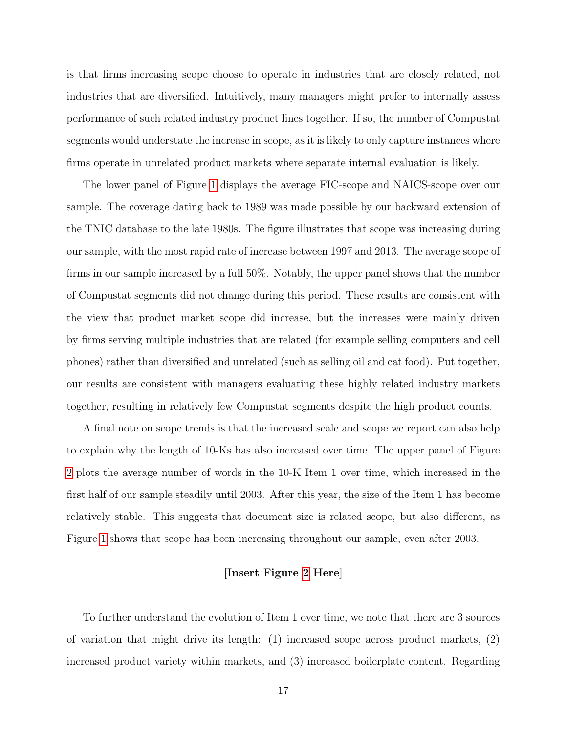is that firms increasing scope choose to operate in industries that are closely related, not industries that are diversified. Intuitively, many managers might prefer to internally assess performance of such related industry product lines together. If so, the number of Compustat segments would understate the increase in scope, as it is likely to only capture instances where firms operate in unrelated product markets where separate internal evaluation is likely.

The lower panel of Figure [1](#page-56-0) displays the average FIC-scope and NAICS-scope over our sample. The coverage dating back to 1989 was made possible by our backward extension of the TNIC database to the late 1980s. The figure illustrates that scope was increasing during our sample, with the most rapid rate of increase between 1997 and 2013. The average scope of firms in our sample increased by a full 50%. Notably, the upper panel shows that the number of Compustat segments did not change during this period. These results are consistent with the view that product market scope did increase, but the increases were mainly driven by firms serving multiple industries that are related (for example selling computers and cell phones) rather than diversified and unrelated (such as selling oil and cat food). Put together, our results are consistent with managers evaluating these highly related industry markets together, resulting in relatively few Compustat segments despite the high product counts.

A final note on scope trends is that the increased scale and scope we report can also help to explain why the length of 10-Ks has also increased over time. The upper panel of Figure [2](#page-57-0) plots the average number of words in the 10-K Item 1 over time, which increased in the first half of our sample steadily until 2003. After this year, the size of the Item 1 has become relatively stable. This suggests that document size is related scope, but also different, as Figure [1](#page-56-0) shows that scope has been increasing throughout our sample, even after 2003.

#### [Insert Figure [2](#page-57-0) Here]

To further understand the evolution of Item 1 over time, we note that there are 3 sources of variation that might drive its length: (1) increased scope across product markets, (2) increased product variety within markets, and (3) increased boilerplate content. Regarding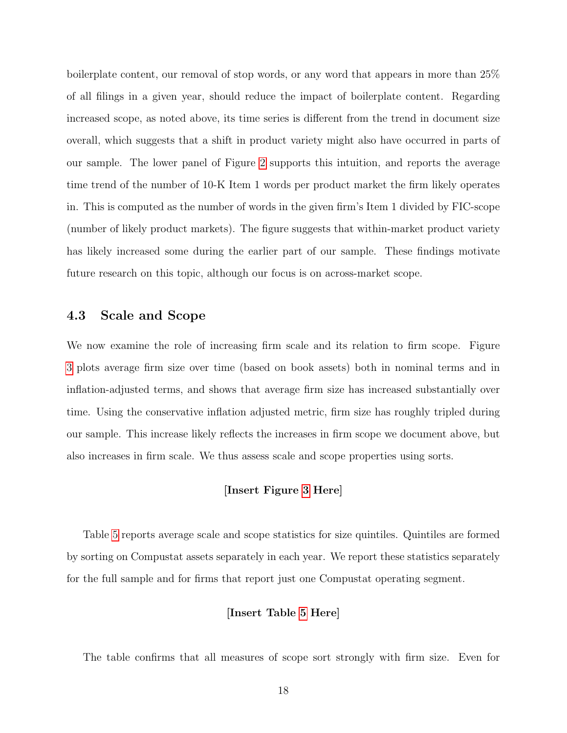boilerplate content, our removal of stop words, or any word that appears in more than 25% of all filings in a given year, should reduce the impact of boilerplate content. Regarding increased scope, as noted above, its time series is different from the trend in document size overall, which suggests that a shift in product variety might also have occurred in parts of our sample. The lower panel of Figure [2](#page-57-0) supports this intuition, and reports the average time trend of the number of 10-K Item 1 words per product market the firm likely operates in. This is computed as the number of words in the given firm's Item 1 divided by FIC-scope (number of likely product markets). The figure suggests that within-market product variety has likely increased some during the earlier part of our sample. These findings motivate future research on this topic, although our focus is on across-market scope.

# 4.3 Scale and Scope

We now examine the role of increasing firm scale and its relation to firm scope. Figure [3](#page-58-0) plots average firm size over time (based on book assets) both in nominal terms and in inflation-adjusted terms, and shows that average firm size has increased substantially over time. Using the conservative inflation adjusted metric, firm size has roughly tripled during our sample. This increase likely reflects the increases in firm scope we document above, but also increases in firm scale. We thus assess scale and scope properties using sorts.

### [Insert Figure [3](#page-58-0) Here]

Table [5](#page-44-0) reports average scale and scope statistics for size quintiles. Quintiles are formed by sorting on Compustat assets separately in each year. We report these statistics separately for the full sample and for firms that report just one Compustat operating segment.

### [Insert Table [5](#page-44-0) Here]

The table confirms that all measures of scope sort strongly with firm size. Even for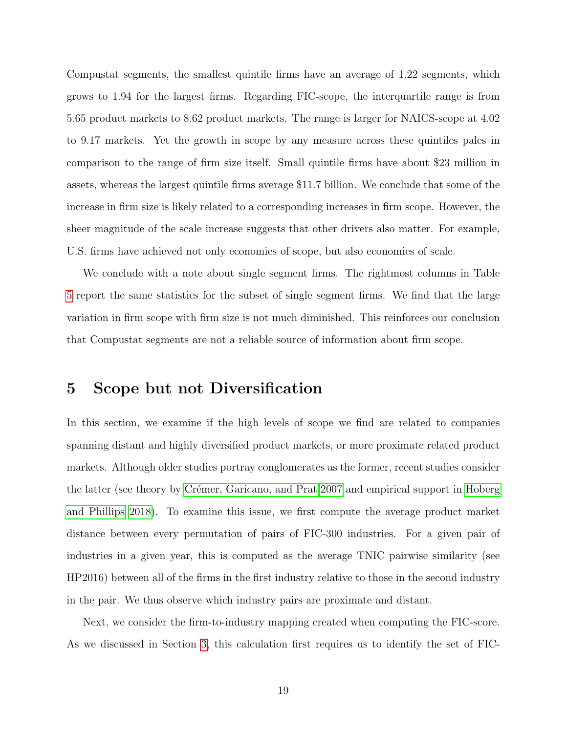Compustat segments, the smallest quintile firms have an average of 1.22 segments, which grows to 1.94 for the largest firms. Regarding FIC-scope, the interquartile range is from 5.65 product markets to 8.62 product markets. The range is larger for NAICS-scope at 4.02 to 9.17 markets. Yet the growth in scope by any measure across these quintiles pales in comparison to the range of firm size itself. Small quintile firms have about \$23 million in assets, whereas the largest quintile firms average \$11.7 billion. We conclude that some of the increase in firm size is likely related to a corresponding increases in firm scope. However, the sheer magnitude of the scale increase suggests that other drivers also matter. For example, U.S. firms have achieved not only economies of scope, but also economies of scale.

We conclude with a note about single segment firms. The rightmost columns in Table [5](#page-44-0) report the same statistics for the subset of single segment firms. We find that the large variation in firm scope with firm size is not much diminished. This reinforces our conclusion that Compustat segments are not a reliable source of information about firm scope.

# 5 Scope but not Diversification

In this section, we examine if the high levels of scope we find are related to companies spanning distant and highly diversified product markets, or more proximate related product markets. Although older studies portray conglomerates as the former, recent studies consider the latter (see theory by Crémer, Garicano, and Prat 2007 and empirical support in [Hoberg](#page-37-14) [and Phillips 2018\)](#page-37-14). To examine this issue, we first compute the average product market distance between every permutation of pairs of FIC-300 industries. For a given pair of industries in a given year, this is computed as the average TNIC pairwise similarity (see HP2016) between all of the firms in the first industry relative to those in the second industry in the pair. We thus observe which industry pairs are proximate and distant.

Next, we consider the firm-to-industry mapping created when computing the FIC-score. As we discussed in Section [3,](#page-6-0) this calculation first requires us to identify the set of FIC-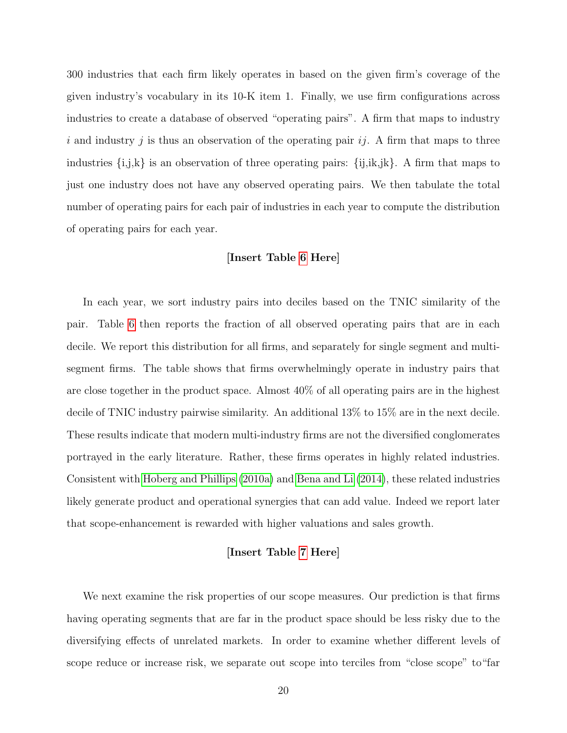300 industries that each firm likely operates in based on the given firm's coverage of the given industry's vocabulary in its 10-K item 1. Finally, we use firm configurations across industries to create a database of observed "operating pairs". A firm that maps to industry i and industry j is thus an observation of the operating pair  $ij$ . A firm that maps to three industries  $\{i,j,k\}$  is an observation of three operating pairs:  $\{ij,ik,jk\}$ . A firm that maps to just one industry does not have any observed operating pairs. We then tabulate the total number of operating pairs for each pair of industries in each year to compute the distribution of operating pairs for each year.

### [Insert Table [6](#page-45-0) Here]

In each year, we sort industry pairs into deciles based on the TNIC similarity of the pair. Table [6](#page-45-0) then reports the fraction of all observed operating pairs that are in each decile. We report this distribution for all firms, and separately for single segment and multisegment firms. The table shows that firms overwhelmingly operate in industry pairs that are close together in the product space. Almost 40% of all operating pairs are in the highest decile of TNIC industry pairwise similarity. An additional 13% to 15% are in the next decile. These results indicate that modern multi-industry firms are not the diversified conglomerates portrayed in the early literature. Rather, these firms operates in highly related industries. Consistent with [Hoberg and Phillips](#page-36-11) [\(2010a\)](#page-36-11) and [Bena and Li](#page-36-12) [\(2014\)](#page-36-12), these related industries likely generate product and operational synergies that can add value. Indeed we report later that scope-enhancement is rewarded with higher valuations and sales growth.

### [Insert Table [7](#page-46-0) Here]

We next examine the risk properties of our scope measures. Our prediction is that firms having operating segments that are far in the product space should be less risky due to the diversifying effects of unrelated markets. In order to examine whether different levels of scope reduce or increase risk, we separate out scope into terciles from "close scope" to"far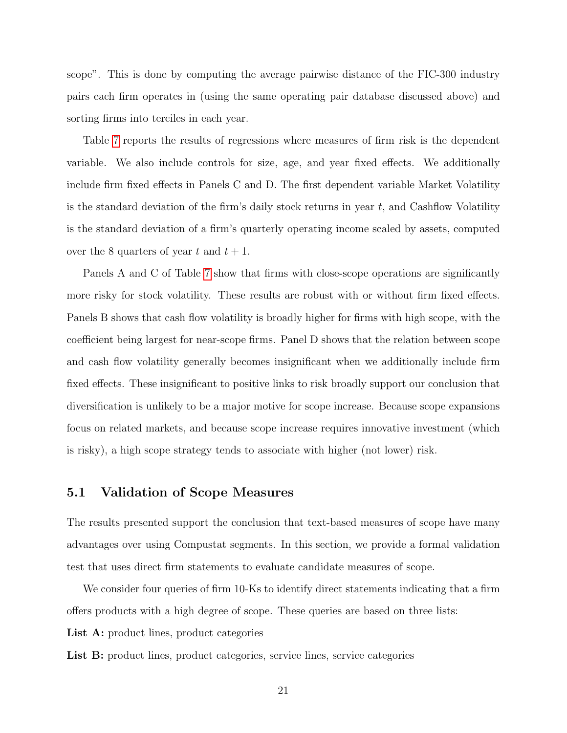scope". This is done by computing the average pairwise distance of the FIC-300 industry pairs each firm operates in (using the same operating pair database discussed above) and sorting firms into terciles in each year.

Table [7](#page-46-0) reports the results of regressions where measures of firm risk is the dependent variable. We also include controls for size, age, and year fixed effects. We additionally include firm fixed effects in Panels C and D. The first dependent variable Market Volatility is the standard deviation of the firm's daily stock returns in year  $t$ , and Cashflow Volatility is the standard deviation of a firm's quarterly operating income scaled by assets, computed over the 8 quarters of year t and  $t + 1$ .

Panels A and C of Table [7](#page-46-0) show that firms with close-scope operations are significantly more risky for stock volatility. These results are robust with or without firm fixed effects. Panels B shows that cash flow volatility is broadly higher for firms with high scope, with the coefficient being largest for near-scope firms. Panel D shows that the relation between scope and cash flow volatility generally becomes insignificant when we additionally include firm fixed effects. These insignificant to positive links to risk broadly support our conclusion that diversification is unlikely to be a major motive for scope increase. Because scope expansions focus on related markets, and because scope increase requires innovative investment (which is risky), a high scope strategy tends to associate with higher (not lower) risk.

### 5.1 Validation of Scope Measures

The results presented support the conclusion that text-based measures of scope have many advantages over using Compustat segments. In this section, we provide a formal validation test that uses direct firm statements to evaluate candidate measures of scope.

We consider four queries of firm 10-Ks to identify direct statements indicating that a firm offers products with a high degree of scope. These queries are based on three lists:

List A: product lines, product categories

List B: product lines, product categories, service lines, service categories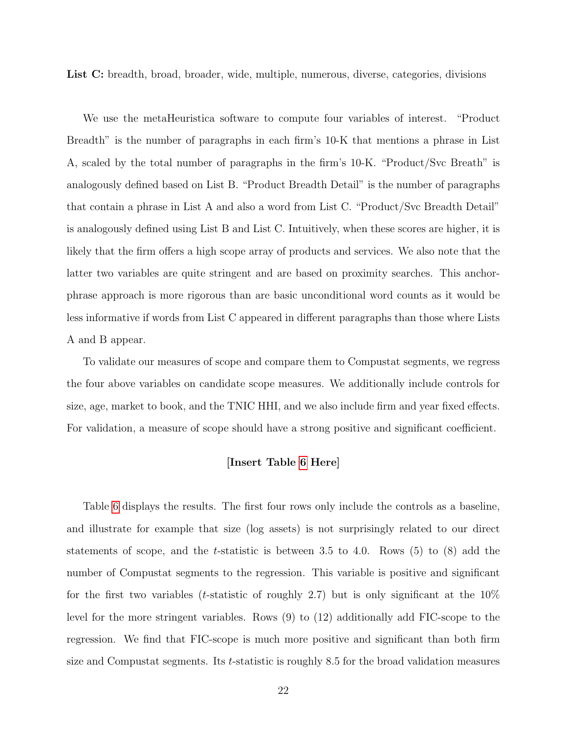List C: breadth, broad, broader, wide, multiple, numerous, diverse, categories, divisions

We use the metaHeuristica software to compute four variables of interest. "Product Breadth" is the number of paragraphs in each firm's 10-K that mentions a phrase in List A, scaled by the total number of paragraphs in the firm's 10-K. "Product/Svc Breath" is analogously defined based on List B. "Product Breadth Detail" is the number of paragraphs that contain a phrase in List A and also a word from List C. "Product/Svc Breadth Detail" is analogously defined using List B and List C. Intuitively, when these scores are higher, it is likely that the firm offers a high scope array of products and services. We also note that the latter two variables are quite stringent and are based on proximity searches. This anchorphrase approach is more rigorous than are basic unconditional word counts as it would be less informative if words from List C appeared in different paragraphs than those where Lists A and B appear.

To validate our measures of scope and compare them to Compustat segments, we regress the four above variables on candidate scope measures. We additionally include controls for size, age, market to book, and the TNIC HHI, and we also include firm and year fixed effects. For validation, a measure of scope should have a strong positive and significant coefficient.

### [Insert Table [6](#page-45-0) Here]

Table [6](#page-45-0) displays the results. The first four rows only include the controls as a baseline, and illustrate for example that size (log assets) is not surprisingly related to our direct statements of scope, and the t-statistic is between 3.5 to 4.0. Rows  $(5)$  to  $(8)$  add the number of Compustat segments to the regression. This variable is positive and significant for the first two variables (*t*-statistic of roughly 2.7) but is only significant at the  $10\%$ level for the more stringent variables. Rows (9) to (12) additionally add FIC-scope to the regression. We find that FIC-scope is much more positive and significant than both firm size and Compustat segments. Its t-statistic is roughly 8.5 for the broad validation measures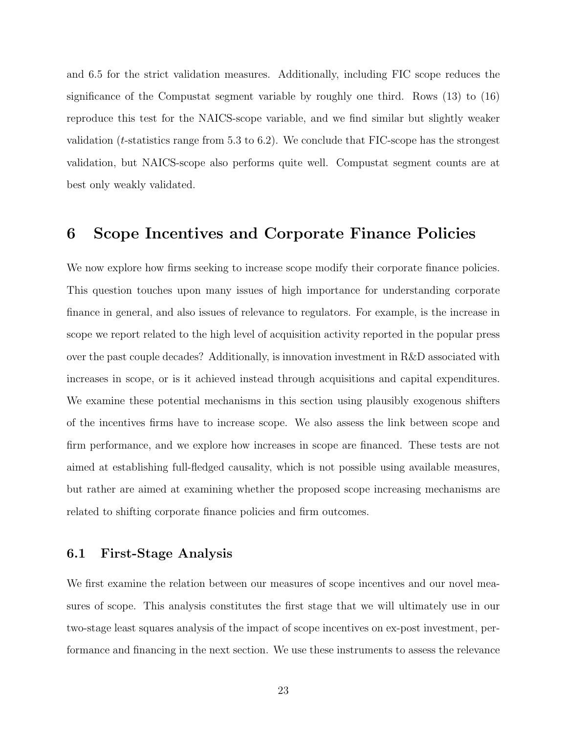and 6.5 for the strict validation measures. Additionally, including FIC scope reduces the significance of the Compustat segment variable by roughly one third. Rows (13) to (16) reproduce this test for the NAICS-scope variable, and we find similar but slightly weaker validation (*t*-statistics range from 5.3 to 6.2). We conclude that FIC-scope has the strongest validation, but NAICS-scope also performs quite well. Compustat segment counts are at best only weakly validated.

# 6 Scope Incentives and Corporate Finance Policies

We now explore how firms seeking to increase scope modify their corporate finance policies. This question touches upon many issues of high importance for understanding corporate finance in general, and also issues of relevance to regulators. For example, is the increase in scope we report related to the high level of acquisition activity reported in the popular press over the past couple decades? Additionally, is innovation investment in R&D associated with increases in scope, or is it achieved instead through acquisitions and capital expenditures. We examine these potential mechanisms in this section using plausibly exogenous shifters of the incentives firms have to increase scope. We also assess the link between scope and firm performance, and we explore how increases in scope are financed. These tests are not aimed at establishing full-fledged causality, which is not possible using available measures, but rather are aimed at examining whether the proposed scope increasing mechanisms are related to shifting corporate finance policies and firm outcomes.

### 6.1 First-Stage Analysis

We first examine the relation between our measures of scope incentives and our novel measures of scope. This analysis constitutes the first stage that we will ultimately use in our two-stage least squares analysis of the impact of scope incentives on ex-post investment, performance and financing in the next section. We use these instruments to assess the relevance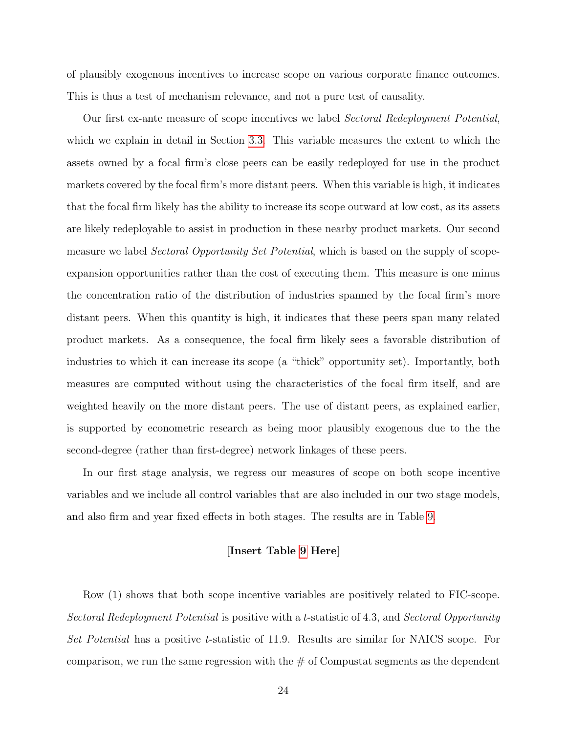of plausibly exogenous incentives to increase scope on various corporate finance outcomes. This is thus a test of mechanism relevance, and not a pure test of causality.

Our first ex-ante measure of scope incentives we label Sectoral Redeployment Potential, which we explain in detail in Section [3.3.](#page-9-0) This variable measures the extent to which the assets owned by a focal firm's close peers can be easily redeployed for use in the product markets covered by the focal firm's more distant peers. When this variable is high, it indicates that the focal firm likely has the ability to increase its scope outward at low cost, as its assets are likely redeployable to assist in production in these nearby product markets. Our second measure we label *Sectoral Opportunity Set Potential*, which is based on the supply of scopeexpansion opportunities rather than the cost of executing them. This measure is one minus the concentration ratio of the distribution of industries spanned by the focal firm's more distant peers. When this quantity is high, it indicates that these peers span many related product markets. As a consequence, the focal firm likely sees a favorable distribution of industries to which it can increase its scope (a "thick" opportunity set). Importantly, both measures are computed without using the characteristics of the focal firm itself, and are weighted heavily on the more distant peers. The use of distant peers, as explained earlier, is supported by econometric research as being moor plausibly exogenous due to the the second-degree (rather than first-degree) network linkages of these peers.

In our first stage analysis, we regress our measures of scope on both scope incentive variables and we include all control variables that are also included in our two stage models, and also firm and year fixed effects in both stages. The results are in Table [9.](#page-48-0)

#### [Insert Table [9](#page-48-0) Here]

Row (1) shows that both scope incentive variables are positively related to FIC-scope. Sectoral Redeployment Potential is positive with a t-statistic of 4.3, and Sectoral Opportunity Set Potential has a positive t-statistic of 11.9. Results are similar for NAICS scope. For comparison, we run the same regression with the  $\#$  of Compustat segments as the dependent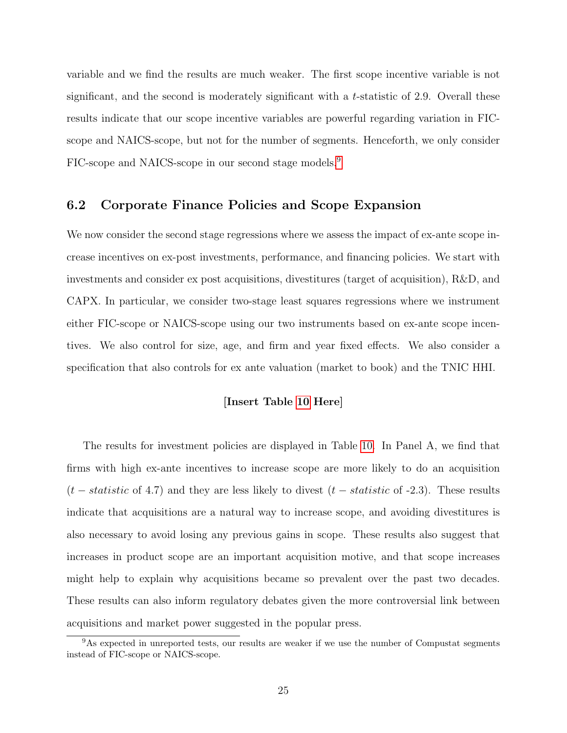variable and we find the results are much weaker. The first scope incentive variable is not significant, and the second is moderately significant with a t-statistic of 2.9. Overall these results indicate that our scope incentive variables are powerful regarding variation in FICscope and NAICS-scope, but not for the number of segments. Henceforth, we only consider FIC-scope and NAICS-scope in our second stage models.[9](#page-25-0)

# 6.2 Corporate Finance Policies and Scope Expansion

We now consider the second stage regressions where we assess the impact of ex-ante scope increase incentives on ex-post investments, performance, and financing policies. We start with investments and consider ex post acquisitions, divestitures (target of acquisition), R&D, and CAPX. In particular, we consider two-stage least squares regressions where we instrument either FIC-scope or NAICS-scope using our two instruments based on ex-ante scope incentives. We also control for size, age, and firm and year fixed effects. We also consider a specification that also controls for ex ante valuation (market to book) and the TNIC HHI.

### [Insert Table [10](#page-49-0) Here]

The results for investment policies are displayed in Table [10.](#page-49-0) In Panel A, we find that firms with high ex-ante incentives to increase scope are more likely to do an acquisition  $(t - statistic$  of 4.7) and they are less likely to divest  $(t - statistic$  of -2.3). These results indicate that acquisitions are a natural way to increase scope, and avoiding divestitures is also necessary to avoid losing any previous gains in scope. These results also suggest that increases in product scope are an important acquisition motive, and that scope increases might help to explain why acquisitions became so prevalent over the past two decades. These results can also inform regulatory debates given the more controversial link between acquisitions and market power suggested in the popular press.

<span id="page-25-0"></span><sup>&</sup>lt;sup>9</sup>As expected in unreported tests, our results are weaker if we use the number of Compustat segments instead of FIC-scope or NAICS-scope.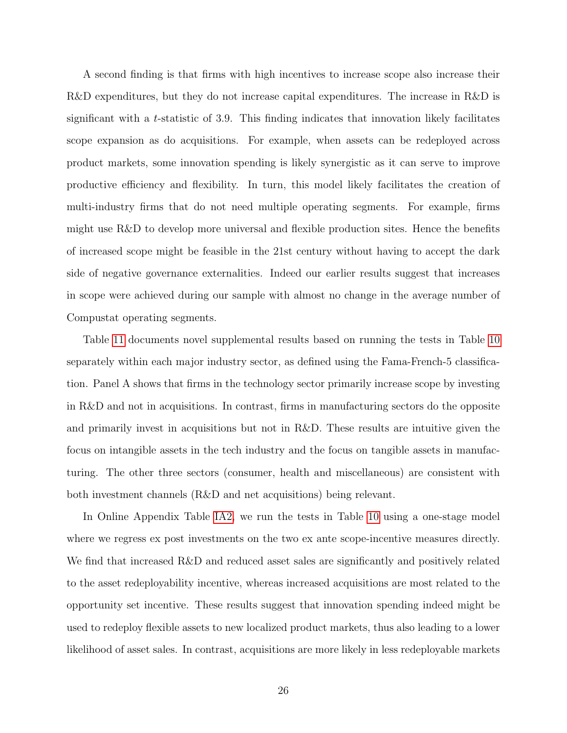A second finding is that firms with high incentives to increase scope also increase their R&D expenditures, but they do not increase capital expenditures. The increase in R&D is significant with a t-statistic of 3.9. This finding indicates that innovation likely facilitates scope expansion as do acquisitions. For example, when assets can be redeployed across product markets, some innovation spending is likely synergistic as it can serve to improve productive efficiency and flexibility. In turn, this model likely facilitates the creation of multi-industry firms that do not need multiple operating segments. For example, firms might use R&D to develop more universal and flexible production sites. Hence the benefits of increased scope might be feasible in the 21st century without having to accept the dark side of negative governance externalities. Indeed our earlier results suggest that increases in scope were achieved during our sample with almost no change in the average number of Compustat operating segments.

Table [11](#page-50-0) documents novel supplemental results based on running the tests in Table [10](#page-49-0) separately within each major industry sector, as defined using the Fama-French-5 classification. Panel A shows that firms in the technology sector primarily increase scope by investing in R&D and not in acquisitions. In contrast, firms in manufacturing sectors do the opposite and primarily invest in acquisitions but not in R&D. These results are intuitive given the focus on intangible assets in the tech industry and the focus on tangible assets in manufacturing. The other three sectors (consumer, health and miscellaneous) are consistent with both investment channels (R&D and net acquisitions) being relevant.

In Online Appendix Table [IA2,](#page-68-0) we run the tests in Table [10](#page-49-0) using a one-stage model where we regress ex post investments on the two ex ante scope-incentive measures directly. We find that increased R&D and reduced asset sales are significantly and positively related to the asset redeployability incentive, whereas increased acquisitions are most related to the opportunity set incentive. These results suggest that innovation spending indeed might be used to redeploy flexible assets to new localized product markets, thus also leading to a lower likelihood of asset sales. In contrast, acquisitions are more likely in less redeployable markets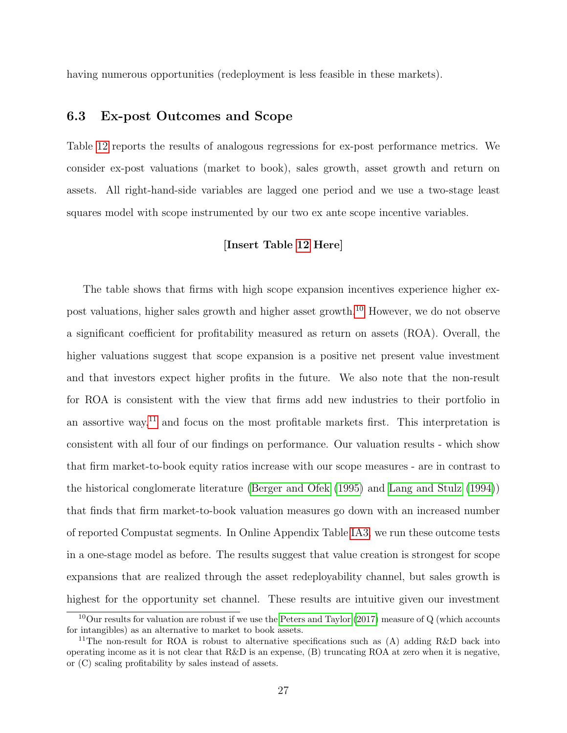having numerous opportunities (redeployment is less feasible in these markets).

# 6.3 Ex-post Outcomes and Scope

Table [12](#page-51-0) reports the results of analogous regressions for ex-post performance metrics. We consider ex-post valuations (market to book), sales growth, asset growth and return on assets. All right-hand-side variables are lagged one period and we use a two-stage least squares model with scope instrumented by our two ex ante scope incentive variables.

### [Insert Table [12](#page-51-0) Here]

The table shows that firms with high scope expansion incentives experience higher expost valuations, higher sales growth and higher asset growth.[10](#page-27-0) However, we do not observe a significant coefficient for profitability measured as return on assets (ROA). Overall, the higher valuations suggest that scope expansion is a positive net present value investment and that investors expect higher profits in the future. We also note that the non-result for ROA is consistent with the view that firms add new industries to their portfolio in an assortive way,<sup>[11](#page-27-1)</sup> and focus on the most profitable markets first. This interpretation is consistent with all four of our findings on performance. Our valuation results - which show that firm market-to-book equity ratios increase with our scope measures - are in contrast to the historical conglomerate literature [\(Berger and Ofek](#page-36-7) [\(1995\)](#page-36-7) and [Lang and Stulz](#page-37-5) [\(1994\)](#page-37-5)) that finds that firm market-to-book valuation measures go down with an increased number of reported Compustat segments. In Online Appendix Table [IA3,](#page-69-0) we run these outcome tests in a one-stage model as before. The results suggest that value creation is strongest for scope expansions that are realized through the asset redeployability channel, but sales growth is highest for the opportunity set channel. These results are intuitive given our investment

<span id="page-27-0"></span> $10$ Our results for valuation are robust if we use the [Peters and Taylor](#page-37-18) [\(2017\)](#page-37-18) measure of Q (which accounts for intangibles) as an alternative to market to book assets.

<span id="page-27-1"></span><sup>&</sup>lt;sup>11</sup>The non-result for ROA is robust to alternative specifications such as  $(A)$  adding R&D back into operating income as it is not clear that R&D is an expense, (B) truncating ROA at zero when it is negative, or (C) scaling profitability by sales instead of assets.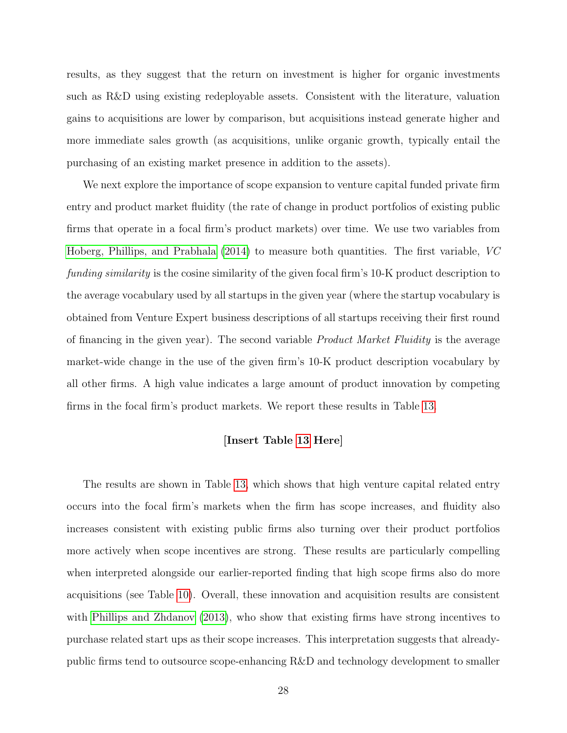results, as they suggest that the return on investment is higher for organic investments such as R&D using existing redeployable assets. Consistent with the literature, valuation gains to acquisitions are lower by comparison, but acquisitions instead generate higher and more immediate sales growth (as acquisitions, unlike organic growth, typically entail the purchasing of an existing market presence in addition to the assets).

We next explore the importance of scope expansion to venture capital funded private firm entry and product market fluidity (the rate of change in product portfolios of existing public firms that operate in a focal firm's product markets) over time. We use two variables from [Hoberg, Phillips, and Prabhala](#page-37-13) [\(2014\)](#page-37-13) to measure both quantities. The first variable, VC funding similarity is the cosine similarity of the given focal firm's 10-K product description to the average vocabulary used by all startups in the given year (where the startup vocabulary is obtained from Venture Expert business descriptions of all startups receiving their first round of financing in the given year). The second variable Product Market Fluidity is the average market-wide change in the use of the given firm's 10-K product description vocabulary by all other firms. A high value indicates a large amount of product innovation by competing firms in the focal firm's product markets. We report these results in Table [13.](#page-52-0)

### [Insert Table [13](#page-52-0) Here]

The results are shown in Table [13,](#page-52-0) which shows that high venture capital related entry occurs into the focal firm's markets when the firm has scope increases, and fluidity also increases consistent with existing public firms also turning over their product portfolios more actively when scope incentives are strong. These results are particularly compelling when interpreted alongside our earlier-reported finding that high scope firms also do more acquisitions (see Table [10\)](#page-49-0). Overall, these innovation and acquisition results are consistent with [Phillips and Zhdanov](#page-37-19) [\(2013\)](#page-37-19), who show that existing firms have strong incentives to purchase related start ups as their scope increases. This interpretation suggests that alreadypublic firms tend to outsource scope-enhancing R&D and technology development to smaller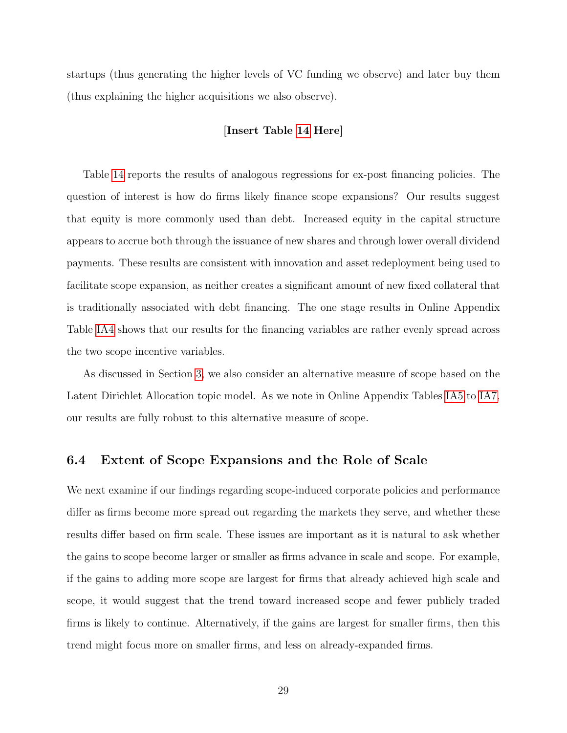startups (thus generating the higher levels of VC funding we observe) and later buy them (thus explaining the higher acquisitions we also observe).

### [Insert Table [14](#page-53-0) Here]

Table [14](#page-53-0) reports the results of analogous regressions for ex-post financing policies. The question of interest is how do firms likely finance scope expansions? Our results suggest that equity is more commonly used than debt. Increased equity in the capital structure appears to accrue both through the issuance of new shares and through lower overall dividend payments. These results are consistent with innovation and asset redeployment being used to facilitate scope expansion, as neither creates a significant amount of new fixed collateral that is traditionally associated with debt financing. The one stage results in Online Appendix Table [IA4](#page-70-0) shows that our results for the financing variables are rather evenly spread across the two scope incentive variables.

As discussed in Section [3,](#page-6-0) we also consider an alternative measure of scope based on the Latent Dirichlet Allocation topic model. As we note in Online Appendix Tables [IA5](#page-71-0) to [IA7,](#page-73-0) our results are fully robust to this alternative measure of scope.

# 6.4 Extent of Scope Expansions and the Role of Scale

We next examine if our findings regarding scope-induced corporate policies and performance differ as firms become more spread out regarding the markets they serve, and whether these results differ based on firm scale. These issues are important as it is natural to ask whether the gains to scope become larger or smaller as firms advance in scale and scope. For example, if the gains to adding more scope are largest for firms that already achieved high scale and scope, it would suggest that the trend toward increased scope and fewer publicly traded firms is likely to continue. Alternatively, if the gains are largest for smaller firms, then this trend might focus more on smaller firms, and less on already-expanded firms.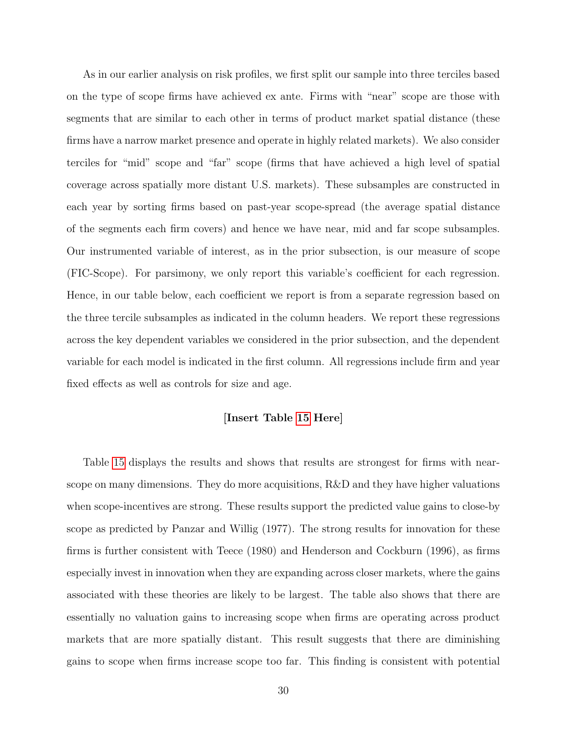As in our earlier analysis on risk profiles, we first split our sample into three terciles based on the type of scope firms have achieved ex ante. Firms with "near" scope are those with segments that are similar to each other in terms of product market spatial distance (these firms have a narrow market presence and operate in highly related markets). We also consider terciles for "mid" scope and "far" scope (firms that have achieved a high level of spatial coverage across spatially more distant U.S. markets). These subsamples are constructed in each year by sorting firms based on past-year scope-spread (the average spatial distance of the segments each firm covers) and hence we have near, mid and far scope subsamples. Our instrumented variable of interest, as in the prior subsection, is our measure of scope (FIC-Scope). For parsimony, we only report this variable's coefficient for each regression. Hence, in our table below, each coefficient we report is from a separate regression based on the three tercile subsamples as indicated in the column headers. We report these regressions across the key dependent variables we considered in the prior subsection, and the dependent variable for each model is indicated in the first column. All regressions include firm and year fixed effects as well as controls for size and age.

### [Insert Table [15](#page-54-0) Here]

Table [15](#page-54-0) displays the results and shows that results are strongest for firms with nearscope on many dimensions. They do more acquisitions, R&D and they have higher valuations when scope-incentives are strong. These results support the predicted value gains to close-by scope as predicted by Panzar and Willig (1977). The strong results for innovation for these firms is further consistent with Teece (1980) and Henderson and Cockburn (1996), as firms especially invest in innovation when they are expanding across closer markets, where the gains associated with these theories are likely to be largest. The table also shows that there are essentially no valuation gains to increasing scope when firms are operating across product markets that are more spatially distant. This result suggests that there are diminishing gains to scope when firms increase scope too far. This finding is consistent with potential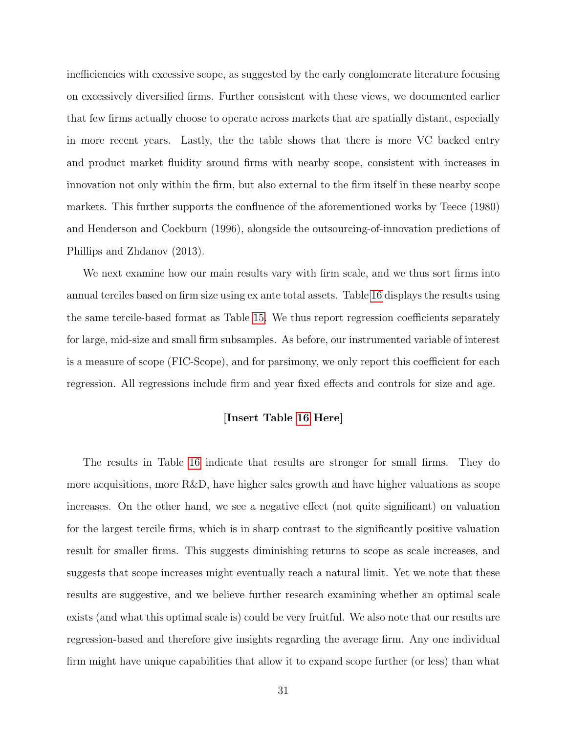inefficiencies with excessive scope, as suggested by the early conglomerate literature focusing on excessively diversified firms. Further consistent with these views, we documented earlier that few firms actually choose to operate across markets that are spatially distant, especially in more recent years. Lastly, the the table shows that there is more VC backed entry and product market fluidity around firms with nearby scope, consistent with increases in innovation not only within the firm, but also external to the firm itself in these nearby scope markets. This further supports the confluence of the aforementioned works by Teece (1980) and Henderson and Cockburn (1996), alongside the outsourcing-of-innovation predictions of Phillips and Zhdanov (2013).

We next examine how our main results vary with firm scale, and we thus sort firms into annual terciles based on firm size using ex ante total assets. Table [16](#page-55-0) displays the results using the same tercile-based format as Table [15.](#page-54-0) We thus report regression coefficients separately for large, mid-size and small firm subsamples. As before, our instrumented variable of interest is a measure of scope (FIC-Scope), and for parsimony, we only report this coefficient for each regression. All regressions include firm and year fixed effects and controls for size and age.

### [Insert Table [16](#page-55-0) Here]

The results in Table [16](#page-55-0) indicate that results are stronger for small firms. They do more acquisitions, more R&D, have higher sales growth and have higher valuations as scope increases. On the other hand, we see a negative effect (not quite significant) on valuation for the largest tercile firms, which is in sharp contrast to the significantly positive valuation result for smaller firms. This suggests diminishing returns to scope as scale increases, and suggests that scope increases might eventually reach a natural limit. Yet we note that these results are suggestive, and we believe further research examining whether an optimal scale exists (and what this optimal scale is) could be very fruitful. We also note that our results are regression-based and therefore give insights regarding the average firm. Any one individual firm might have unique capabilities that allow it to expand scope further (or less) than what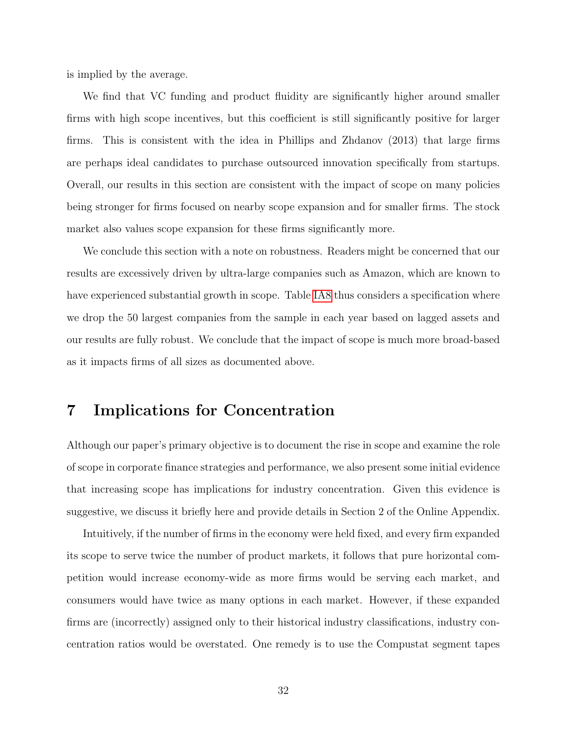is implied by the average.

We find that VC funding and product fluidity are significantly higher around smaller firms with high scope incentives, but this coefficient is still significantly positive for larger firms. This is consistent with the idea in Phillips and Zhdanov (2013) that large firms are perhaps ideal candidates to purchase outsourced innovation specifically from startups. Overall, our results in this section are consistent with the impact of scope on many policies being stronger for firms focused on nearby scope expansion and for smaller firms. The stock market also values scope expansion for these firms significantly more.

We conclude this section with a note on robustness. Readers might be concerned that our results are excessively driven by ultra-large companies such as Amazon, which are known to have experienced substantial growth in scope. Table [IA8](#page-74-0) thus considers a specification where we drop the 50 largest companies from the sample in each year based on lagged assets and our results are fully robust. We conclude that the impact of scope is much more broad-based as it impacts firms of all sizes as documented above.

# 7 Implications for Concentration

Although our paper's primary objective is to document the rise in scope and examine the role of scope in corporate finance strategies and performance, we also present some initial evidence that increasing scope has implications for industry concentration. Given this evidence is suggestive, we discuss it briefly here and provide details in Section 2 of the Online Appendix.

Intuitively, if the number of firms in the economy were held fixed, and every firm expanded its scope to serve twice the number of product markets, it follows that pure horizontal competition would increase economy-wide as more firms would be serving each market, and consumers would have twice as many options in each market. However, if these expanded firms are (incorrectly) assigned only to their historical industry classifications, industry concentration ratios would be overstated. One remedy is to use the Compustat segment tapes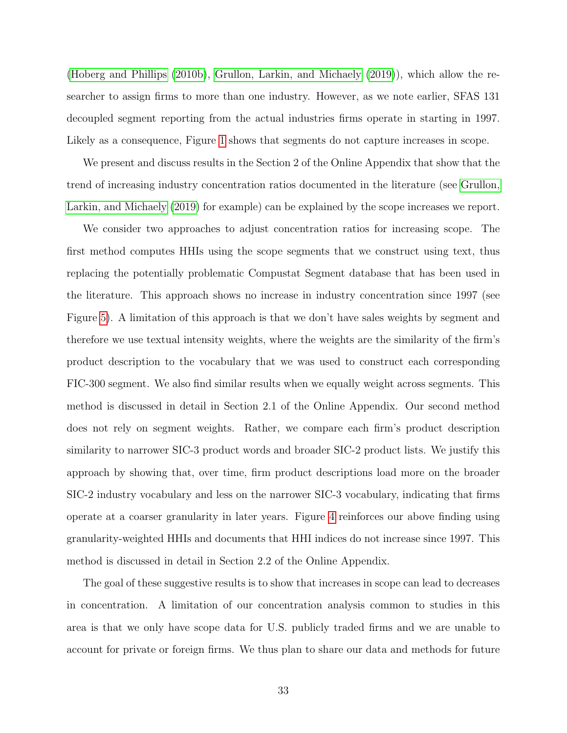[\(Hoberg and Phillips](#page-37-20) [\(2010b\)](#page-37-20), [Grullon, Larkin, and Michaely](#page-36-4) [\(2019\)](#page-36-4)), which allow the researcher to assign firms to more than one industry. However, as we note earlier, SFAS 131 decoupled segment reporting from the actual industries firms operate in starting in 1997. Likely as a consequence, Figure [1](#page-56-0) shows that segments do not capture increases in scope.

We present and discuss results in the Section 2 of the Online Appendix that show that the trend of increasing industry concentration ratios documented in the literature (see [Grullon,](#page-36-4) [Larkin, and Michaely](#page-36-4) [\(2019\)](#page-36-4) for example) can be explained by the scope increases we report.

We consider two approaches to adjust concentration ratios for increasing scope. The first method computes HHIs using the scope segments that we construct using text, thus replacing the potentially problematic Compustat Segment database that has been used in the literature. This approach shows no increase in industry concentration since 1997 (see Figure [5\)](#page-60-0). A limitation of this approach is that we don't have sales weights by segment and therefore we use textual intensity weights, where the weights are the similarity of the firm's product description to the vocabulary that we was used to construct each corresponding FIC-300 segment. We also find similar results when we equally weight across segments. This method is discussed in detail in Section 2.1 of the Online Appendix. Our second method does not rely on segment weights. Rather, we compare each firm's product description similarity to narrower SIC-3 product words and broader SIC-2 product lists. We justify this approach by showing that, over time, firm product descriptions load more on the broader SIC-2 industry vocabulary and less on the narrower SIC-3 vocabulary, indicating that firms operate at a coarser granularity in later years. Figure [4](#page-59-0) reinforces our above finding using granularity-weighted HHIs and documents that HHI indices do not increase since 1997. This method is discussed in detail in Section 2.2 of the Online Appendix.

The goal of these suggestive results is to show that increases in scope can lead to decreases in concentration. A limitation of our concentration analysis common to studies in this area is that we only have scope data for U.S. publicly traded firms and we are unable to account for private or foreign firms. We thus plan to share our data and methods for future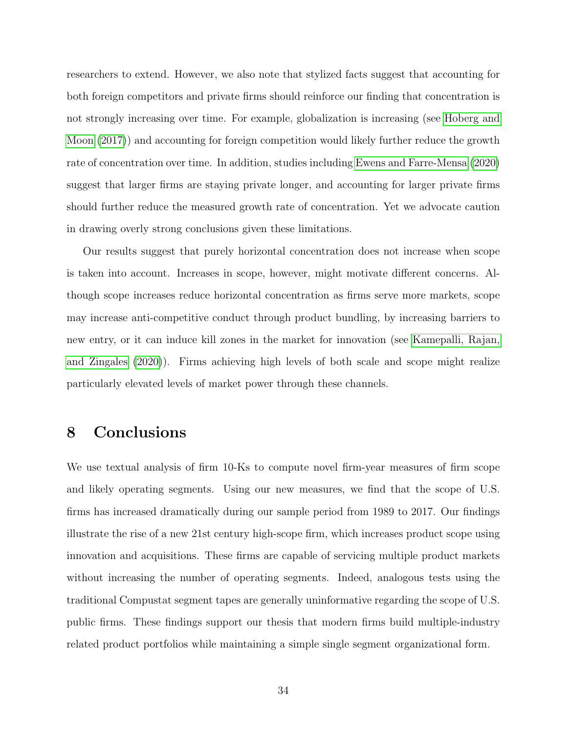researchers to extend. However, we also note that stylized facts suggest that accounting for both foreign competitors and private firms should reinforce our finding that concentration is not strongly increasing over time. For example, globalization is increasing (see [Hoberg and](#page-36-16) [Moon](#page-36-16) [\(2017\)](#page-36-16)) and accounting for foreign competition would likely further reduce the growth rate of concentration over time. In addition, studies including [Ewens and Farre-Mensa](#page-36-17) [\(2020\)](#page-36-17) suggest that larger firms are staying private longer, and accounting for larger private firms should further reduce the measured growth rate of concentration. Yet we advocate caution in drawing overly strong conclusions given these limitations.

Our results suggest that purely horizontal concentration does not increase when scope is taken into account. Increases in scope, however, might motivate different concerns. Although scope increases reduce horizontal concentration as firms serve more markets, scope may increase anti-competitive conduct through product bundling, by increasing barriers to new entry, or it can induce kill zones in the market for innovation (see [Kamepalli, Rajan,](#page-37-6) [and Zingales](#page-37-6) [\(2020\)](#page-37-6)). Firms achieving high levels of both scale and scope might realize particularly elevated levels of market power through these channels.

# 8 Conclusions

We use textual analysis of firm 10-Ks to compute novel firm-year measures of firm scope and likely operating segments. Using our new measures, we find that the scope of U.S. firms has increased dramatically during our sample period from 1989 to 2017. Our findings illustrate the rise of a new 21st century high-scope firm, which increases product scope using innovation and acquisitions. These firms are capable of servicing multiple product markets without increasing the number of operating segments. Indeed, analogous tests using the traditional Compustat segment tapes are generally uninformative regarding the scope of U.S. public firms. These findings support our thesis that modern firms build multiple-industry related product portfolios while maintaining a simple single segment organizational form.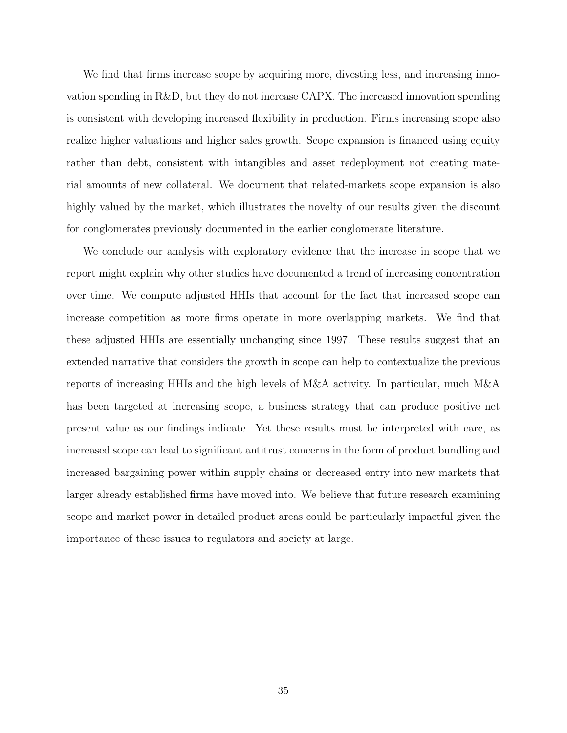We find that firms increase scope by acquiring more, divesting less, and increasing innovation spending in R&D, but they do not increase CAPX. The increased innovation spending is consistent with developing increased flexibility in production. Firms increasing scope also realize higher valuations and higher sales growth. Scope expansion is financed using equity rather than debt, consistent with intangibles and asset redeployment not creating material amounts of new collateral. We document that related-markets scope expansion is also highly valued by the market, which illustrates the novelty of our results given the discount for conglomerates previously documented in the earlier conglomerate literature.

We conclude our analysis with exploratory evidence that the increase in scope that we report might explain why other studies have documented a trend of increasing concentration over time. We compute adjusted HHIs that account for the fact that increased scope can increase competition as more firms operate in more overlapping markets. We find that these adjusted HHIs are essentially unchanging since 1997. These results suggest that an extended narrative that considers the growth in scope can help to contextualize the previous reports of increasing HHIs and the high levels of M&A activity. In particular, much M&A has been targeted at increasing scope, a business strategy that can produce positive net present value as our findings indicate. Yet these results must be interpreted with care, as increased scope can lead to significant antitrust concerns in the form of product bundling and increased bargaining power within supply chains or decreased entry into new markets that larger already established firms have moved into. We believe that future research examining scope and market power in detailed product areas could be particularly impactful given the importance of these issues to regulators and society at large.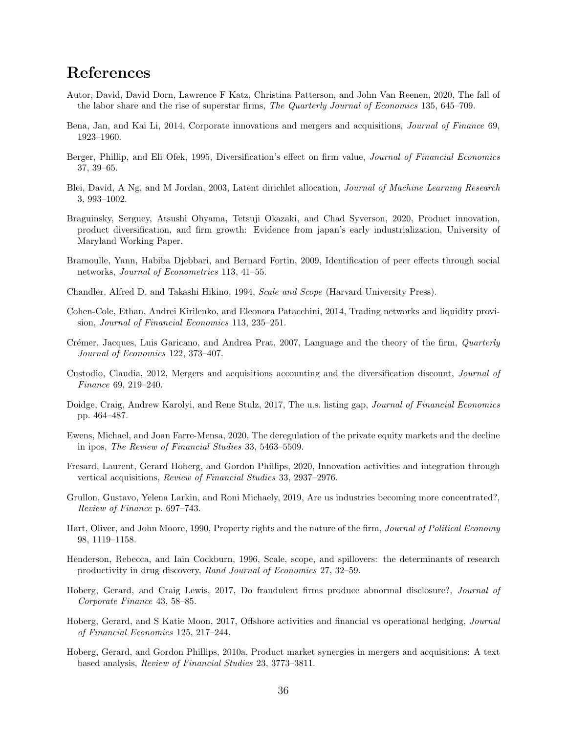# References

- Autor, David, David Dorn, Lawrence F Katz, Christina Patterson, and John Van Reenen, 2020, The fall of the labor share and the rise of superstar firms, The Quarterly Journal of Economics 135, 645–709.
- Bena, Jan, and Kai Li, 2014, Corporate innovations and mergers and acquisitions, Journal of Finance 69, 1923–1960.
- Berger, Phillip, and Eli Ofek, 1995, Diversification's effect on firm value, Journal of Financial Economics 37, 39–65.
- <span id="page-36-0"></span>Blei, David, A Ng, and M Jordan, 2003, Latent dirichlet allocation, Journal of Machine Learning Research 3, 993–1002.
- Braguinsky, Serguey, Atsushi Ohyama, Tetsuji Okazaki, and Chad Syverson, 2020, Product innovation, product diversification, and firm growth: Evidence from japan's early industrialization, University of Maryland Working Paper.
- Bramoulle, Yann, Habiba Djebbari, and Bernard Fortin, 2009, Identification of peer effects through social networks, Journal of Econometrics 113, 41–55.
- Chandler, Alfred D, and Takashi Hikino, 1994, Scale and Scope (Harvard University Press).
- Cohen-Cole, Ethan, Andrei Kirilenko, and Eleonora Patacchini, 2014, Trading networks and liquidity provision, Journal of Financial Economics 113, 235–251.
- Crémer, Jacques, Luis Garicano, and Andrea Prat, 2007, Language and the theory of the firm, *Quarterly* Journal of Economics 122, 373–407.
- Custodio, Claudia, 2012, Mergers and acquisitions accounting and the diversification discount, Journal of Finance 69, 219–240.
- Doidge, Craig, Andrew Karolyi, and Rene Stulz, 2017, The u.s. listing gap, Journal of Financial Economics pp. 464–487.
- Ewens, Michael, and Joan Farre-Mensa, 2020, The deregulation of the private equity markets and the decline in ipos, The Review of Financial Studies 33, 5463–5509.
- Fresard, Laurent, Gerard Hoberg, and Gordon Phillips, 2020, Innovation activities and integration through vertical acquisitions, Review of Financial Studies 33, 2937–2976.
- <span id="page-36-2"></span>Grullon, Gustavo, Yelena Larkin, and Roni Michaely, 2019, Are us industries becoming more concentrated?, Review of Finance p. 697–743.
- Hart, Oliver, and John Moore, 1990, Property rights and the nature of the firm, Journal of Political Economy 98, 1119–1158.
- Henderson, Rebecca, and Iain Cockburn, 1996, Scale, scope, and spillovers: the determinants of research productivity in drug discovery, Rand Journal of Economies 27, 32–59.
- <span id="page-36-1"></span>Hoberg, Gerard, and Craig Lewis, 2017, Do fraudulent firms produce abnormal disclosure?, Journal of Corporate Finance 43, 58–85.
- Hoberg, Gerard, and S Katie Moon, 2017, Offshore activities and financial vs operational hedging, Journal of Financial Economics 125, 217–244.
- Hoberg, Gerard, and Gordon Phillips, 2010a, Product market synergies in mergers and acquisitions: A text based analysis, Review of Financial Studies 23, 3773–3811.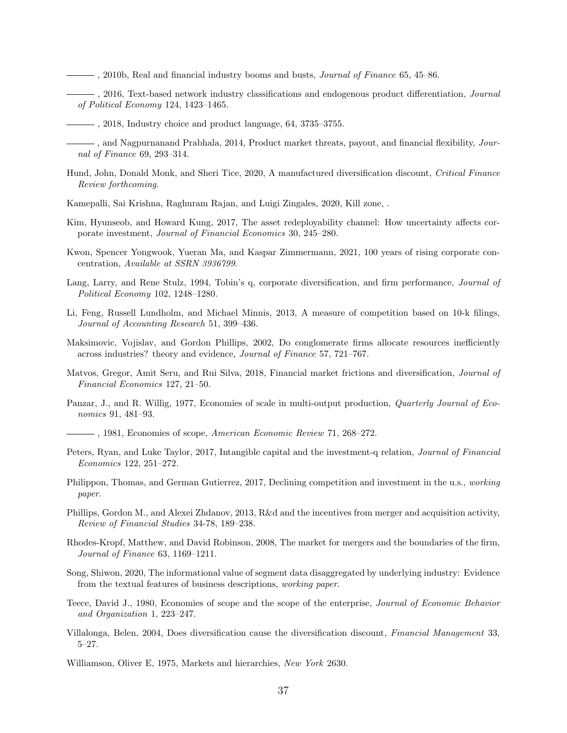- <span id="page-37-0"></span> $\rightarrow$ , 2010b, Real and financial industry booms and busts, *Journal of Finance* 65, 45–86.
- <span id="page-37-1"></span> $\frac{1}{2}$ , 2016, Text-based network industry classifications and endogenous product differentiation, *Journal* of Political Economy 124, 1423–1465.
	- , 2018, Industry choice and product language, 64, 3735–3755.

and Nagpurnanand Prabhala, 2014, Product market threats, payout, and financial flexibility, *Jour*nal of Finance 69, 293–314.

- Hund, John, Donald Monk, and Sheri Tice, 2020, A manufactured diversification discount, Critical Finance Review forthcoming.
- Kamepalli, Sai Krishna, Raghuram Rajan, and Luigi Zingales, 2020, Kill zone, .
- Kim, Hyunseob, and Howard Kung, 2017, The asset redeployability channel: How uncertainty affects corporate investment, Journal of Financial Economics 30, 245–280.
- Kwon, Spencer Yongwook, Yueran Ma, and Kaspar Zimmermann, 2021, 100 years of rising corporate concentration, Available at SSRN 3936799.
- Lang, Larry, and Rene Stulz, 1994, Tobin's q, corporate diversification, and firm performance, Journal of Political Economy 102, 1248–1280.
- <span id="page-37-2"></span>Li, Feng, Russell Lundholm, and Michael Minnis, 2013, A measure of competition based on 10-k filings, Journal of Accounting Research 51, 399–436.
- Maksimovic, Vojislav, and Gordon Phillips, 2002, Do conglomerate firms allocate resources inefficiently across industries? theory and evidence, Journal of Finance 57, 721–767.
- Matvos, Gregor, Amit Seru, and Rui Silva, 2018, Financial market frictions and diversification, Journal of Financial Economics 127, 21–50.
- Panzar, J., and R. Willig, 1977, Economies of scale in multi-output production, *Quarterly Journal of Eco*nomics 91, 481–93.
- $\frac{1}{2}$ , 1981, Economies of scope, American Economic Review 71, 268–272.
- Peters, Ryan, and Luke Taylor, 2017, Intangible capital and the investment-q relation, Journal of Financial Economics 122, 251–272.
- Philippon, Thomas, and German Gutierrez, 2017, Declining competition and investment in the u.s., working paper.
- Phillips, Gordon M., and Alexei Zhdanov, 2013, R&d and the incentives from merger and acquisition activity, Review of Financial Studies 34-78, 189–238.
- Rhodes-Kropf, Matthew, and David Robinson, 2008, The market for mergers and the boundaries of the firm, Journal of Finance 63, 1169–1211.
- Song, Shiwon, 2020, The informational value of segment data disaggregated by underlying industry: Evidence from the textual features of business descriptions, working paper.
- Teece, David J., 1980, Economies of scope and the scope of the enterprise, Journal of Economic Behavior and Organization 1, 223–247.
- Villalonga, Belen, 2004, Does diversification cause the diversification discount, Financial Management 33, 5–27.
- Williamson, Oliver E, 1975, Markets and hierarchies, New York 2630.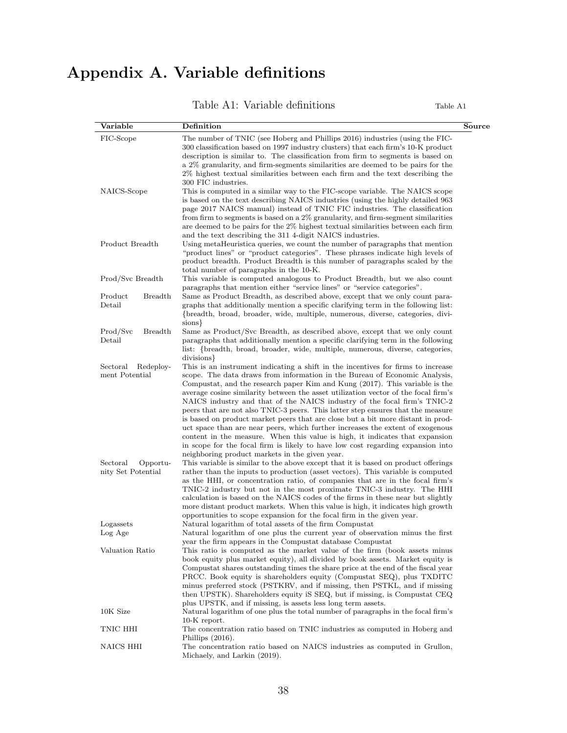# Appendix A. Variable definitions

Table A1: Variable definitions Table A1

| Variable                   | Definition                                                                         | Source |
|----------------------------|------------------------------------------------------------------------------------|--------|
| FIC-Scope                  | The number of TNIC (see Hoberg and Phillips 2016) industries (using the FIC-       |        |
|                            | 300 classification based on 1997 industry clusters) that each firm's 10-K product  |        |
|                            | description is similar to. The classification from firm to segments is based on    |        |
|                            | a 2% granularity, and firm-segments similarities are deemed to be pairs for the    |        |
|                            | 2% highest textual similarities between each firm and the text describing the      |        |
|                            | 300 FIC industries.                                                                |        |
| NAICS-Scope                | This is computed in a similar way to the FIC-scope variable. The NAICS scope       |        |
|                            | is based on the text describing NAICS industries (using the highly detailed 963)   |        |
|                            | page 2017 NAICS manual) instead of TNIC FIC industries. The classification         |        |
|                            | from firm to segments is based on a 2% granularity, and firm-segment similarities  |        |
|                            | are deemed to be pairs for the 2% highest textual similarities between each firm   |        |
|                            | and the text describing the 311 4-digit NAICS industries.                          |        |
| Product Breadth            | Using metaHeuristica queries, we count the number of paragraphs that mention       |        |
|                            | "product lines" or "product categories". These phrases indicate high levels of     |        |
|                            | product breadth. Product Breadth is this number of paragraphs scaled by the        |        |
|                            | total number of paragraphs in the 10-K.                                            |        |
| Prod/Svc Breadth           | This variable is computed analogous to Product Breadth, but we also count          |        |
|                            | paragraphs that mention either "service lines" or "service categories".            |        |
| Product<br><b>Breadth</b>  | Same as Product Breadth, as described above, except that we only count para-       |        |
| Detail                     | graphs that additionally mention a specific clarifying term in the following list: |        |
|                            | {breadth, broad, broader, wide, multiple, numerous, diverse, categories, divi-     |        |
|                            | sions }                                                                            |        |
| <b>Breadth</b><br>Prod/Svc | Same as Product/Svc Breadth, as described above, except that we only count         |        |
| Detail                     | paragraphs that additionally mention a specific clarifying term in the following   |        |
|                            | list: {breadth, broad, broader, wide, multiple, numerous, diverse, categories,     |        |
|                            | divisions }                                                                        |        |
| Sectoral<br>Redeploy-      | This is an instrument indicating a shift in the incentives for firms to increase   |        |
| ment Potential             | scope. The data draws from information in the Bureau of Economic Analysis,         |        |
|                            | Compustat, and the research paper Kim and Kung (2017). This variable is the        |        |
|                            | average cosine similarity between the asset utilization vector of the focal firm's |        |
|                            | NAICS industry and that of the NAICS industry of the focal firm's TNIC-2           |        |
|                            | peers that are not also TNIC-3 peers. This latter step ensures that the measure    |        |
|                            | is based on product market peers that are close but a bit more distant in prod-    |        |
|                            | uct space than are near peers, which further increases the extent of exogenous     |        |
|                            | content in the measure. When this value is high, it indicates that expansion       |        |
|                            | in scope for the focal firm is likely to have low cost regarding expansion into    |        |
|                            | neighboring product markets in the given year.                                     |        |
| Sectoral<br>Opportu-       | This variable is similar to the above except that it is based on product offerings |        |
| nity Set Potential         | rather than the inputs to production (asset vectors). This variable is computed    |        |
|                            | as the HHI, or concentration ratio, of companies that are in the focal firm's      |        |
|                            | TNIC-2 industry but not in the most proximate TNIC-3 industry. The HHI             |        |
|                            | calculation is based on the NAICS codes of the firms in these near but slightly    |        |
|                            | more distant product markets. When this value is high, it indicates high growth    |        |
|                            | opportunities to scope expansion for the focal firm in the given year.             |        |
| Logassets                  | Natural logarithm of total assets of the firm Compustat                            |        |
| Log Age                    | Natural logarithm of one plus the current year of observation minus the first      |        |
|                            | year the firm appears in the Compustat database Compustat                          |        |
| Valuation Ratio            | This ratio is computed as the market value of the firm (book assets minus          |        |
|                            | book equity plus market equity), all divided by book assets. Market equity is      |        |
|                            | Compustat shares outstanding times the share price at the end of the fiscal year   |        |
|                            | PRCC. Book equity is shareholders equity (Compustat SEQ), plus TXDITC              |        |
|                            | minus preferred stock (PSTKRV, and if missing, then PSTKL, and if missing          |        |
|                            | then UPSTK). Shareholders equity iS SEQ, but if missing, is Compustat CEQ          |        |
|                            | plus UPSTK, and if missing, is assets less long term assets.                       |        |
| 10K Size                   | Natural logarithm of one plus the total number of paragraphs in the focal firm's   |        |
|                            | 10-K report.                                                                       |        |
| TNIC HHI                   | The concentration ratio based on TNIC industries as computed in Hoberg and         |        |
|                            | Phillips $(2016)$ .                                                                |        |
| NAICS HHI                  | The concentration ratio based on NAICS industries as computed in Grullon,          |        |
|                            | Michaely, and Larkin (2019).                                                       |        |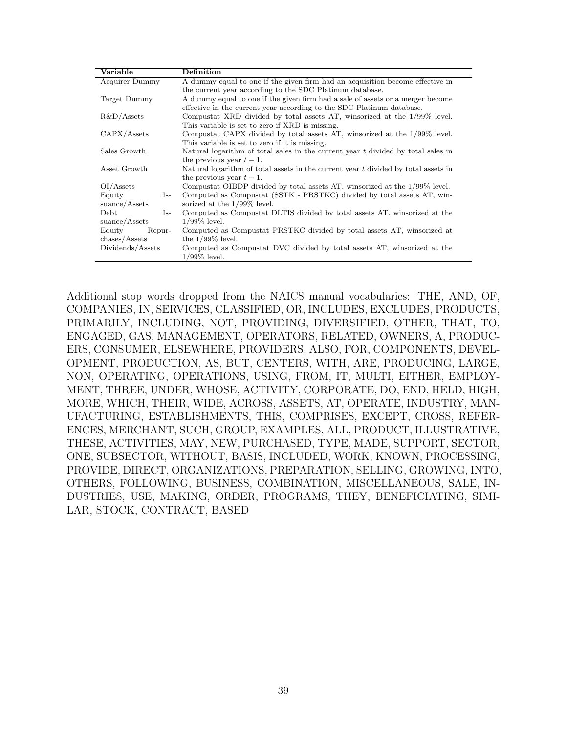| Variable                          | Definition                                                                           |  |  |  |  |  |
|-----------------------------------|--------------------------------------------------------------------------------------|--|--|--|--|--|
| Acquirer Dummy                    | A dummy equal to one if the given firm had an acquisition become effective in        |  |  |  |  |  |
|                                   | the current year according to the SDC Platinum database.                             |  |  |  |  |  |
| Target Dummy                      | A dummy equal to one if the given firm had a sale of assets or a merger become       |  |  |  |  |  |
|                                   | effective in the current year according to the SDC Platinum database.                |  |  |  |  |  |
| $R&D/A$ ssets                     | Compustat XRD divided by total assets AT, winsorized at the 1/99% level.             |  |  |  |  |  |
|                                   | This variable is set to zero if XRD is missing.                                      |  |  |  |  |  |
| CAPX/Assets                       | Compustat CAPX divided by total assets AT, winsorized at the 1/99% level.            |  |  |  |  |  |
|                                   | This variable is set to zero if it is missing.                                       |  |  |  |  |  |
| Sales Growth                      | Natural logarithm of total sales in the current year $t$ divided by total sales in   |  |  |  |  |  |
|                                   | the previous year $t-1$ .                                                            |  |  |  |  |  |
| Asset Growth                      | Natural logarithm of total assets in the current year $t$ divided by total assets in |  |  |  |  |  |
|                                   | the previous year $t-1$ .                                                            |  |  |  |  |  |
| OI/Assets                         | Compustat OIBDP divided by total assets AT, winsorized at the 1/99% level.           |  |  |  |  |  |
| Equity<br>$Is-$                   | Computed as Compustat (SSTK - PRSTKC) divided by total assets AT, win-               |  |  |  |  |  |
| sunce/Assets                      | sorized at the $1/99\%$ level.                                                       |  |  |  |  |  |
| Debt<br>Is-                       | Computed as Compustat DLTIS divided by total assets AT, winsorized at the            |  |  |  |  |  |
| suance/Assets                     | $1/99\%$ level.                                                                      |  |  |  |  |  |
| Equity<br>Repur-                  | Computed as Compustat PRSTKC divided by total assets AT, winsorized at               |  |  |  |  |  |
| $\mathrm{chases}/\mathrm{Assets}$ | the $1/99\%$ level.                                                                  |  |  |  |  |  |
| Dividends/Assets                  | Computed as Compustat DVC divided by total assets AT, winsorized at the              |  |  |  |  |  |
|                                   | $1/99\%$ level.                                                                      |  |  |  |  |  |
|                                   |                                                                                      |  |  |  |  |  |

Additional stop words dropped from the NAICS manual vocabularies: THE, AND, OF, COMPANIES, IN, SERVICES, CLASSIFIED, OR, INCLUDES, EXCLUDES, PRODUCTS, PRIMARILY, INCLUDING, NOT, PROVIDING, DIVERSIFIED, OTHER, THAT, TO, ENGAGED, GAS, MANAGEMENT, OPERATORS, RELATED, OWNERS, A, PRODUC-ERS, CONSUMER, ELSEWHERE, PROVIDERS, ALSO, FOR, COMPONENTS, DEVEL-OPMENT, PRODUCTION, AS, BUT, CENTERS, WITH, ARE, PRODUCING, LARGE, NON, OPERATING, OPERATIONS, USING, FROM, IT, MULTI, EITHER, EMPLOY-MENT, THREE, UNDER, WHOSE, ACTIVITY, CORPORATE, DO, END, HELD, HIGH, MORE, WHICH, THEIR, WIDE, ACROSS, ASSETS, AT, OPERATE, INDUSTRY, MAN-UFACTURING, ESTABLISHMENTS, THIS, COMPRISES, EXCEPT, CROSS, REFER-ENCES, MERCHANT, SUCH, GROUP, EXAMPLES, ALL, PRODUCT, ILLUSTRATIVE, THESE, ACTIVITIES, MAY, NEW, PURCHASED, TYPE, MADE, SUPPORT, SECTOR, ONE, SUBSECTOR, WITHOUT, BASIS, INCLUDED, WORK, KNOWN, PROCESSING, PROVIDE, DIRECT, ORGANIZATIONS, PREPARATION, SELLING, GROWING, INTO, OTHERS, FOLLOWING, BUSINESS, COMBINATION, MISCELLANEOUS, SALE, IN-DUSTRIES, USE, MAKING, ORDER, PROGRAMS, THEY, BENEFICIATING, SIMI-LAR, STOCK, CONTRACT, BASED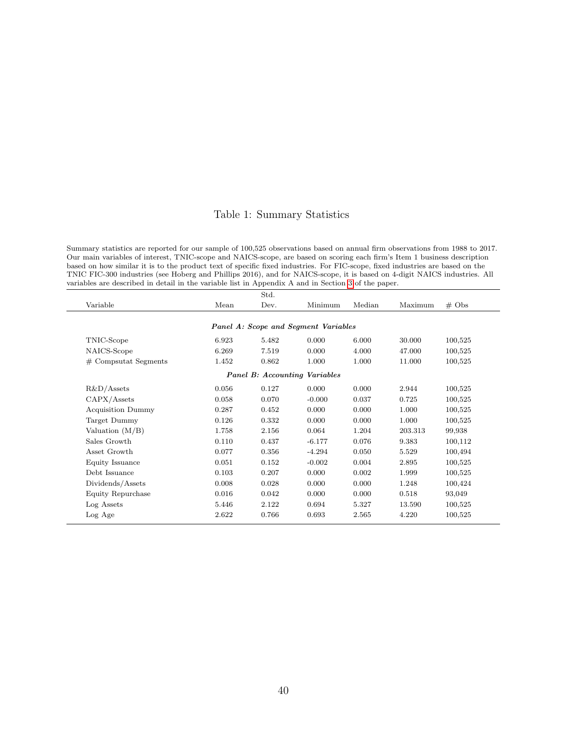#### Table 1: Summary Statistics

Summary statistics are reported for our sample of 100,525 observations based on annual firm observations from 1988 to 2017. Our main variables of interest, TNIC-scope and NAICS-scope, are based on scoring each firm's Item 1 business description based on how similar it is to the product text of specific fixed industries. For FIC-scope, fixed industries are based on the TNIC FIC-300 industries (see Hoberg and Phillips 2016), and for NAICS-scope, it is based on 4-digit NAICS industries. All variables are described in detail in the variable list in Appendix A and in Section [3](#page-6-0) of the paper.

| Std.                                 |       |       |          |        |         |                   |  |  |  |
|--------------------------------------|-------|-------|----------|--------|---------|-------------------|--|--|--|
| Variable                             | Mean  | Dev.  | Minimum  | Median | Maximum | $# \; \text{Obs}$ |  |  |  |
|                                      |       |       |          |        |         |                   |  |  |  |
| Panel A: Scope and Segment Variables |       |       |          |        |         |                   |  |  |  |
| TNIC-Scope                           | 6.923 | 5.482 | 0.000    | 6.000  | 30.000  | 100,525           |  |  |  |
| NAICS-Scope                          | 6.269 | 7.519 | 0.000    | 4.000  | 47.000  | 100,525           |  |  |  |
| $#$ Compsutat Segments               | 1.452 | 0.862 | 1.000    | 1.000  | 11.000  | 100,525           |  |  |  |
| <b>Panel B:</b> Accounting Variables |       |       |          |        |         |                   |  |  |  |
| $R&D/A$ ssets                        | 0.056 | 0.127 | 0.000    | 0.000  | 2.944   | 100,525           |  |  |  |
| CAPX/Assets                          | 0.058 | 0.070 | $-0.000$ | 0.037  | 0.725   | 100,525           |  |  |  |
| <b>Acquisition Dummy</b>             | 0.287 | 0.452 | 0.000    | 0.000  | 1.000   | 100,525           |  |  |  |
| Target Dummy                         | 0.126 | 0.332 | 0.000    | 0.000  | 1.000   | 100,525           |  |  |  |
| Valuation $(M/B)$                    | 1.758 | 2.156 | 0.064    | 1.204  | 203.313 | 99,938            |  |  |  |
| Sales Growth                         | 0.110 | 0.437 | $-6.177$ | 0.076  | 9.383   | 100,112           |  |  |  |
| Asset Growth                         | 0.077 | 0.356 | $-4.294$ | 0.050  | 5.529   | 100,494           |  |  |  |
| Equity Issuance                      | 0.051 | 0.152 | $-0.002$ | 0.004  | 2.895   | 100,525           |  |  |  |
| Debt Issuance                        | 0.103 | 0.207 | 0.000    | 0.002  | 1.999   | 100,525           |  |  |  |
| Dividends/Assets                     | 0.008 | 0.028 | 0.000    | 0.000  | 1.248   | 100,424           |  |  |  |
| Equity Repurchase                    | 0.016 | 0.042 | 0.000    | 0.000  | 0.518   | 93,049            |  |  |  |
| Log Assets                           | 5.446 | 2.122 | 0.694    | 5.327  | 13.590  | 100,525           |  |  |  |
| Log Age                              | 2.622 | 0.766 | 0.693    | 2.565  | 4.220   | 100,525           |  |  |  |
|                                      |       |       |          |        |         |                   |  |  |  |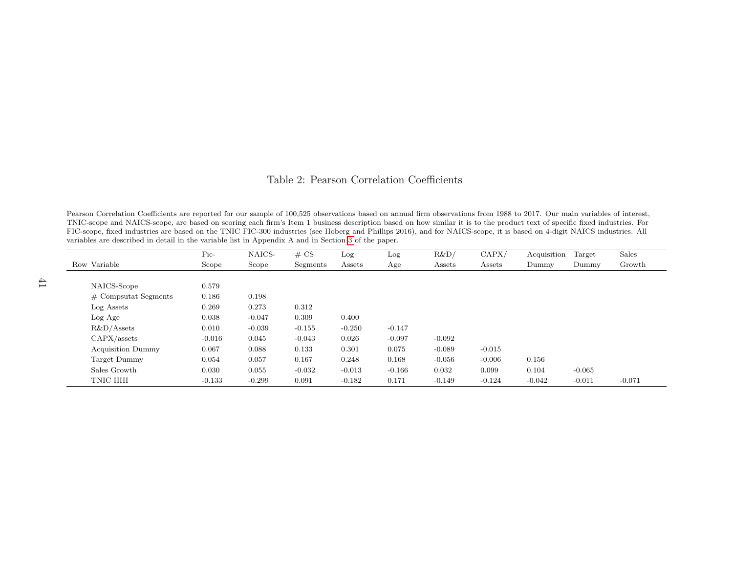#### Table 2: Pearson Correlation Coefficients

Pearson Correlation Coefficients are reported for our sample of 100,525 observations based on annual firm observations from 1988 to 2017. Our main variables of interest, TNIC-scope and NAICS-scope, are based on scoring each firm's Item 1 business description based on how similar it is to the product text of specific fixed industries. For FIC-scope, fixed industries are based on the TNIC FIC-300 industries (see Hoberg and Phillips 2016), and for NAICS-scope, it is based on 4-digit NAICS industries. Allvariables are described in detail in the variable list in Appendix A and in Section [3](#page-6-1) of the paper.

|                          | $Fic-$   | NAICS-   | # CS     | Log      | Log      | R&D      | CAPX/    | Acquisition | Target   | Sales    |
|--------------------------|----------|----------|----------|----------|----------|----------|----------|-------------|----------|----------|
| Row Variable             | Scope    | Scope    | Segments | Assets   | Age      | Assets   | Assets   | Dummy       | Dummy    | Growth   |
|                          |          |          |          |          |          |          |          |             |          |          |
| NAICS-Scope              | 0.579    |          |          |          |          |          |          |             |          |          |
| $\#$ Compsutat Segments  | 0.186    | 0.198    |          |          |          |          |          |             |          |          |
| Log Assets               | 0.269    | 0.273    | 0.312    |          |          |          |          |             |          |          |
| Log Age                  | 0.038    | $-0.047$ | 0.309    | 0.400    |          |          |          |             |          |          |
| $R&D/A$ ssets            | 0.010    | $-0.039$ | $-0.155$ | $-0.250$ | $-0.147$ |          |          |             |          |          |
| CAPX/assets              | $-0.016$ | 0.045    | $-0.043$ | 0.026    | $-0.097$ | $-0.092$ |          |             |          |          |
| <b>Acquisition Dummy</b> | 0.067    | 0.088    | 0.133    | 0.301    | 0.075    | $-0.089$ | $-0.015$ |             |          |          |
| Target Dummy             | 0.054    | 0.057    | 0.167    | 0.248    | 0.168    | $-0.056$ | $-0.006$ | 0.156       |          |          |
| Sales Growth             | 0.030    | 0.055    | $-0.032$ | $-0.013$ | $-0.166$ | 0.032    | 0.099    | 0.104       | $-0.065$ |          |
| TNIC HHI                 | $-0.133$ | $-0.299$ | 0.091    | $-0.182$ | 0.171    | $-0.149$ | $-0.124$ | $-0.042$    | $-0.011$ | $-0.071$ |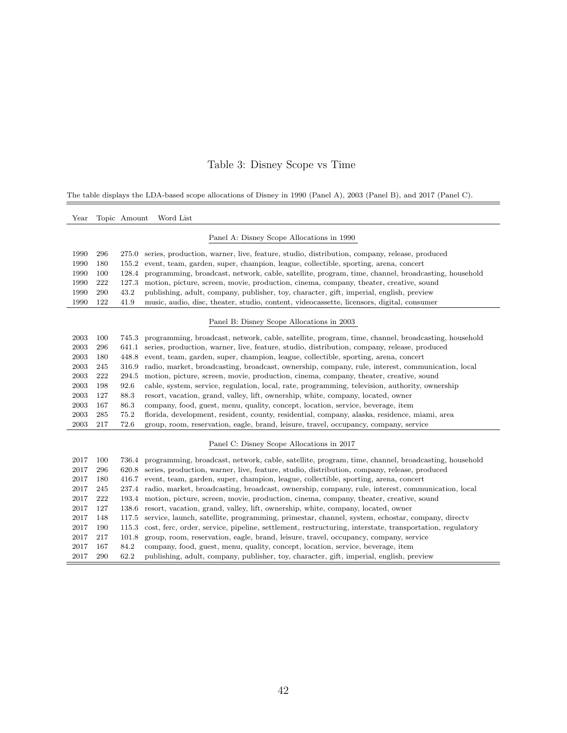# Table 3: Disney Scope vs Time

The table displays the LDA-based scope allocations of Disney in 1990 (Panel A), 2003 (Panel B), and 2017 (Panel C).

| Year |     | Topic Amount | Word List                                                                                                |
|------|-----|--------------|----------------------------------------------------------------------------------------------------------|
|      |     |              | Panel A: Disney Scope Allocations in 1990                                                                |
| 1990 | 296 | 275.0        | series, production, warner, live, feature, studio, distribution, company, release, produced              |
| 1990 | 180 | 155.2        | event, team, garden, super, champion, league, collectible, sporting, arena, concert                      |
| 1990 | 100 | 128.4        | programming, broadcast, network, cable, satellite, program, time, channel, broadcasting, household       |
| 1990 | 222 | 127.3        | motion, picture, screen, movie, production, cinema, company, theater, creative, sound                    |
| 1990 | 290 | 43.2         | publishing, adult, company, publisher, toy, character, gift, imperial, english, preview                  |
| 1990 | 122 | 41.9         | music, audio, disc, theater, studio, content, videocassette, licensors, digital, consumer                |
|      |     |              | Panel B: Disney Scope Allocations in 2003                                                                |
| 2003 | 100 | 745.3        | programming, broadcast, network, cable, satellite, program, time, channel, broadcasting, household       |
| 2003 | 296 | 641.1        | series, production, warner, live, feature, studio, distribution, company, release, produced              |
| 2003 | 180 | 448.8        | event, team, garden, super, champion, league, collectible, sporting, arena, concert                      |
| 2003 | 245 | 316.9        | radio, market, broadcasting, broadcast, ownership, company, rule, interest, communication, local         |
| 2003 | 222 | 294.5        | motion, picture, screen, movie, production, cinema, company, theater, creative, sound                    |
| 2003 | 198 | 92.6         | cable, system, service, regulation, local, rate, programming, television, authority, ownership           |
| 2003 | 127 | 88.3         | resort, vacation, grand, valley, lift, ownership, white, company, located, owner                         |
| 2003 | 167 | 86.3         | company, food, guest, menu, quality, concept, location, service, beverage, item                          |
| 2003 | 285 | 75.2         | florida, development, resident, county, residential, company, alaska, residence, miami, area             |
| 2003 | 217 | 72.6         | group, room, reservation, eagle, brand, leisure, travel, occupancy, company, service                     |
|      |     |              | Panel C: Disney Scope Allocations in 2017                                                                |
| 2017 | 100 |              | 736.4 programming, broadcast, network, cable, satellite, program, time, channel, broadcasting, household |
| 2017 | 296 |              | 620.8 series, production, warner, live, feature, studio, distribution, company, release, produced        |
| 2017 | 180 | 416.7        | event, team, garden, super, champion, league, collectible, sporting, arena, concert                      |
| 2017 | 245 | 237.4        | radio, market, broadcasting, broadcast, ownership, company, rule, interest, communication, local         |
| 2017 | 222 | 193.4        | motion, picture, screen, movie, production, cinema, company, theater, creative, sound                    |
| 2017 | 127 | 138.6        | resort, vacation, grand, valley, lift, ownership, white, company, located, owner                         |
| 2017 | 148 | 117.5        | service, launch, satellite, programming, primestar, channel, system, echostar, company, directv          |
| 2017 | 190 | 115.3        | cost, ferc, order, service, pipeline, settlement, restructuring, interstate, transportation, regulatory  |
| 2017 | 217 | 101.8        | group, room, reservation, eagle, brand, leisure, travel, occupancy, company, service                     |
| 2017 | 167 | 84.2         | company, food, guest, menu, quality, concept, location, service, beverage, item                          |
| 2017 | 290 | 62.2         | publishing, adult, company, publisher, toy, character, gift, imperial, english, preview                  |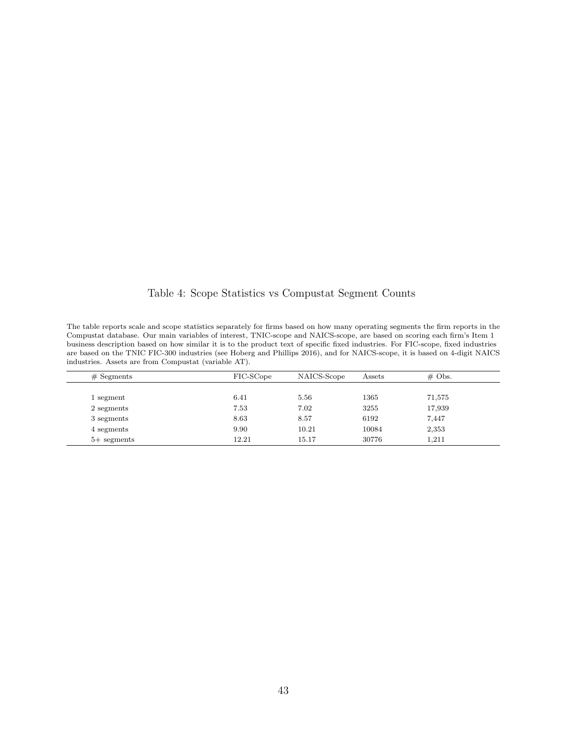Table 4: Scope Statistics vs Compustat Segment Counts

The table reports scale and scope statistics separately for firms based on how many operating segments the firm reports in the Compustat database. Our main variables of interest, TNIC-scope and NAICS-scope, are based on scoring each firm's Item 1 business description based on how similar it is to the product text of specific fixed industries. For FIC-scope, fixed industries are based on the TNIC FIC-300 industries (see Hoberg and Phillips 2016), and for NAICS-scope, it is based on 4-digit NAICS industries. Assets are from Compustat (variable AT).

| $#$ Segments  | FIC-SCope | NAICS-Scope | Assets | $\#$ Obs. |  |
|---------------|-----------|-------------|--------|-----------|--|
|               |           |             |        |           |  |
| 1 segment     | 6.41      | 5.56        | 1365   | 71,575    |  |
| 2 segments    | 7.53      | 7.02        | 3255   | 17,939    |  |
| 3 segments    | 8.63      | 8.57        | 6192   | 7,447     |  |
| 4 segments    | 9.90      | 10.21       | 10084  | 2,353     |  |
| $5+$ segments | 12.21     | 15.17       | 30776  | 1,211     |  |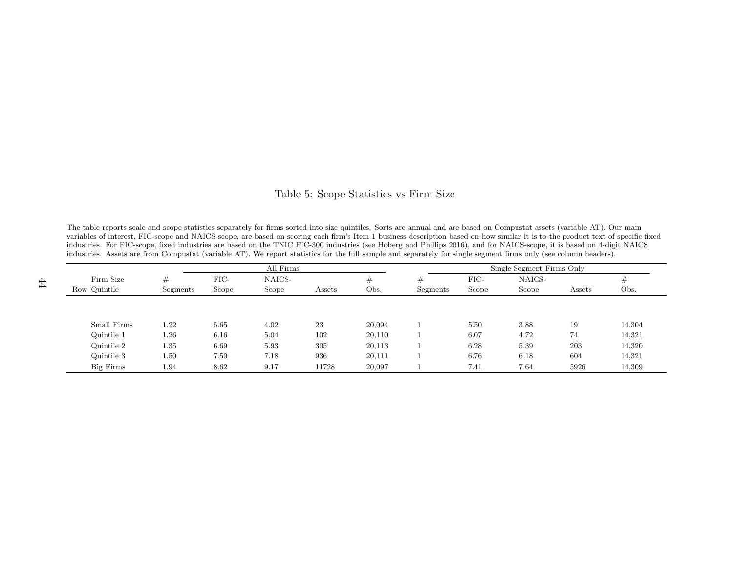#### Table 5: Scope Statistics vs Firm Size

The table reports scale and scope statistics separately for firms sorted into size quintiles. Sorts are annual and are based on Compustat assets (variable AT). Our main variables of interest, FIC-scope and NAICS-scope, are based on scoring each firm's Item 1 business description based on how similar it is to the product text of specific fixedindustries. For FIC-scope, fixed industries are based on the TNIC FIC-300 industries (see Hoberg and Phillips 2016), and for NAICS-scope, it is based on 4-digit NAICSindustries. Assets are from Compustat (variable AT). We report statistics for the full sample and separately for single segment firms only (see column headers).

| All Firms    |          |       |        |        |         | Single Segment Firms Only |       |        |        |        |
|--------------|----------|-------|--------|--------|---------|---------------------------|-------|--------|--------|--------|
| Firm Size    | #        | FIC-  | NAICS- |        | $^{\#}$ | #                         | FIC-  | NAICS- |        | #      |
| Row Quintile | Segments | Scope | Scope  | Assets | Obs.    | Segments                  | Scope | Scope  | Assets | Obs.   |
|              |          |       |        |        |         |                           |       |        |        |        |
|              |          |       |        |        |         |                           |       |        |        |        |
| Small Firms  | $1.22\,$ | 5.65  | 4.02   | 23     | 20,094  |                           | 5.50  | 3.88   | 19     | 14,304 |
| Quintile 1   | $1.26\,$ | 6.16  | 5.04   | 102    | 20,110  |                           | 6.07  | 4.72   | 74     | 14,321 |
| Quintile 2   | 1.35     | 6.69  | 5.93   | 305    | 20,113  |                           | 6.28  | 5.39   | 203    | 14,320 |
| Quintile 3   | 1.50     | 7.50  | 7.18   | 936    | 20,111  |                           | 6.76  | 6.18   | 604    | 14,321 |
| Big Firms    | 1.94     | 8.62  | 9.17   | 11728  | 20,097  |                           | 7.41  | 7.64   | 5926   | 14,309 |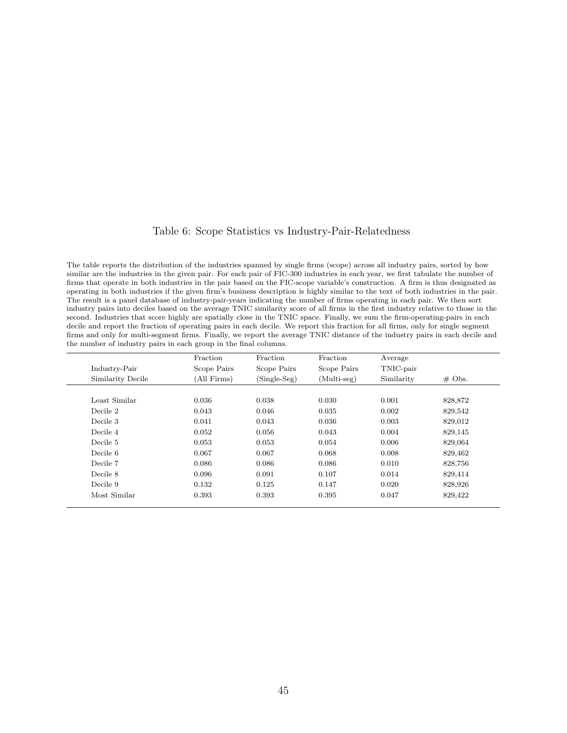#### Table 6: Scope Statistics vs Industry-Pair-Relatedness

The table reports the distribution of the industries spanned by single firms (scope) across all industry pairs, sorted by how similar are the industries in the given pair. For each pair of FIC-300 industries in each year, we first tabulate the number of firms that operate in both industries in the pair based on the FIC-scope variable's construction. A firm is thus designated as operating in both industries if the given firm's business description is highly similar to the text of both industries in the pair. The result is a panel database of industry-pair-years indicating the number of firms operating in each pair. We then sort industry pairs into deciles based on the average TNIC similarity score of all firms in the first industry relative to those in the second. Industries that score highly are spatially close in the TNIC space. Finally, we sum the firm-operating-pairs in each decile and report the fraction of operating pairs in each decile. We report this fraction for all firms, only for single segment firms and only for multi-segment firms. Finally, we report the average TNIC distance of the industry pairs in each decile and the number of industry pairs in each group in the final columns.

|                   | Fraction    | Fraction       | Fraction    | Average    |           |
|-------------------|-------------|----------------|-------------|------------|-----------|
| Industry-Pair     | Scope Pairs | Scope Pairs    | Scope Pairs | TNIC-pair  |           |
| Similarity Decile | (All Firms) | $(Single-Seg)$ | (Multi-seg) | Similarity | $\#$ Obs. |
|                   |             |                |             |            |           |
| Least Similar     | 0.036       | 0.038          | 0.030       | 0.001      | 828,872   |
| Decile 2          | 0.043       | 0.046          | 0.035       | 0.002      | 829,542   |
| Decile 3          | 0.041       | 0.043          | 0.036       | 0.003      | 829,012   |
| Decile 4          | 0.052       | 0.056          | 0.043       | 0.004      | 829,145   |
| Decile 5          | 0.053       | 0.053          | 0.054       | 0.006      | 829,064   |
| Decile 6          | 0.067       | 0.067          | 0.068       | 0.008      | 829,462   |
| Decile 7          | 0.086       | 0.086          | 0.086       | 0.010      | 828,756   |
| Decile 8          | 0.096       | 0.091          | 0.107       | 0.014      | 829,414   |
| Decile 9          | 0.132       | 0.125          | 0.147       | 0.020      | 828,926   |
| Most Similar      | 0.393       | 0.393          | 0.395       | 0.047      | 829,422   |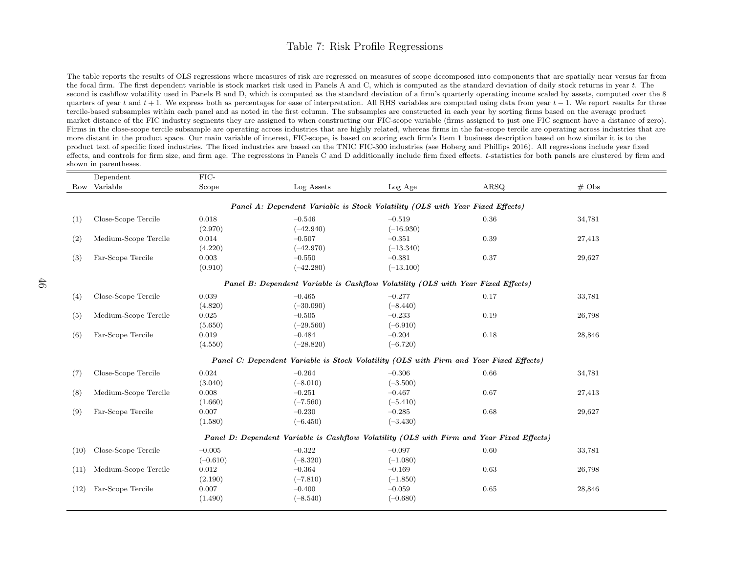#### Table 7: Risk Profile Regressions

The table reports the results of OLS regressions where measures of risk are regressed on measures of scope decomposed into components that are spatially near versus far fromthe focal firm. The first dependent variable is stock market risk used in Panels A and C, which is computed as the standard deviation of daily stock returns in year  $t$ . The second is cashflow volatility used in Panels B and D, which is computed as the standard deviation of <sup>a</sup> firm's quarterly operating income scaled by assets, computed over the 8quarters of year t and t + 1. We express both as percentages for ease of interpretation. All RHS variables are computed using data from year t − 1. We report results for three<br>traditional subsequence within a change of th tercile-based subsamples within each panel and as noted in the first column. The subsamples are constructed in each year by sorting firms based on the average product market distance of the FIC industry segments they are assigned to when constructing our FIC-scope variable (firms assigned to just one FIC segment have <sup>a</sup> distance of zero). Firms in the close-scope tercile subsample are operating across industries that are highly related, whereas firms in the far-scope tercile are operating across industries that aremore distant in the product space. Our main variable of interest, FIC-scope, is based on scoring each firm's Item 1 business description based on how similar it is to the product text of specific fixed industries. The fixed industries are based on the TNIC FIC-300 industries (see Hoberg and Phillips 2016). All regressions include year fixedeffects, and controls for firm size, and firm age. The regressions in Panels C and D additionally include firm fixed effects. t-statistics for both panels are clustered by firm and shown in parentheses.

|      | Dependent                                                                                 | $FIC-$     |                                                                                        |             |      |                   |  |  |  |  |
|------|-------------------------------------------------------------------------------------------|------------|----------------------------------------------------------------------------------------|-------------|------|-------------------|--|--|--|--|
|      | Row Variable                                                                              | Scope      | Log Assets                                                                             | Log Age     | ARSQ | $# \; \text{Obs}$ |  |  |  |  |
|      |                                                                                           |            |                                                                                        |             |      |                   |  |  |  |  |
|      | Panel A: Dependent Variable is Stock Volatility (OLS with Year Fixed Effects)             |            |                                                                                        |             |      |                   |  |  |  |  |
| (1)  | Close-Scope Tercile                                                                       | 0.018      | $-0.546$                                                                               | $-0.519$    | 0.36 | 34,781            |  |  |  |  |
|      |                                                                                           | (2.970)    | $(-42.940)$                                                                            | $(-16.930)$ |      |                   |  |  |  |  |
| (2)  | Medium-Scope Tercile                                                                      | 0.014      | $-0.507$                                                                               | $-0.351$    | 0.39 | 27,413            |  |  |  |  |
|      |                                                                                           | (4.220)    | $(-42.970)$                                                                            | $(-13.340)$ |      |                   |  |  |  |  |
| (3)  | Far-Scope Tercile                                                                         | 0.003      | $-0.550$                                                                               | $-0.381$    | 0.37 | 29,627            |  |  |  |  |
|      |                                                                                           | (0.910)    | $(-42.280)$                                                                            | $(-13.100)$ |      |                   |  |  |  |  |
|      |                                                                                           |            | Panel B: Dependent Variable is Cashflow Volatility (OLS with Year Fixed Effects)       |             |      |                   |  |  |  |  |
| (4)  | Close-Scope Tercile                                                                       | 0.039      | $-0.465$                                                                               | $-0.277$    | 0.17 | 33,781            |  |  |  |  |
|      |                                                                                           | (4.820)    | $(-30.090)$                                                                            | $(-8.440)$  |      |                   |  |  |  |  |
| (5)  | Medium-Scope Tercile                                                                      | 0.025      | $-0.505$                                                                               | $-0.233$    | 0.19 | 26,798            |  |  |  |  |
|      |                                                                                           | (5.650)    | $(-29.560)$                                                                            | $(-6.910)$  |      |                   |  |  |  |  |
| (6)  | Far-Scope Tercile                                                                         | 0.019      | $-0.484$                                                                               | $-0.204$    | 0.18 | 28,846            |  |  |  |  |
|      |                                                                                           | (4.550)    | $(-28.820)$                                                                            | $(-6.720)$  |      |                   |  |  |  |  |
|      |                                                                                           |            | Panel C: Dependent Variable is Stock Volatility (OLS with Firm and Year Fixed Effects) |             |      |                   |  |  |  |  |
| (7)  | Close-Scope Tercile                                                                       | 0.024      | $-0.264$                                                                               | $-0.306$    | 0.66 | 34,781            |  |  |  |  |
|      |                                                                                           | (3.040)    | $(-8.010)$                                                                             | $(-3.500)$  |      |                   |  |  |  |  |
| (8)  | Medium-Scope Tercile                                                                      | 0.008      | $-0.251$                                                                               | $-0.467$    | 0.67 | 27,413            |  |  |  |  |
|      |                                                                                           | (1.660)    | $(-7.560)$                                                                             | $(-5.410)$  |      |                   |  |  |  |  |
| (9)  | Far-Scope Tercile                                                                         | 0.007      | $-0.230$                                                                               | $-0.285$    | 0.68 | 29,627            |  |  |  |  |
|      |                                                                                           | (1.580)    | $(-6.450)$                                                                             | $(-3.430)$  |      |                   |  |  |  |  |
|      | Panel D: Dependent Variable is Cashflow Volatility (OLS with Firm and Year Fixed Effects) |            |                                                                                        |             |      |                   |  |  |  |  |
| (10) | Close-Scope Tercile                                                                       | $-0.005$   | $-0.322$                                                                               | $-0.097$    | 0.60 | 33,781            |  |  |  |  |
|      |                                                                                           | $(-0.610)$ | $(-8.320)$                                                                             | $(-1.080)$  |      |                   |  |  |  |  |
| (11) | Medium-Scope Tercile                                                                      | 0.012      | $-0.364$                                                                               | $-0.169$    | 0.63 | 26,798            |  |  |  |  |
|      |                                                                                           | (2.190)    | $(-7.810)$                                                                             | $(-1.850)$  |      |                   |  |  |  |  |
| (12) | Far-Scope Tercile                                                                         | 0.007      | $-0.400$                                                                               | $-0.059$    | 0.65 | 28,846            |  |  |  |  |
|      |                                                                                           | (1.490)    | $(-8.540)$                                                                             | $(-0.680)$  |      |                   |  |  |  |  |
|      |                                                                                           |            |                                                                                        |             |      |                   |  |  |  |  |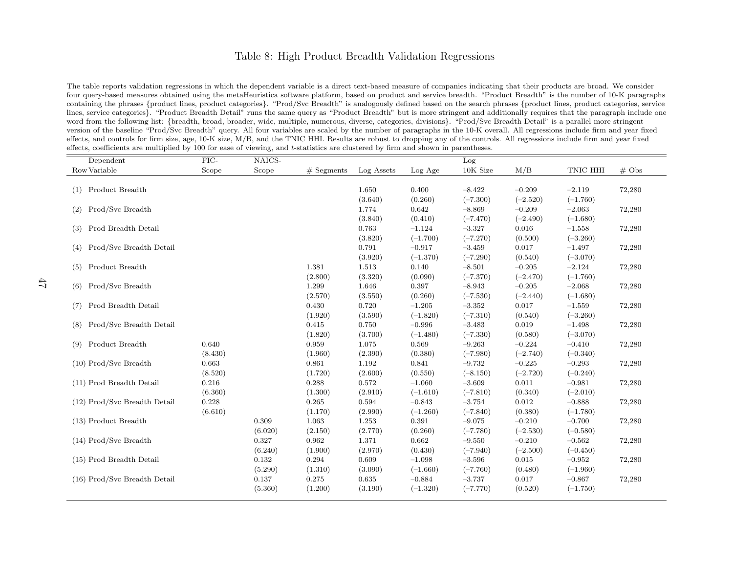#### <span id="page-47-1"></span>Table 8: High Product Breadth Validation Regressions

<span id="page-47-0"></span>The table reports validation regressions in which the dependent variable is <sup>a</sup> direct text-based measure of companies indicating that their products are broad. We consider four query-based measures obtained using the metaHeuristica software <sup>p</sup>latform, based on product and service breadth. "Product Breadth" is the number of 10-K paragraphs containing the phrases {product lines, product categories}. "Prod/Svc Breadth" is analogously defined based on the search <sup>p</sup>hrases {product lines, product categories, service lines, service categories}. "Product Breadth Detail" runs the same query as "Product Breadth" but is more stringent and additionally requires that the paragrap<sup>h</sup> include oneword from the following list: {breadth, broad, broader, wide, multiple, numerous, diverse, categories, divisions}. "Prod/Svc Breadth Detail" is <sup>a</sup> parallel more stringent version of the baseline "Prod/Svc Breadth" query. All four variables are scaled by the number of paragraphs in the 10-K overall. All regressions include firm and year fixedeffects, and controls for firm size, age, 10-K size, M/B, and the TNIC HHI. Results are robust to dropping any of the controls. All regressions include firm and year fixedeffects, coefficients are multiplied by 100 for ease of viewing, and <sup>t</sup>-statistics are clustered by firm and shown in parentheses.

| Dependent                      | FIC-    | NAICS-  |              |            |            | Log        |            |            |                   |
|--------------------------------|---------|---------|--------------|------------|------------|------------|------------|------------|-------------------|
| Row Variable                   | Scope   | Scope   | $#$ Segments | Log Assets | Log Age    | 10K Size   | M/B        | TNIC HHI   | $# \; \text{Obs}$ |
|                                |         |         |              |            |            |            |            |            |                   |
| Product Breadth<br>(1)         |         |         |              | 1.650      | 0.400      | $-8.422$   | $-0.209$   | $-2.119$   | 72,280            |
|                                |         |         |              | (3.640)    | (0.260)    | $(-7.300)$ | $(-2.520)$ | $(-1.760)$ |                   |
| Prod/Svc Breadth<br>(2)        |         |         |              | 1.774      | 0.642      | $-8.869$   | $-0.209$   | $-2.063$   | 72,280            |
|                                |         |         |              | (3.840)    | (0.410)    | $(-7.470)$ | $(-2.490)$ | $(-1.680)$ |                   |
| Prod Breadth Detail<br>(3)     |         |         |              | 0.763      | $-1.124$   | $-3.327$   | 0.016      | $-1.558$   | 72,280            |
|                                |         |         |              | (3.820)    | $(-1.700)$ | $(-7.270)$ | (0.500)    | $(-3.260)$ |                   |
| Prod/Svc Breadth Detail<br>(4) |         |         |              | 0.791      | $-0.917$   | $-3.459$   | 0.017      | $-1.497$   | 72,280            |
|                                |         |         |              | (3.920)    | $(-1.370)$ | $(-7.290)$ | (0.540)    | $(-3.070)$ |                   |
| Product Breadth<br>(5)         |         |         | 1.381        | 1.513      | 0.140      | $-8.501$   | $-0.205$   | $-2.124$   | 72,280            |
|                                |         |         | (2.800)      | (3.320)    | (0.090)    | $(-7.370)$ | $(-2.470)$ | $(-1.760)$ |                   |
| Prod/Svc Breadth<br>(6)        |         |         | 1.299        | 1.646      | $0.397\,$  | $-8.943$   | $-0.205$   | $-2.068$   | 72,280            |
|                                |         |         | (2.570)      | (3.550)    | (0.260)    | $(-7.530)$ | $(-2.440)$ | $(-1.680)$ |                   |
| Prod Breadth Detail<br>(7)     |         |         | 0.430        | 0.720      | $-1.205$   | $-3.352$   | 0.017      | $-1.559$   | 72,280            |
|                                |         |         | (1.920)      | (3.590)    | $(-1.820)$ | $(-7.310)$ | (0.540)    | $(-3.260)$ |                   |
| Prod/Svc Breadth Detail<br>(8) |         |         | 0.415        | 0.750      | $-0.996$   | $-3.483$   | 0.019      | $-1.498$   | 72,280            |
|                                |         |         | (1.820)      | (3.700)    | $(-1.480)$ | $(-7.330)$ | (0.580)    | $(-3.070)$ |                   |
| Product Breadth<br>(9)         | 0.640   |         | 0.959        | 1.075      | 0.569      | $-9.263$   | $-0.224$   | $-0.410$   | 72,280            |
|                                | (8.430) |         | (1.960)      | (2.390)    | (0.380)    | $(-7.980)$ | $(-2.740)$ | $(-0.340)$ |                   |
| $(10)$ Prod/Svc Breadth        | 0.663   |         | 0.861        | 1.192      | 0.841      | $-9.732$   | $-0.225$   | $-0.293$   | 72,280            |
|                                | (8.520) |         | (1.720)      | (2.600)    | (0.550)    | $(-8.150)$ | $(-2.720)$ | $(-0.240)$ |                   |
| (11) Prod Breadth Detail       | 0.216   |         | 0.288        | 0.572      | $-1.060$   | $-3.609$   | 0.011      | $-0.981$   | 72,280            |
|                                | (6.360) |         | (1.300)      | (2.910)    | $(-1.610)$ | $(-7.810)$ | (0.340)    | $(-2.010)$ |                   |
| (12) Prod/Svc Breadth Detail   | 0.228   |         | 0.265        | 0.594      | $-0.843$   | $-3.754$   | 0.012      | $-0.888$   | 72,280            |
|                                | (6.610) |         | (1.170)      | (2.990)    | $(-1.260)$ | $(-7.840)$ | (0.380)    | $(-1.780)$ |                   |
| (13) Product Breadth           |         | 0.309   | 1.063        | 1.253      | 0.391      | $-9.075$   | $-0.210$   | $-0.700$   | 72,280            |
|                                |         | (6.020) | (2.150)      | (2.770)    | (0.260)    | $(-7.780)$ | $(-2.530)$ | $(-0.580)$ |                   |
| $(14)$ Prod/Svc Breadth        |         | 0.327   | 0.962        | 1.371      | 0.662      | $-9.550$   | $-0.210$   | $-0.562$   | 72,280            |
|                                |         | (6.240) | (1.900)      | (2.970)    | (0.430)    | $(-7.940)$ | $(-2.500)$ | $(-0.450)$ |                   |
| (15) Prod Breadth Detail       |         | 0.132   | 0.294        | 0.609      | $-1.098$   | $-3.596$   | 0.015      | $-0.952$   | 72,280            |
|                                |         | (5.290) | (1.310)      | (3.090)    | $(-1.660)$ | $(-7.760)$ | (0.480)    | $(-1.960)$ |                   |
| (16) Prod/Svc Breadth Detail   |         | 0.137   | 0.275        | 0.635      | $-0.884$   | $-3.737$   | 0.017      | $-0.867$   | 72,280            |
|                                |         | (5.360) | (1.200)      | (3.190)    | $(-1.320)$ | $(-7.770)$ | (0.520)    | $(-1.750)$ |                   |
|                                |         |         |              |            |            |            |            |            |                   |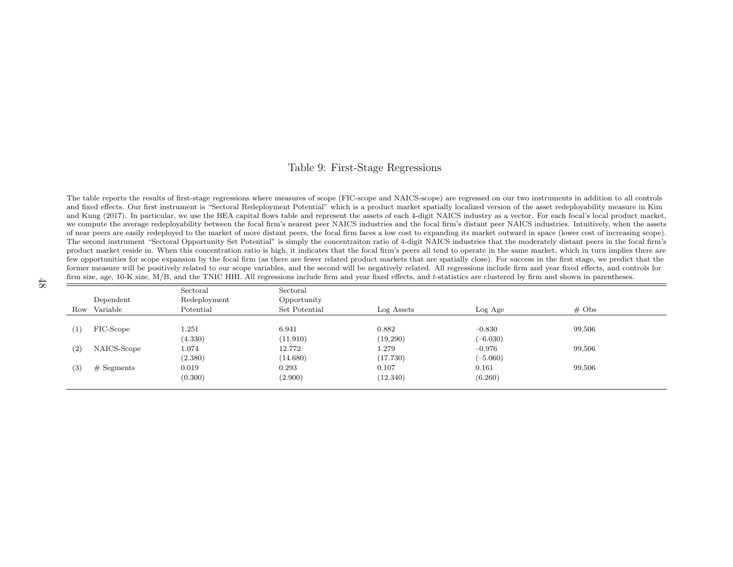#### <span id="page-48-0"></span>Table 9: First-Stage Regressions

<span id="page-48-1"></span>The table reports the results of first-stage regressions where measures of scope (FIC-scope and NAICS-scope) are regressed on our two instruments in addition to all controls and fixed effects. Our first instrument is "Sectoral Redeployment Potential" which is <sup>a</sup> product market spatially localized version of the asset redeployability measure in Kim and Kung (2017). In particular, we use the BEA capital flows table and represent the assets of each 4-digit NAICS industry as <sup>a</sup> vector. For each focal's local product market, we compute the average redeployability between the focal firm's nearest peer NAICS industries and the focal firm's distant peer NAICS industries. Intuitively, when the assets of near peers are easily redeployed to the market of more distant peers, the focal firm faces <sup>a</sup> low cost to expanding its market outward in space (lower cost of increasing scope). The second instrument "Sectoral Opportunity Set Potential" is simply the concentraiton ratio of 4-digit NAICS industries that the moderately distant peers in the focal firm's product market reside in. When this concentration ratio is high, it indicates that the focal firm's peers all tend to operate in the same market, which in turn implies there are few opportunities for scope expansion by the focal firm (as there are fewer related product markets that are spatially close). For success in the first stage, we predict that the former measure will be positively related to our scope variables, and the second will be negatively related. All regressions include firm and year fixed effects, and controls forfirm size, age, 10-K size, M/B, and the TNIC HHI. All regressions include firm and year fixed effects, and *t*-statistics are clustered by firm and shown in parentheses.

|     |              | Sectoral     | Sectoral      |            |            |                   |  |
|-----|--------------|--------------|---------------|------------|------------|-------------------|--|
|     | Dependent    | Redeployment | Opportunity   |            |            |                   |  |
|     | Row Variable | Potential    | Set Potential | Log Assets | Log Age    | $# \; \text{Obs}$ |  |
|     |              |              |               |            |            |                   |  |
| (1) | FIC-Scope    | 1.251        | 6.941         | 0.882      | $-0.830$   | 99,506            |  |
|     |              | (4.330)      | (11.910)      | (19.290)   | $(-6.030)$ |                   |  |
| (2) | NAICS-Scope  | 1.074        | 12.772        | 1.279      | $-0.976$   | 99,506            |  |
|     |              | (2.380)      | (14.680)      | (17.730)   | $(-5.060)$ |                   |  |
| (3) | $#$ Segments | 0.019        | 0.293         | 0.107      | 0.161      | 99,506            |  |
|     |              | (0.300)      | (2.900)       | (12.340)   | (6.260)    |                   |  |
|     |              |              |               |            |            |                   |  |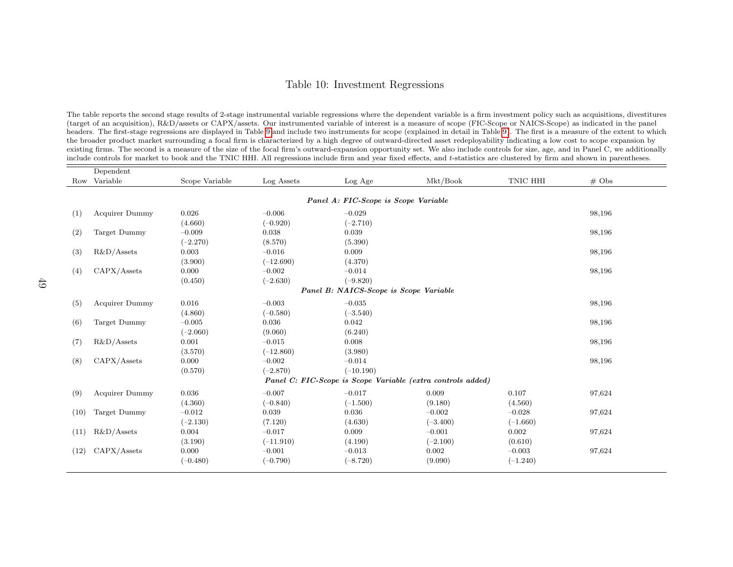#### <span id="page-49-1"></span>Table 10: Investment Regressions

<span id="page-49-0"></span>The table reports the second stage results of 2-stage instrumental variable regressions where the dependent variable is <sup>a</sup> firm investment policy such as acquisitions, divestitures(target of an acquisition), R&D/assets or CAPX/assets. Our instrumented variable of interest is <sup>a</sup> measure of scope (FIC-Scope or NAICS-Scope) as indicated in the pane<sup>l</sup> headers. The first-stage regressions are displayed in Table [9](#page-48-0) and include two instruments for scope (explained in detail in Table [9\)](#page-48-0). The first is <sup>a</sup> measure of the extent to whichthe broader product market surrounding <sup>a</sup> focal firm is characterized by <sup>a</sup> high degree of outward-directed asset redeployability indicating <sup>a</sup> low cost to scope expansion by existing firms. The second is <sup>a</sup> measure of the size of the focal firm's outward-expansion opportunity set. We also include controls for size, age, and in Panel C, we additionallyinclude controls for market to book and the TNIC HHI. All regressions include firm and year fixed effects, and <sup>t</sup>-statistics are clustered by firm and shown in parentheses.

|      | Dependent                              |                |             |                                      |                                                             |            |                   |  |  |  |
|------|----------------------------------------|----------------|-------------|--------------------------------------|-------------------------------------------------------------|------------|-------------------|--|--|--|
|      | Row Variable                           | Scope Variable | Log Assets  | Log Age                              | Mkt/Book                                                    | TNIC HHI   | $# \; \text{Obs}$ |  |  |  |
|      |                                        |                |             |                                      |                                                             |            |                   |  |  |  |
|      |                                        |                |             | Panel A: FIC-Scope is Scope Variable |                                                             |            |                   |  |  |  |
| (1)  | <b>Acquirer Dummy</b>                  | 0.026          | $-0.006$    | $-0.029$                             |                                                             |            | 98,196            |  |  |  |
|      |                                        | (4.660)        | $(-0.920)$  | $(-2.710)$                           |                                                             |            |                   |  |  |  |
| (2)  | Target Dummy                           | $-0.009$       | 0.038       | 0.039                                |                                                             |            | 98,196            |  |  |  |
|      |                                        | $(-2.270)$     | (8.570)     | (5.390)                              |                                                             |            |                   |  |  |  |
| (3)  | $R&D/A$ ssets                          | 0.003          | $-0.016$    | 0.009                                |                                                             |            | 98,196            |  |  |  |
|      |                                        | (3.900)        | $(-12.690)$ | (4.370)                              |                                                             |            |                   |  |  |  |
| (4)  | CAPX/Assets                            | 0.000          | $-0.002$    | $-0.014$                             |                                                             |            | 98,196            |  |  |  |
|      |                                        | (0.450)        | $(-2.630)$  | $(-9.820)$                           |                                                             |            |                   |  |  |  |
|      | Panel B: NAICS-Scope is Scope Variable |                |             |                                      |                                                             |            |                   |  |  |  |
| (5)  | <b>Acquirer Dummy</b>                  | 0.016          | $-0.003$    | $-0.035$                             |                                                             |            | 98,196            |  |  |  |
|      |                                        | (4.860)        | $(-0.580)$  | $(-3.540)$                           |                                                             |            |                   |  |  |  |
| (6)  | Target Dummy                           | $-0.005$       | 0.036       | 0.042                                |                                                             |            | 98,196            |  |  |  |
|      |                                        | $(-2.060)$     | (9.060)     | (6.240)                              |                                                             |            |                   |  |  |  |
| (7)  | R&D/Assets                             | 0.001          | $-0.015$    | 0.008                                |                                                             |            | 98,196            |  |  |  |
|      |                                        | (3.570)        | $(-12.860)$ | (3.980)                              |                                                             |            |                   |  |  |  |
| (8)  | CAPX/Assets                            | 0.000          | $-0.002$    | $-0.014$                             |                                                             |            | 98,196            |  |  |  |
|      |                                        | (0.570)        | $(-2.870)$  | $(-10.190)$                          |                                                             |            |                   |  |  |  |
|      |                                        |                |             |                                      | Panel C: FIC-Scope is Scope Variable (extra controls added) |            |                   |  |  |  |
| (9)  | <b>Acquirer Dummy</b>                  | 0.036          | $-0.007$    | $-0.017$                             | 0.009                                                       | 0.107      | 97,624            |  |  |  |
|      |                                        | (4.360)        | $(-0.840)$  | $(-1.500)$                           | (9.180)                                                     | (4.560)    |                   |  |  |  |
| (10) | Target Dummy                           | $-0.012$       | 0.039       | 0.036                                | $-0.002$                                                    | $-0.028$   | 97,624            |  |  |  |
|      |                                        | $(-2.130)$     | (7.120)     | (4.630)                              | $(-3.400)$                                                  | $(-1.660)$ |                   |  |  |  |
| (11) | $R&D/A$ ssets                          | 0.004          | $-0.017$    | 0.009                                | $-0.001$                                                    | 0.002      | 97,624            |  |  |  |
|      |                                        | (3.190)        | $(-11.910)$ | (4.190)                              | $(-2.100)$                                                  | (0.610)    |                   |  |  |  |
| (12) | CAPX/Assets                            | 0.000          | $-0.001$    | $-0.013$                             | 0.002                                                       | $-0.003$   | 97,624            |  |  |  |
|      |                                        | $(-0.480)$     | $(-0.790)$  | $(-8.720)$                           | (9.090)                                                     | $(-1.240)$ |                   |  |  |  |
|      |                                        |                |             |                                      |                                                             |            |                   |  |  |  |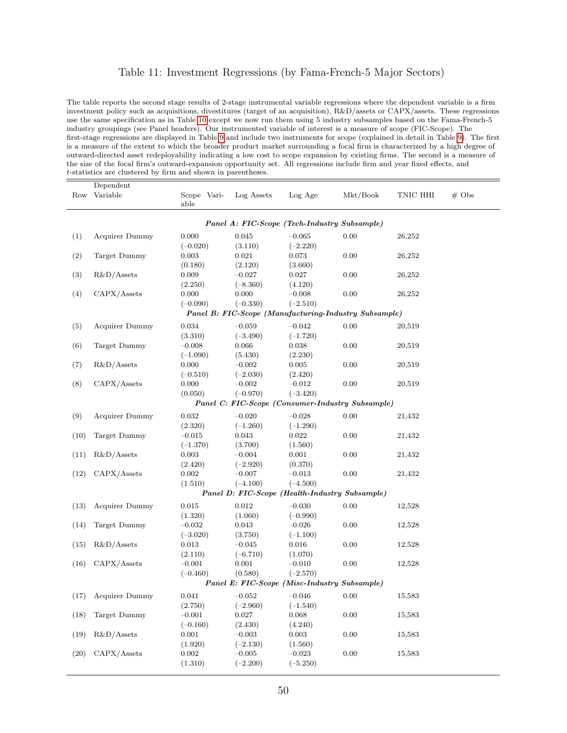#### Table 11: Investment Regressions (by Fama-French-5 Major Sectors)

The table reports the second stage results of 2-stage instrumental variable regressions where the dependent variable is a firm investment policy such as acquisitions, divestitures (target of an acquisition), R&D/assets or CAPX/assets. These regressions use the same specification as in Table [10](#page-49-0) except we now run them using 5 industry subsamples based on the Fama-French-5 industry groupings (see Panel headers). Our instrumented variable of interest is a measure of scope (FIC-Scope). The first-stage regressions are displayed in Table [9](#page-48-1) and include two instruments for scope (explained in detail in Table [9\)](#page-48-1). The first is a measure of the extent to which the broader product market surrounding a focal firm is characterized by a high degree of outward-directed asset redeployability indicating a low cost to scope expansion by existing firms. The second is a measure of the size of the focal firm's outward-expansion opportunity set. All regressions include firm and year fixed effects, and t-statistics are clustered by firm and shown in parentheses.

|      | Dependent             |                     |            |            |                                                       |          |                   |
|------|-----------------------|---------------------|------------|------------|-------------------------------------------------------|----------|-------------------|
| Row  | Variable              | Scope Vari-<br>able | Log Assets | Log Age    | Mkt/Book                                              | TNIC HHI | $# \; \text{Obs}$ |
|      |                       |                     |            |            | Panel A: FIC-Scope (Tech-Industry Subsample)          |          |                   |
| (1)  | Acquirer Dummy        | 0.000               | 0.045      | $-0.065$   | 0.00                                                  | 26,252   |                   |
|      |                       | $(-0.020)$          | (3.110)    | $(-2.220)$ |                                                       |          |                   |
| (2)  | Target Dummy          | 0.003               | 0.021      | 0.073      | 0.00                                                  | 26,252   |                   |
|      |                       | (0.180)             | (2.120)    | (3.660)    |                                                       |          |                   |
| (3)  | $R&D/A$ ssets         | 0.009               | $-0.027$   | 0.027      | 0.00                                                  | 26,252   |                   |
|      |                       | (2.250)             | $(-8.360)$ | (4.120)    |                                                       |          |                   |
| (4)  | CAPX/Assets           | 0.000               | 0.000      | $-0.008$   | 0.00                                                  | 26,252   |                   |
|      |                       | $(-0.090)$          | $(-0.330)$ | $(-2.510)$ |                                                       |          |                   |
|      |                       |                     |            |            | Panel B: FIC-Scope (Manufacturing-Industry Subsample) |          |                   |
| (5)  | <b>Acquirer Dummy</b> | 0.034               | $-0.059$   | $-0.042$   | 0.00                                                  | 20,519   |                   |
|      |                       | (3.310)             | $(-3.490)$ | $(-1.720)$ |                                                       |          |                   |
| (6)  | Target Dummy          | $-0.008$            | 0.066      | 0.038      | 0.00                                                  | 20,519   |                   |
|      |                       | $(-1.090)$          | (5.430)    | (2.230)    |                                                       |          |                   |
| (7)  | $R&D/A$ ssets         | 0.000               | $-0.002$   | 0.005      | 0.00                                                  | 20,519   |                   |
|      |                       | $(-0.510)$          | $(-2.030)$ | (2.420)    |                                                       |          |                   |
| (8)  | CAPX/Assets           | 0.000               | $-0.002$   | $-0.012$   | 0.00                                                  | 20,519   |                   |
|      |                       | (0.050)             | $(-0.970)$ | $(-3.420)$ |                                                       |          |                   |
|      |                       |                     |            |            | Panel C: FIC-Scope (Consumer-Industry Subsample)      |          |                   |
| (9)  | <b>Acquirer Dummy</b> | 0.032               | $-0.020$   | $-0.028$   | 0.00                                                  | 21,432   |                   |
|      |                       | (2.320)             | $(-1.260)$ | $(-1.290)$ |                                                       |          |                   |
| (10) | Target Dummy          | $-0.015$            | 0.043      | 0.022      | 0.00                                                  | 21,432   |                   |
|      |                       | $(-1.370)$          | (3.700)    | (1.560)    |                                                       |          |                   |
| (11) | $R&D/A$ ssets         | 0.003               | $-0.004$   | 0.001      | 0.00                                                  | 21,432   |                   |
|      |                       | (2.420)             | $(-2.920)$ | (0.370)    |                                                       |          |                   |
| (12) | CAPX/Assets           | 0.002               | $-0.007$   | $-0.013$   | 0.00                                                  | 21,432   |                   |
|      |                       | (1.510)             | $(-4.100)$ | $(-4.500)$ |                                                       |          |                   |
|      |                       |                     |            |            | Panel D: FIC-Scope (Health-Industry Subsample)        |          |                   |
| (13) | <b>Acquirer Dummy</b> | 0.015               | 0.012      | $-0.030$   | 0.00                                                  | 12,528   |                   |
|      |                       | (1.320)             | (1.060)    | $(-0.990)$ |                                                       |          |                   |
| (14) | Target Dummy          | $-0.032$            | 0.043      | $-0.026$   | 0.00                                                  | 12,528   |                   |
|      |                       | $(-3.020)$          | (3.750)    | $(-1.100)$ |                                                       |          |                   |
| (15) | $R&D/A$ ssets         | 0.013               | $-0.045$   | 0.016      | 0.00                                                  | 12,528   |                   |
|      |                       | (2.110)             | $(-6.710)$ | (1.070)    |                                                       |          |                   |
| (16) | CAPX/Assets           | $-0.001$            | 0.001      | $-0.010$   | 0.00                                                  | 12,528   |                   |
|      |                       | $(-0.460)$          | (0.580)    | $(-2.570)$ |                                                       |          |                   |
|      |                       |                     |            |            | Panel E: FIC-Scope (Misc-Industry Subsample)          |          |                   |
| (17) | <b>Acquirer Dummy</b> | 0.041               | $-0.052$   | $-0.046$   | 0.00                                                  | 15,583   |                   |
|      |                       | (2.750)             | $(-2.960)$ | $(-1.540)$ |                                                       |          |                   |
| (18) | Target Dummy          | $-0.001$            | 0.027      | 0.068      | 0.00                                                  | 15,583   |                   |
|      |                       | $(-0.160)$          | (2.430)    | (4.240)    |                                                       |          |                   |
| (19) | $R&D/A$ ssets         | 0.001               | $-0.003$   | 0.003      | 0.00                                                  | 15,583   |                   |
|      |                       | (1.920)             | $(-2.130)$ | (1.560)    |                                                       |          |                   |
| (20) | CAPX/Assets           | 0.002               | $-0.005$   | $-0.023$   | 0.00                                                  | 15,583   |                   |
|      |                       | (1.310)             | $(-2.200)$ | $(-5.250)$ |                                                       |          |                   |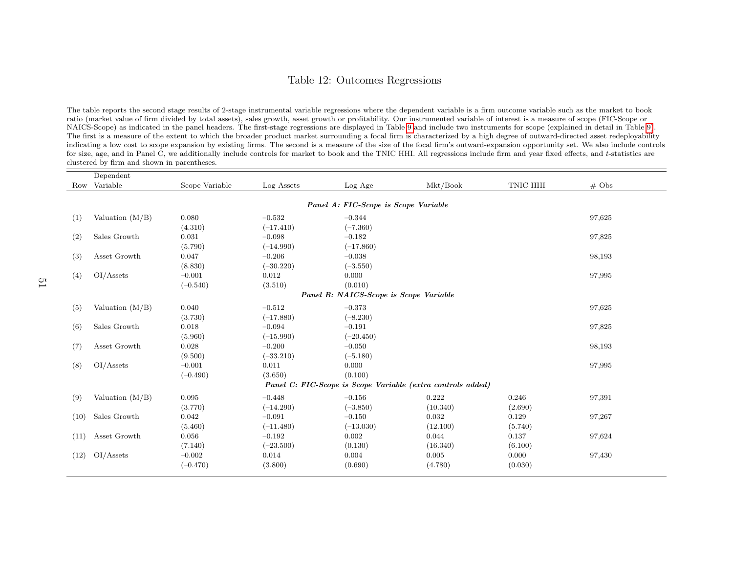#### <span id="page-51-0"></span>Table 12: Outcomes Regressions

The table reports the second stage results of 2-stage instrumental variable regressions where the dependent variable is <sup>a</sup> firm outcome variable such as the market to bookratio (market value of firm divided by total assets), sales growth, asset growth or profitability. Our instrumented variable of interest is <sup>a</sup> measure of scope (FIC-Scope or NAICS-Scope) as indicated in the pane<sup>l</sup> headers. The first-stage regressions are displayed in Table [9](#page-48-0) and include two instruments for scope (explained in detail in Table [9\)](#page-48-0).The first is a measure of the extent to which the broader product market surrounding a focal firm is characterized by a high degree of outward-directed asset redeployability indicating <sup>a</sup> low cost to scope expansion by existing firms. The second is <sup>a</sup> measure of the size of the focal firm's outward-expansion opportunity set. We also include controlsfor size, age, and in Panel C, we additionally include controls for market to book and the TNIC HHI. All regressions include firm and year fixed effects, and <sup>t</sup>-statistics are clustered by firm and shown in parentheses.

|      | Dependent                              |                |             |                                                             |          |          |                   |  |
|------|----------------------------------------|----------------|-------------|-------------------------------------------------------------|----------|----------|-------------------|--|
|      | Row Variable                           | Scope Variable | Log Assets  | Log Age                                                     | Mkt/Book | TNIC HHI | $# \; \text{Obs}$ |  |
|      |                                        |                |             |                                                             |          |          |                   |  |
|      |                                        |                |             | Panel A: FIC-Scope is Scope Variable                        |          |          |                   |  |
| (1)  | Valuation $(M/B)$                      | 0.080          | $-0.532$    | $-0.344$                                                    |          |          | 97,625            |  |
|      |                                        | (4.310)        | $(-17.410)$ | $(-7.360)$                                                  |          |          |                   |  |
| (2)  | Sales Growth                           | 0.031          | $-0.098$    | $-0.182$                                                    |          |          | 97,825            |  |
|      |                                        | (5.790)        | $(-14.990)$ | $(-17.860)$                                                 |          |          |                   |  |
| (3)  | Asset Growth                           | 0.047          | $-0.206$    | $-0.038$                                                    |          |          | 98,193            |  |
|      |                                        | (8.830)        | $(-30.220)$ | $(-3.550)$                                                  |          |          |                   |  |
| (4)  | OI/Assets                              | $-0.001$       | 0.012       | 0.000                                                       |          |          | 97,995            |  |
|      |                                        | $(-0.540)$     | (3.510)     | (0.010)                                                     |          |          |                   |  |
|      | Panel B: NAICS-Scope is Scope Variable |                |             |                                                             |          |          |                   |  |
| (5)  | Valuation $(M/B)$                      | 0.040          | $-0.512$    | $-0.373$                                                    |          |          | 97,625            |  |
|      |                                        | (3.730)        | $(-17.880)$ | $(-8.230)$                                                  |          |          |                   |  |
| (6)  | Sales Growth                           | 0.018          | $-0.094$    | $-0.191$                                                    |          |          | 97,825            |  |
|      |                                        | (5.960)        | $(-15.990)$ | $(-20.450)$                                                 |          |          |                   |  |
| (7)  | Asset Growth                           | 0.028          | $-0.200$    | $-0.050$                                                    |          |          | 98,193            |  |
|      |                                        | (9.500)        | $(-33.210)$ | $(-5.180)$                                                  |          |          |                   |  |
| (8)  | OI/Assets                              | $-0.001$       | 0.011       | 0.000                                                       |          |          | 97,995            |  |
|      |                                        | $(-0.490)$     | (3.650)     | (0.100)                                                     |          |          |                   |  |
|      |                                        |                |             | Panel C: FIC-Scope is Scope Variable (extra controls added) |          |          |                   |  |
| (9)  | Valuation $(M/B)$                      | 0.095          | $-0.448$    | $-0.156$                                                    | 0.222    | 0.246    | 97,391            |  |
|      |                                        | (3.770)        | $(-14.290)$ | $(-3.850)$                                                  | (10.340) | (2.690)  |                   |  |
| (10) | Sales Growth                           | 0.042          | $-0.091$    | $-0.150$                                                    | 0.032    | 0.129    | 97,267            |  |
|      |                                        | (5.460)        | $(-11.480)$ | $(-13.030)$                                                 | (12.100) | (5.740)  |                   |  |
| (11) | Asset Growth                           | 0.056          | $-0.192$    | 0.002                                                       | 0.044    | 0.137    | 97,624            |  |
|      |                                        | (7.140)        | $(-23.500)$ | (0.130)                                                     | (16.340) | (6.100)  |                   |  |
| (12) | OI/Assets                              | $-0.002$       | 0.014       | 0.004                                                       | 0.005    | 0.000    | 97,430            |  |
|      |                                        | $(-0.470)$     | (3.800)     | (0.690)                                                     | (4.780)  | (0.030)  |                   |  |
|      |                                        |                |             |                                                             |          |          |                   |  |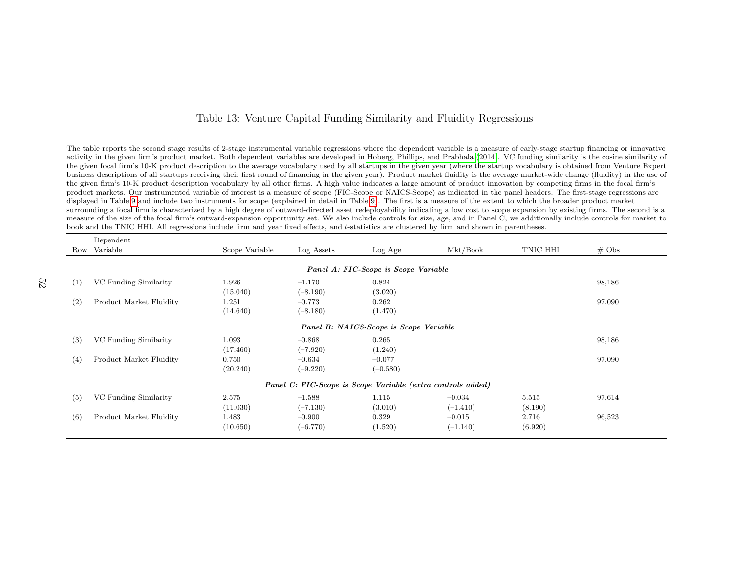#### Table 13: Venture Capital Funding Similarity and Fluidity Regressions

The table reports the second stage results of 2-stage instrumental variable regressions where the dependent variable is <sup>a</sup> measure of early-stage startup financing or innovative activity in the <sup>g</sup>iven firm's product market. Both dependent variables are developed in Hoberg, [Phillips,](#page-37-0) and Prabhala [\(2014\)](#page-37-0). VC funding similarity is the cosine similarity of the <sup>g</sup>iven focal firm's 10-K product description to the average vocabulary used by all startups in the <sup>g</sup>iven year (where the startup vocabulary is obtained from Venture Expert business descriptions of all startups receiving their first round of financing in the <sup>g</sup>iven year). Product market fluidity is the average market-wide change (fluidity) in the use ofthe given firm's 10-K product description vocabulary by all other firms. A high value indicates <sup>a</sup> large amount of product innovation by competing firms in the focal firm's product markets. Our instrumented variable of interest is <sup>a</sup> measure of scope (FIC-Scope or NAICS-Scope) as indicated in the pane<sup>l</sup> headers. The first-stage regressions aredisplayed in Table [9](#page-48-0) and include two instruments for scope (explained in detail in Table [9\)](#page-48-0). The first is <sup>a</sup> measure of the extent to which the broader product market surrounding <sup>a</sup> focal firm is characterized by <sup>a</sup> high degree of outward-directed asset redeployability indicating <sup>a</sup> low cost to scope expansion by existing firms. The second is <sup>a</sup> measure of the size of the focal firm's outward-expansion opportunity set. We also include controls for size, age, and in Panel C, we additionally include controls for market tobook and the TNIC HHI. All regressions include firm and year fixed effects, and <sup>t</sup>-statistics are clustered by firm and shown in parentheses.

|     | Dependent                              |                |            |                                                             |            |          |          |  |
|-----|----------------------------------------|----------------|------------|-------------------------------------------------------------|------------|----------|----------|--|
|     | Row Variable                           | Scope Variable | Log Assets | Log Age                                                     | Mkt/Book   | TNIC HHI | $\#$ Obs |  |
|     |                                        |                |            |                                                             |            |          |          |  |
|     |                                        |                |            | Panel A: FIC-Scope is Scope Variable                        |            |          |          |  |
| (1) | VC Funding Similarity                  | 1.926          | $-1.170$   | 0.824                                                       |            |          | 98,186   |  |
|     |                                        | (15.040)       | $(-8.190)$ | (3.020)                                                     |            |          |          |  |
| (2) | Product Market Fluidity                | 1.251          | $-0.773$   | 0.262                                                       |            |          | 97,090   |  |
|     |                                        | (14.640)       | $(-8.180)$ | (1.470)                                                     |            |          |          |  |
|     | Panel B: NAICS-Scope is Scope Variable |                |            |                                                             |            |          |          |  |
| (3) | VC Funding Similarity                  | 1.093          | $-0.868$   | 0.265                                                       |            |          | 98,186   |  |
|     |                                        | (17.460)       | $(-7.920)$ | (1.240)                                                     |            |          |          |  |
| (4) | Product Market Fluidity                | 0.750          | $-0.634$   | $-0.077$                                                    |            |          | 97,090   |  |
|     |                                        | (20.240)       | $(-9.220)$ | $(-0.580)$                                                  |            |          |          |  |
|     |                                        |                |            | Panel C: FIC-Scope is Scope Variable (extra controls added) |            |          |          |  |
| (5) | VC Funding Similarity                  | 2.575          | $-1.588$   | 1.115                                                       | $-0.034$   | 5.515    | 97,614   |  |
|     |                                        | (11.030)       | $(-7.130)$ | (3.010)                                                     | $(-1.410)$ | (8.190)  |          |  |
| (6) | Product Market Fluidity                | 1.483          | $-0.900$   | 0.329                                                       | $-0.015$   | 2.716    | 96,523   |  |
|     |                                        | (10.650)       | $(-6.770)$ | (1.520)                                                     | $(-1.140)$ | (6.920)  |          |  |
|     |                                        |                |            |                                                             |            |          |          |  |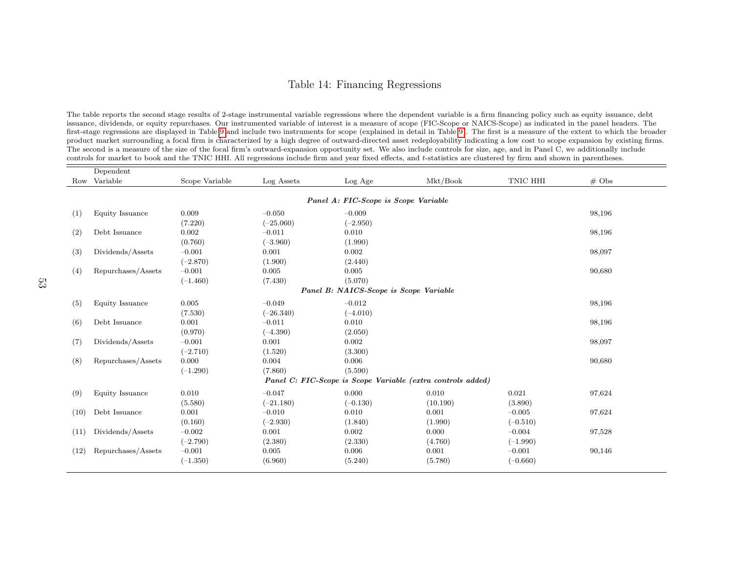#### <span id="page-53-1"></span>Table 14: Financing Regressions

<span id="page-53-0"></span>The table reports the second stage results of 2-stage instrumental variable regressions where the dependent variable is <sup>a</sup> firm financing policy such as equity issuance, debt issuance, dividends, or equity repurchases. Our instrumented variable of interest is <sup>a</sup> measure of scope (FIC-Scope or NAICS-Scope) as indicated in the pane<sup>l</sup> headers. The first-stage regressions are displayed in Table [9](#page-48-0) and include two instruments for scope (explained in detail in Table [9\)](#page-48-0). The first is <sup>a</sup> measure of the extent to which the broader product market surrounding <sup>a</sup> focal firm is characterized by <sup>a</sup> high degree of outward-directed asset redeployability indicating <sup>a</sup> low cost to scope expansion by existing firms.The second is <sup>a</sup> measure of the size of the focal firm's outward-expansion opportunity set. We also include controls for size, age, and in Panel C, we additionally includecontrols for market to book and the TNIC HHI. All regressions include firm and year fixed effects, and <sup>t</sup>-statistics are clustered by firm and shown in parentheses.

|      | Dependent          |                |             |                                                             |          |            |                   |
|------|--------------------|----------------|-------------|-------------------------------------------------------------|----------|------------|-------------------|
|      | Row Variable       | Scope Variable | Log Assets  | Log Age                                                     | Mkt/Book | TNIC HHI   | $# \; \text{Obs}$ |
|      |                    |                |             |                                                             |          |            |                   |
|      |                    |                |             | Panel A: FIC-Scope is Scope Variable                        |          |            |                   |
| (1)  | Equity Issuance    | 0.009          | $-0.050$    | $-0.009$                                                    |          |            | 98,196            |
|      |                    | (7.220)        | $(-25.060)$ | $(-2.950)$                                                  |          |            |                   |
| (2)  | Debt Issuance      | 0.002          | $-0.011$    | 0.010                                                       |          |            | 98,196            |
|      |                    | (0.760)        | $(-3.960)$  | (1.990)                                                     |          |            |                   |
| (3)  | Dividends/Assets   | $-0.001$       | 0.001       | 0.002                                                       |          |            | 98,097            |
|      |                    | $(-2.870)$     | (1.900)     | (2.440)                                                     |          |            |                   |
| (4)  | Repurchases/Assets | $-0.001$       | 0.005       | 0.005                                                       |          |            | 90,680            |
|      |                    | $(-1.460)$     | (7.430)     | (5.070)                                                     |          |            |                   |
|      |                    |                |             | Panel B: NAICS-Scope is Scope Variable                      |          |            |                   |
| (5)  | Equity Issuance    | 0.005          | $-0.049$    | $-0.012$                                                    |          |            | 98,196            |
|      |                    | (7.530)        | $(-26.340)$ | $(-4.010)$                                                  |          |            |                   |
| (6)  | Debt Issuance      | 0.001          | $-0.011$    | 0.010                                                       |          |            | 98,196            |
|      |                    | (0.970)        | $(-4.390)$  | (2.050)                                                     |          |            |                   |
| (7)  | Dividends/Assets   | $-0.001$       | 0.001       | 0.002                                                       |          |            | 98,097            |
|      |                    | $(-2.710)$     | (1.520)     | (3.300)                                                     |          |            |                   |
| (8)  | Repurchases/Assets | 0.000          | 0.004       | 0.006                                                       |          |            | 90,680            |
|      |                    | $(-1.290)$     | (7.860)     | (5.590)                                                     |          |            |                   |
|      |                    |                |             | Panel C: FIC-Scope is Scope Variable (extra controls added) |          |            |                   |
| (9)  | Equity Issuance    | 0.010          | $-0.047$    | 0.000                                                       | 0.010    | 0.021      | 97,624            |
|      |                    | (5.580)        | $(-21.180)$ | $(-0.130)$                                                  | (10.190) | (3.890)    |                   |
| (10) | Debt Issuance      | 0.001          | $-0.010$    | 0.010                                                       | 0.001    | $-0.005$   | 97,624            |
|      |                    | (0.160)        | $(-2.930)$  | (1.840)                                                     | (1.990)  | $(-0.510)$ |                   |
| (11) | Dividends/Assets   | $-0.002$       | 0.001       | 0.002                                                       | 0.000    | $-0.004$   | 97,528            |
|      |                    | $(-2.790)$     | (2.380)     | (2.330)                                                     | (4.760)  | $(-1.990)$ |                   |
| (12) | Repurchases/Assets | $-0.001$       | 0.005       | 0.006                                                       | 0.001    | $-0.001$   | 90,146            |
|      |                    | $(-1.350)$     | (6.960)     | (5.240)                                                     | (5.780)  | $(-0.660)$ |                   |
|      |                    |                |             |                                                             |          |            |                   |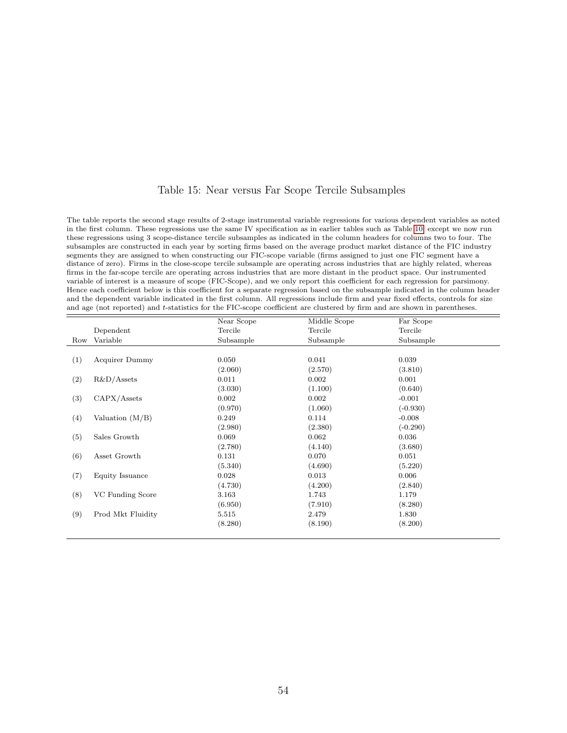#### Table 15: Near versus Far Scope Tercile Subsamples

The table reports the second stage results of 2-stage instrumental variable regressions for various dependent variables as noted in the first column. These regressions use the same IV specification as in earlier tables such as Table [10,](#page-49-0) except we now run these regressions using 3 scope-distance tercile subsamples as indicated in the column headers for columns two to four. The subsamples are constructed in each year by sorting firms based on the average product market distance of the FIC industry segments they are assigned to when constructing our FIC-scope variable (firms assigned to just one FIC segment have a distance of zero). Firms in the close-scope tercile subsample are operating across industries that are highly related, whereas firms in the far-scope tercile are operating across industries that are more distant in the product space. Our instrumented variable of interest is a measure of scope (FIC-Scope), and we only report this coefficient for each regression for parsimony. Hence each coefficient below is this coefficient for a separate regression based on the subsample indicated in the column header and the dependent variable indicated in the first column. All regressions include firm and year fixed effects, controls for size and age (not reported) and t-statistics for the FIC-scope coefficient are clustered by firm and are shown in parentheses.

|     |                       | Near Scope | Middle Scope | Far Scope  |
|-----|-----------------------|------------|--------------|------------|
|     | Dependent             | Tercile    | Tercile      | Tercile    |
| Row | Variable              | Subsample  | Subsample    | Subsample  |
|     |                       |            |              |            |
| (1) | <b>Acquirer Dummy</b> | 0.050      | 0.041        | 0.039      |
|     |                       | (2.060)    | (2.570)      | (3.810)    |
| (2) | $R&D/A$ ssets         | 0.011      | 0.002        | 0.001      |
|     |                       | (3.030)    | (1.100)      | (0.640)    |
| (3) | CAPX/Assets           | 0.002      | 0.002        | $-0.001$   |
|     |                       | (0.970)    | (1.060)      | $(-0.930)$ |
| (4) | Valuation $(M/B)$     | 0.249      | 0.114        | $-0.008$   |
|     |                       | (2.980)    | (2.380)      | $(-0.290)$ |
| (5) | Sales Growth          | 0.069      | 0.062        | 0.036      |
|     |                       | (2.780)    | (4.140)      | (3.680)    |
| (6) | Asset Growth          | 0.131      | 0.070        | 0.051      |
|     |                       | (5.340)    | (4.690)      | (5.220)    |
| (7) | Equity Issuance       | 0.028      | 0.013        | 0.006      |
|     |                       | (4.730)    | (4.200)      | (2.840)    |
| (8) | VC Funding Score      | 3.163      | 1.743        | 1.179      |
|     |                       | (6.950)    | (7.910)      | (8.280)    |
| (9) | Prod Mkt Fluidity     | 5.515      | 2.479        | 1.830      |
|     |                       | (8.280)    | (8.190)      | (8.200)    |
|     |                       |            |              |            |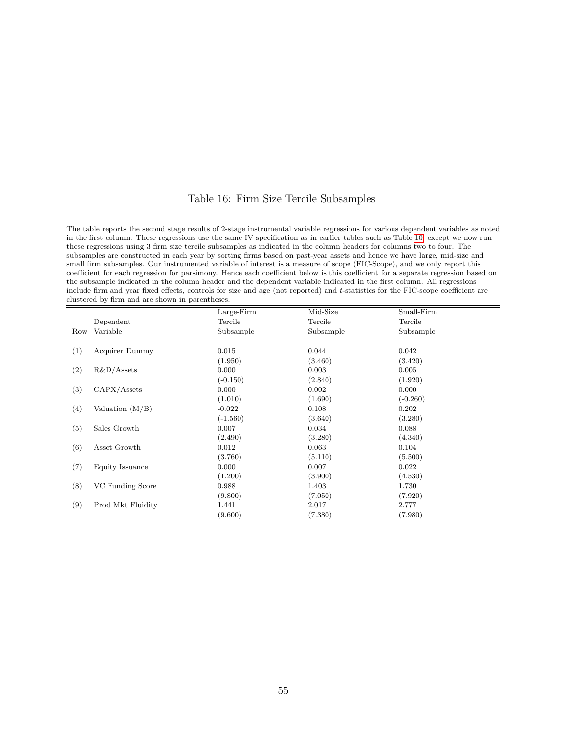#### Table 16: Firm Size Tercile Subsamples

The table reports the second stage results of 2-stage instrumental variable regressions for various dependent variables as noted in the first column. These regressions use the same IV specification as in earlier tables such as Table [10,](#page-49-0) except we now run these regressions using 3 firm size tercile subsamples as indicated in the column headers for columns two to four. The subsamples are constructed in each year by sorting firms based on past-year assets and hence we have large, mid-size and small firm subsamples. Our instrumented variable of interest is a measure of scope (FIC-Scope), and we only report this coefficient for each regression for parsimony. Hence each coefficient below is this coefficient for a separate regression based on the subsample indicated in the column header and the dependent variable indicated in the first column. All regressions include firm and year fixed effects, controls for size and age (not reported) and t-statistics for the FIC-scope coefficient are clustered by firm and are shown in parentheses.

|     |                   | $Large-Firm$ | Mid-Size  | Small-Firm |
|-----|-------------------|--------------|-----------|------------|
|     | Dependent         | Tercile      | Tercile   | Tercile    |
| Row | Variable          | Subsample    | Subsample | Subsample  |
|     |                   |              |           |            |
| (1) | Acquirer Dummy    | 0.015        | 0.044     | 0.042      |
|     |                   | (1.950)      | (3.460)   | (3.420)    |
| (2) | $R&D/A$ ssets     | 0.000        | 0.003     | 0.005      |
|     |                   | $(-0.150)$   | (2.840)   | (1.920)    |
| (3) | CAPX/Assets       | 0.000        | 0.002     | 0.000      |
|     |                   | (1.010)      | (1.690)   | $(-0.260)$ |
| (4) | Valuation $(M/B)$ | $-0.022$     | 0.108     | 0.202      |
|     |                   | $(-1.560)$   | (3.640)   | (3.280)    |
| (5) | Sales Growth      | 0.007        | 0.034     | 0.088      |
|     |                   | (2.490)      | (3.280)   | (4.340)    |
| (6) | Asset Growth      | 0.012        | 0.063     | 0.104      |
|     |                   | (3.760)      | (5.110)   | (5.500)    |
| (7) | Equity Issuance   | 0.000        | 0.007     | 0.022      |
|     |                   | (1.200)      | (3.900)   | (4.530)    |
| (8) | VC Funding Score  | 0.988        | 1.403     | 1.730      |
|     |                   | (9.800)      | (7.050)   | (7.920)    |
| (9) | Prod Mkt Fluidity | 1.441        | 2.017     | 2.777      |
|     |                   | (9.600)      | (7.380)   | (7.980)    |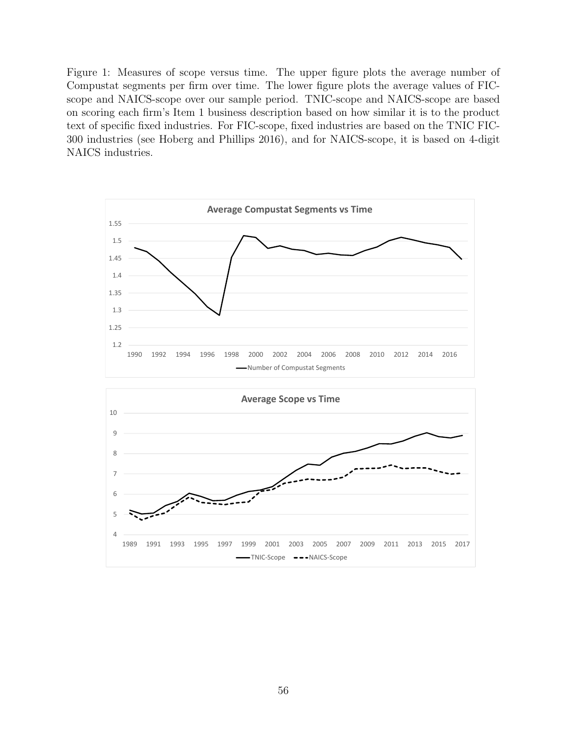Figure 1: Measures of scope versus time. The upper figure plots the average number of Compustat segments per firm over time. The lower figure plots the average values of FICscope and NAICS-scope over our sample period. TNIC-scope and NAICS-scope are based on scoring each firm's Item 1 business description based on how similar it is to the product text of specific fixed industries. For FIC-scope, fixed industries are based on the TNIC FIC-300 industries (see Hoberg and Phillips 2016), and for NAICS-scope, it is based on 4-digit NAICS industries.

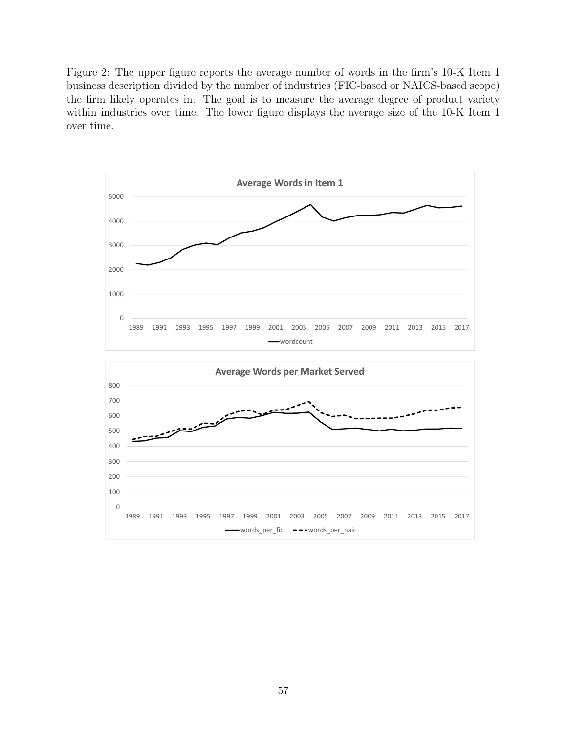Figure 2: The upper figure reports the average number of words in the firm's 10-K Item 1 business description divided by the number of industries (FIC-based or NAICS-based scope) the firm likely operates in. The goal is to measure the average degree of product variety within industries over time. The lower figure displays the average size of the 10-K Item 1 over time.

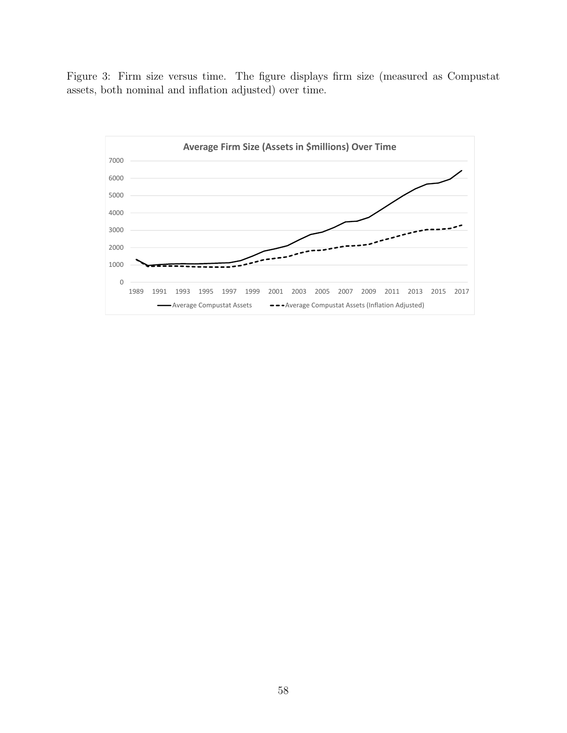Figure 3: Firm size versus time. The figure displays firm size (measured as Compustat assets, both nominal and inflation adjusted) over time.

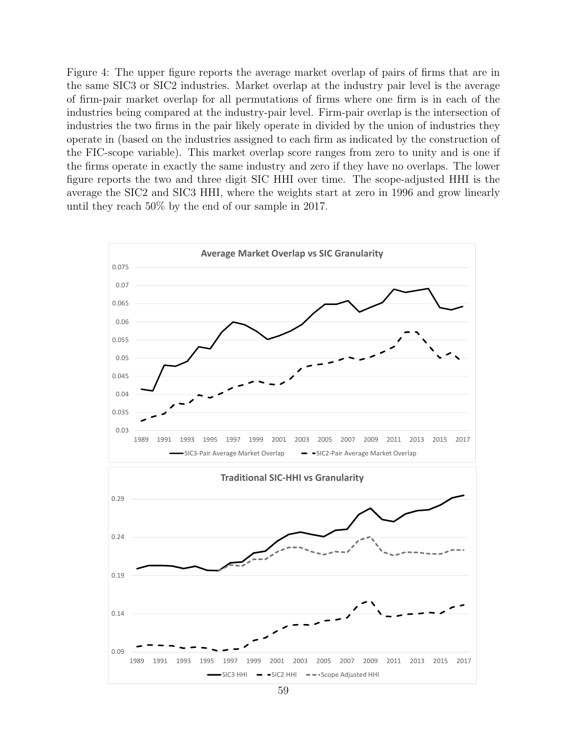<span id="page-59-0"></span>Figure 4: The upper figure reports the average market overlap of pairs of firms that are in the same SIC3 or SIC2 industries. Market overlap at the industry pair level is the average of firm-pair market overlap for all permutations of firms where one firm is in each of the industries being compared at the industry-pair level. Firm-pair overlap is the intersection of industries the two firms in the pair likely operate in divided by the union of industries they operate in (based on the industries assigned to each firm as indicated by the construction of the FIC-scope variable). This market overlap score ranges from zero to unity and is one if the firms operate in exactly the same industry and zero if they have no overlaps. The lower figure reports the two and three digit SIC HHI over time. The scope-adjusted HHI is the average the SIC2 and SIC3 HHI, where the weights start at zero in 1996 and grow linearly until they reach 50% by the end of our sample in 2017.

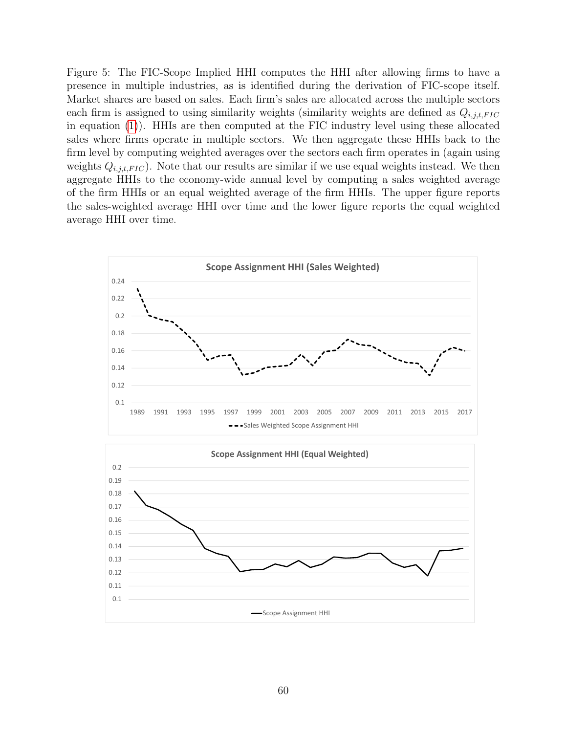<span id="page-60-0"></span>Figure 5: The FIC-Scope Implied HHI computes the HHI after allowing firms to have a presence in multiple industries, as is identified during the derivation of FIC-scope itself. Market shares are based on sales. Each firm's sales are allocated across the multiple sectors each firm is assigned to using similarity weights (similarity weights are defined as  $Q_{i,j,t,FIC}$ in equation [\(1\)](#page-8-0)). HHIs are then computed at the FIC industry level using these allocated sales where firms operate in multiple sectors. We then aggregate these HHIs back to the firm level by computing weighted averages over the sectors each firm operates in (again using weights  $Q_{i,j,t,FIC}$ ). Note that our results are similar if we use equal weights instead. We then aggregate HHIs to the economy-wide annual level by computing a sales weighted average of the firm HHIs or an equal weighted average of the firm HHIs. The upper figure reports the sales-weighted average HHI over time and the lower figure reports the equal weighted average HHI over time.



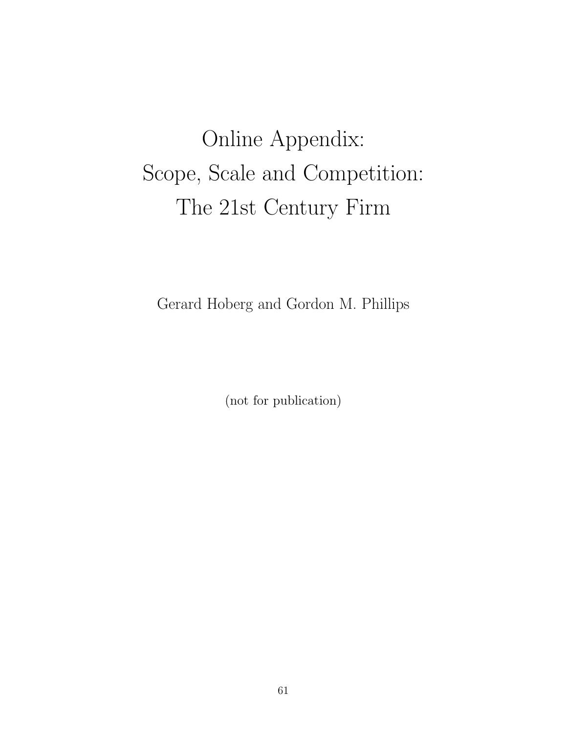# Online Appendix: Scope, Scale and Competition: The 21st Century Firm

Gerard Hoberg and Gordon M. Phillips

(not for publication)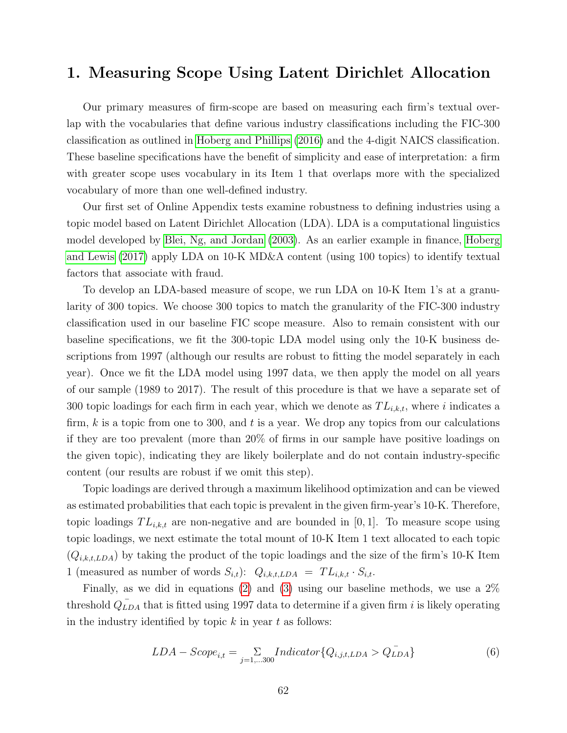# 1. Measuring Scope Using Latent Dirichlet Allocation

Our primary measures of firm-scope are based on measuring each firm's textual overlap with the vocabularies that define various industry classifications including the FIC-300 classification as outlined in [Hoberg and Phillips](#page-37-1) [\(2016\)](#page-37-1) and the 4-digit NAICS classification. These baseline specifications have the benefit of simplicity and ease of interpretation: a firm with greater scope uses vocabulary in its Item 1 that overlaps more with the specialized vocabulary of more than one well-defined industry.

Our first set of Online Appendix tests examine robustness to defining industries using a topic model based on Latent Dirichlet Allocation (LDA). LDA is a computational linguistics model developed by [Blei, Ng, and Jordan](#page-36-0) [\(2003\)](#page-36-0). As an earlier example in finance, [Hoberg](#page-36-1) [and Lewis](#page-36-1) [\(2017\)](#page-36-1) apply LDA on 10-K MD&A content (using 100 topics) to identify textual factors that associate with fraud.

To develop an LDA-based measure of scope, we run LDA on 10-K Item 1's at a granularity of 300 topics. We choose 300 topics to match the granularity of the FIC-300 industry classification used in our baseline FIC scope measure. Also to remain consistent with our baseline specifications, we fit the 300-topic LDA model using only the 10-K business descriptions from 1997 (although our results are robust to fitting the model separately in each year). Once we fit the LDA model using 1997 data, we then apply the model on all years of our sample (1989 to 2017). The result of this procedure is that we have a separate set of 300 topic loadings for each firm in each year, which we denote as  $TL_{i,k,t}$ , where i indicates a firm,  $k$  is a topic from one to 300, and  $t$  is a year. We drop any topics from our calculations if they are too prevalent (more than 20% of firms in our sample have positive loadings on the given topic), indicating they are likely boilerplate and do not contain industry-specific content (our results are robust if we omit this step).

Topic loadings are derived through a maximum likelihood optimization and can be viewed as estimated probabilities that each topic is prevalent in the given firm-year's 10-K. Therefore, topic loadings  $TL_{i,k,t}$  are non-negative and are bounded in [0, 1]. To measure scope using topic loadings, we next estimate the total mount of 10-K Item 1 text allocated to each topic  $(Q_{i,k,t,LDA})$  by taking the product of the topic loadings and the size of the firm's 10-K Item 1 (measured as number of words  $S_{i,t}$ ):  $Q_{i,k,t, LDA} = TL_{i,k,t} \cdot S_{i,t}$ .

Finally, as we did in equations [\(2\)](#page-9-0) and [\(3\)](#page-9-1) using our baseline methods, we use a 2% threshold  $\overline{Q_{LDA}}$  that is fitted using 1997 data to determine if a given firm i is likely operating in the industry identified by topic  $k$  in year  $t$  as follows:

$$
LDA - Score_{i,t} = \sum_{j=1,...300} Indicator \{Q_{i,j,t,LDA} > Q_{LDA}^{-}\}
$$
 (6)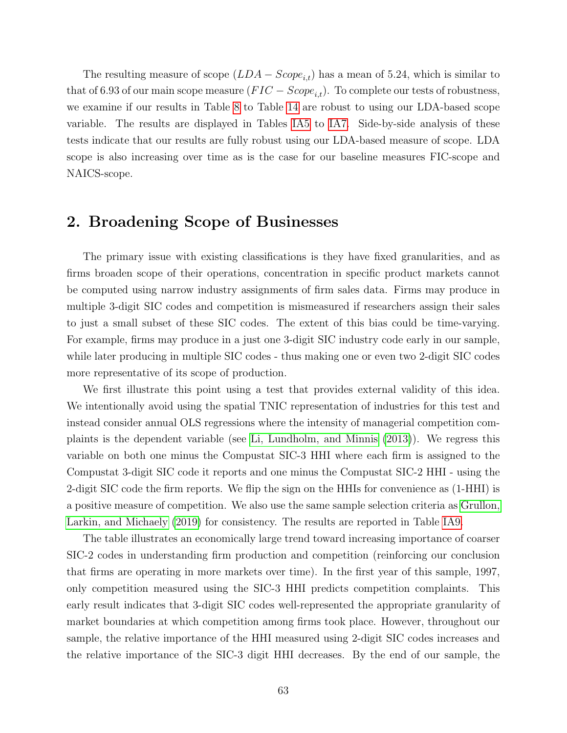The resulting measure of scope  $(LDA - Score_{i,t})$  has a mean of 5.24, which is similar to that of 6.93 of our main scope measure  $(FIC - Score_{i,t})$ . To complete our tests of robustness, we examine if our results in Table [8](#page-47-0) to Table [14](#page-53-0) are robust to using our LDA-based scope variable. The results are displayed in Tables [IA5](#page-71-0) to [IA7.](#page-73-0) Side-by-side analysis of these tests indicate that our results are fully robust using our LDA-based measure of scope. LDA scope is also increasing over time as is the case for our baseline measures FIC-scope and NAICS-scope.

# 2. Broadening Scope of Businesses

The primary issue with existing classifications is they have fixed granularities, and as firms broaden scope of their operations, concentration in specific product markets cannot be computed using narrow industry assignments of firm sales data. Firms may produce in multiple 3-digit SIC codes and competition is mismeasured if researchers assign their sales to just a small subset of these SIC codes. The extent of this bias could be time-varying. For example, firms may produce in a just one 3-digit SIC industry code early in our sample, while later producing in multiple SIC codes - thus making one or even two 2-digit SIC codes more representative of its scope of production.

We first illustrate this point using a test that provides external validity of this idea. We intentionally avoid using the spatial TNIC representation of industries for this test and instead consider annual OLS regressions where the intensity of managerial competition complaints is the dependent variable (see [Li, Lundholm, and Minnis](#page-37-2) [\(2013\)](#page-37-2)). We regress this variable on both one minus the Compustat SIC-3 HHI where each firm is assigned to the Compustat 3-digit SIC code it reports and one minus the Compustat SIC-2 HHI - using the 2-digit SIC code the firm reports. We flip the sign on the HHIs for convenience as (1-HHI) is a positive measure of competition. We also use the same sample selection criteria as [Grullon,](#page-36-2) [Larkin, and Michaely](#page-36-2) [\(2019\)](#page-36-2) for consistency. The results are reported in Table [IA9.](#page-75-0)

The table illustrates an economically large trend toward increasing importance of coarser SIC-2 codes in understanding firm production and competition (reinforcing our conclusion that firms are operating in more markets over time). In the first year of this sample, 1997, only competition measured using the SIC-3 HHI predicts competition complaints. This early result indicates that 3-digit SIC codes well-represented the appropriate granularity of market boundaries at which competition among firms took place. However, throughout our sample, the relative importance of the HHI measured using 2-digit SIC codes increases and the relative importance of the SIC-3 digit HHI decreases. By the end of our sample, the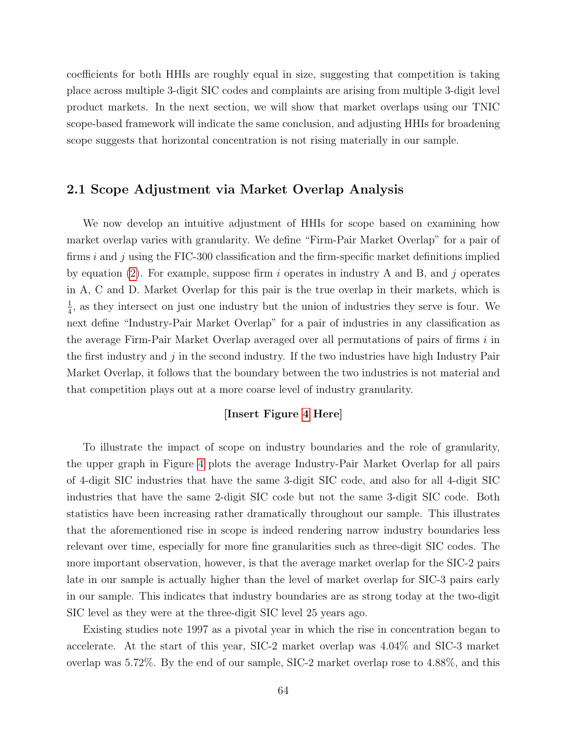coefficients for both HHIs are roughly equal in size, suggesting that competition is taking place across multiple 3-digit SIC codes and complaints are arising from multiple 3-digit level product markets. In the next section, we will show that market overlaps using our TNIC scope-based framework will indicate the same conclusion, and adjusting HHIs for broadening scope suggests that horizontal concentration is not rising materially in our sample.

#### 2.1 Scope Adjustment via Market Overlap Analysis

We now develop an intuitive adjustment of HHIs for scope based on examining how market overlap varies with granularity. We define "Firm-Pair Market Overlap" for a pair of firms i and j using the FIC-300 classification and the firm-specific market definitions implied by equation [\(2\)](#page-9-0). For example, suppose firm i operates in industry A and B, and j operates in A, C and D. Market Overlap for this pair is the true overlap in their markets, which is 1  $\frac{1}{4}$ , as they intersect on just one industry but the union of industries they serve is four. We next define "Industry-Pair Market Overlap" for a pair of industries in any classification as the average Firm-Pair Market Overlap averaged over all permutations of pairs of firms i in the first industry and  $j$  in the second industry. If the two industries have high Industry Pair Market Overlap, it follows that the boundary between the two industries is not material and that competition plays out at a more coarse level of industry granularity.

#### [Insert Figure [4](#page-59-0) Here]

To illustrate the impact of scope on industry boundaries and the role of granularity, the upper graph in Figure [4](#page-59-0) plots the average Industry-Pair Market Overlap for all pairs of 4-digit SIC industries that have the same 3-digit SIC code, and also for all 4-digit SIC industries that have the same 2-digit SIC code but not the same 3-digit SIC code. Both statistics have been increasing rather dramatically throughout our sample. This illustrates that the aforementioned rise in scope is indeed rendering narrow industry boundaries less relevant over time, especially for more fine granularities such as three-digit SIC codes. The more important observation, however, is that the average market overlap for the SIC-2 pairs late in our sample is actually higher than the level of market overlap for SIC-3 pairs early in our sample. This indicates that industry boundaries are as strong today at the two-digit SIC level as they were at the three-digit SIC level 25 years ago.

Existing studies note 1997 as a pivotal year in which the rise in concentration began to accelerate. At the start of this year, SIC-2 market overlap was 4.04% and SIC-3 market overlap was 5.72%. By the end of our sample, SIC-2 market overlap rose to 4.88%, and this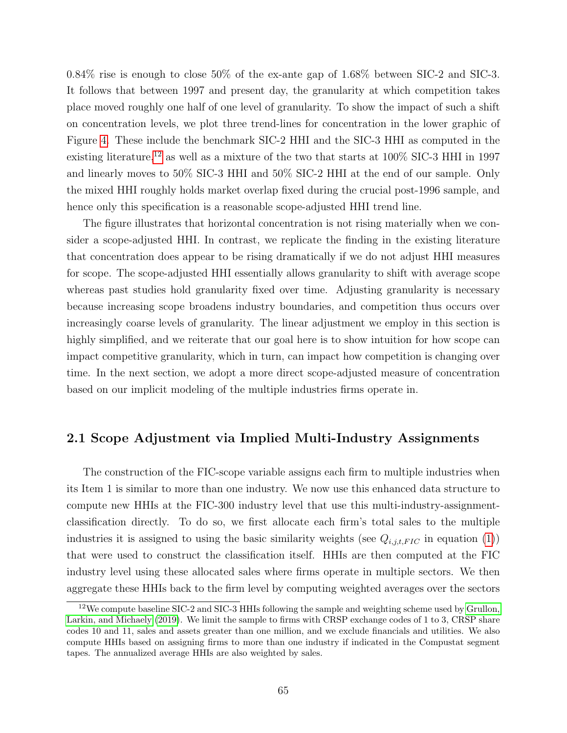0.84% rise is enough to close 50% of the ex-ante gap of 1.68% between SIC-2 and SIC-3. It follows that between 1997 and present day, the granularity at which competition takes place moved roughly one half of one level of granularity. To show the impact of such a shift on concentration levels, we plot three trend-lines for concentration in the lower graphic of Figure [4.](#page-59-0) These include the benchmark SIC-2 HHI and the SIC-3 HHI as computed in the existing literature,<sup>[12](#page-65-0)</sup> as well as a mixture of the two that starts at  $100\%$  SIC-3 HHI in 1997 and linearly moves to 50% SIC-3 HHI and 50% SIC-2 HHI at the end of our sample. Only the mixed HHI roughly holds market overlap fixed during the crucial post-1996 sample, and hence only this specification is a reasonable scope-adjusted HHI trend line.

The figure illustrates that horizontal concentration is not rising materially when we consider a scope-adjusted HHI. In contrast, we replicate the finding in the existing literature that concentration does appear to be rising dramatically if we do not adjust HHI measures for scope. The scope-adjusted HHI essentially allows granularity to shift with average scope whereas past studies hold granularity fixed over time. Adjusting granularity is necessary because increasing scope broadens industry boundaries, and competition thus occurs over increasingly coarse levels of granularity. The linear adjustment we employ in this section is highly simplified, and we reiterate that our goal here is to show intuition for how scope can impact competitive granularity, which in turn, can impact how competition is changing over time. In the next section, we adopt a more direct scope-adjusted measure of concentration based on our implicit modeling of the multiple industries firms operate in.

#### 2.1 Scope Adjustment via Implied Multi-Industry Assignments

The construction of the FIC-scope variable assigns each firm to multiple industries when its Item 1 is similar to more than one industry. We now use this enhanced data structure to compute new HHIs at the FIC-300 industry level that use this multi-industry-assignmentclassification directly. To do so, we first allocate each firm's total sales to the multiple industries it is assigned to using the basic similarity weights (see  $Q_{i,j,t,FIC}$  in equation [\(1\)](#page-8-0)) that were used to construct the classification itself. HHIs are then computed at the FIC industry level using these allocated sales where firms operate in multiple sectors. We then aggregate these HHIs back to the firm level by computing weighted averages over the sectors

<span id="page-65-0"></span><sup>&</sup>lt;sup>12</sup>We compute baseline SIC-2 and SIC-3 HHIs following the sample and weighting scheme used by [Grullon,](#page-36-2) [Larkin, and Michaely](#page-36-2) [\(2019\)](#page-36-2). We limit the sample to firms with CRSP exchange codes of 1 to 3, CRSP share codes 10 and 11, sales and assets greater than one million, and we exclude financials and utilities. We also compute HHIs based on assigning firms to more than one industry if indicated in the Compustat segment tapes. The annualized average HHIs are also weighted by sales.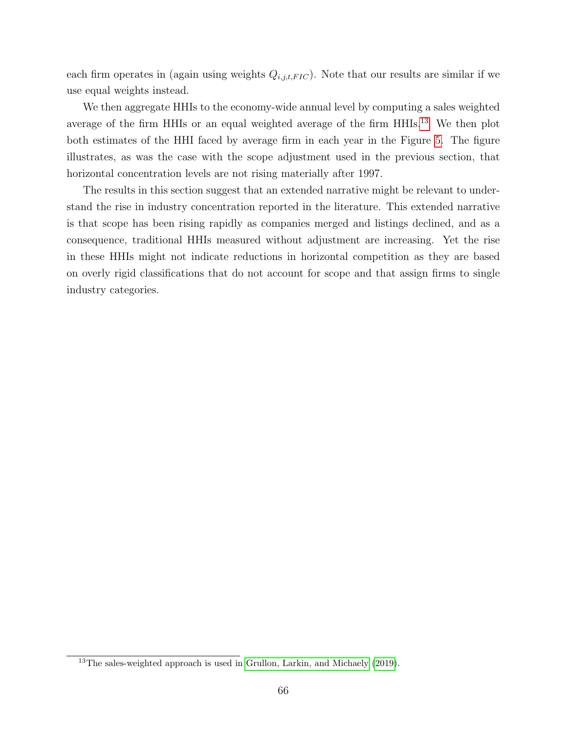each firm operates in (again using weights  $Q_{i,j,t,FIC}$ ). Note that our results are similar if we use equal weights instead.

We then aggregate HHIs to the economy-wide annual level by computing a sales weighted average of the firm HHIs or an equal weighted average of the firm HHIs.[13](#page-66-0) We then plot both estimates of the HHI faced by average firm in each year in the Figure [5.](#page-60-0) The figure illustrates, as was the case with the scope adjustment used in the previous section, that horizontal concentration levels are not rising materially after 1997.

The results in this section suggest that an extended narrative might be relevant to understand the rise in industry concentration reported in the literature. This extended narrative is that scope has been rising rapidly as companies merged and listings declined, and as a consequence, traditional HHIs measured without adjustment are increasing. Yet the rise in these HHIs might not indicate reductions in horizontal competition as they are based on overly rigid classifications that do not account for scope and that assign firms to single industry categories.

<span id="page-66-0"></span><sup>&</sup>lt;sup>13</sup>The sales-weighted approach is used in [Grullon, Larkin, and Michaely](#page-36-2) [\(2019\)](#page-36-2).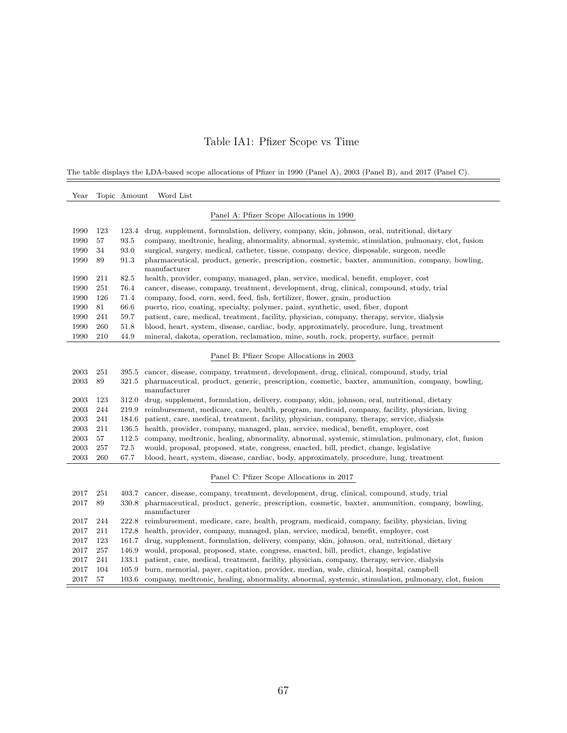### Table IA1: Pfizer Scope vs Time

The table displays the LDA-based scope allocations of Pfizer in 1990 (Panel A), 2003 (Panel B), and 2017 (Panel C).

| $\operatorname{Year}$ |     | Topic Amount | Word List                                                                                                                        |
|-----------------------|-----|--------------|----------------------------------------------------------------------------------------------------------------------------------|
|                       |     |              | Panel A: Pfizer Scope Allocations in 1990                                                                                        |
| 1990                  | 123 | 123.4        | drug, supplement, formulation, delivery, company, skin, johnson, oral, nutritional, dietary                                      |
| 1990                  | 57  | 93.5         | company, medtronic, healing, abnormality, abnormal, systemic, stimulation, pulmonary, clot, fusion                               |
| 1990                  | 34  | 93.0         | surgical, surgery, medical, catheter, tissue, company, device, disposable, surgeon, needle                                       |
| 1990                  | 89  | 91.3         | pharmaceutical, product, generic, prescription, cosmetic, baxter, ammunition, company, bowling,<br>manufacturer                  |
| 1990                  | 211 | 82.5         | health, provider, company, managed, plan, service, medical, benefit, employer, cost                                              |
| 1990                  | 251 | 76.4         | cancer, disease, company, treatment, development, drug, clinical, compound, study, trial                                         |
| 1990                  | 126 | 71.4         | company, food, corn, seed, feed, fish, fertilizer, flower, grain, production                                                     |
| 1990                  | 81  | 66.6         | puerto, rico, coating, specialty, polymer, paint, synthetic, used, fiber, dupont                                                 |
| 1990                  | 241 | 59.7         | patient, care, medical, treatment, facility, physician, company, therapy, service, dialysis                                      |
| 1990                  | 260 | 51.8         | blood, heart, system, disease, cardiac, body, approximately, procedure, lung, treatment                                          |
| 1990                  | 210 | 44.9         | mineral, dakota, operation, reclamation, mine, south, rock, property, surface, permit                                            |
|                       |     |              | Panel B: Pfizer Scope Allocations in 2003                                                                                        |
| 2003                  | 251 | 395.5        | cancer, disease, company, treatment, development, drug, clinical, compound, study, trial                                         |
| 2003                  | 89  | 321.5        | pharmaceutical, product, generic, prescription, cosmetic, baxter, ammunition, company, bowling,<br>$\operatorname{manufacturer}$ |
| 2003                  | 123 | 312.0        | drug, supplement, formulation, delivery, company, skin, johnson, oral, nutritional, dietary                                      |
| 2003                  | 244 | 219.9        | reimbursement, medicare, care, health, program, medicaid, company, facility, physician, living                                   |
| 2003                  | 241 | 184.6        | patient, care, medical, treatment, facility, physician, company, therapy, service, dialysis                                      |
| 2003                  | 211 | 136.5        | health, provider, company, managed, plan, service, medical, benefit, employer, cost                                              |
| 2003                  | 57  | 112.5        | company, medtronic, healing, abnormality, abnormal, systemic, stimulation, pulmonary, clot, fusion                               |
| 2003                  | 257 | 72.5         | would, proposal, proposed, state, congress, enacted, bill, predict, change, legislative                                          |
| 2003                  | 260 | 67.7         | blood, heart, system, disease, cardiac, body, approximately, procedure, lung, treatment                                          |
|                       |     |              | Panel C: Pfizer Scope Allocations in 2017                                                                                        |
| 2017                  | 251 | 403.7        | cancer, disease, company, treatment, development, drug, clinical, compound, study, trial                                         |
| 2017                  | 89  | 330.8        | pharmaceutical, product, generic, prescription, cosmetic, baxter, ammunition, company, bowling,<br>manufacturer                  |
| 2017                  | 244 | 222.8        | reimbursement, medicare, care, health, program, medicaid, company, facility, physician, living                                   |
| 2017                  | 211 | 172.8        | health, provider, company, managed, plan, service, medical, benefit, employer, cost                                              |
| 2017                  | 123 | 161.7        | drug, supplement, formulation, delivery, company, skin, johnson, oral, nutritional, dietary                                      |
| 2017                  | 257 | 146.9        | would, proposal, proposed, state, congress, enacted, bill, predict, change, legislative                                          |
| 2017                  | 241 | 133.1        | patient, care, medical, treatment, facility, physician, company, therapy, service, dialysis                                      |
| 2017                  | 104 | 105.9        | burn, memorial, payer, capitation, provider, median, wale, clinical, hospital, campbell                                          |
| 2017                  | 57  |              | 103.6 company, medtronic, healing, abnormality, abnormal, systemic, stimulation, pulmonary, clot, fusion                         |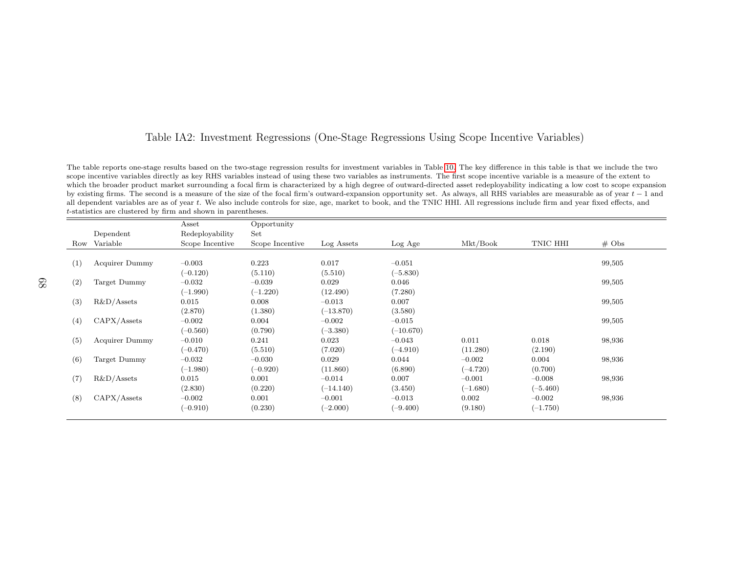#### Table IA2: Investment Regressions (One-Stage Regressions Using Scope Incentive Variables)

The table reports one-stage results based on the two-stage regression results for investment variables in Table [10.](#page-49-1) The key difference in this table is that we include the twoscope incentive variables directly as key RHS variables instead of using these two variables as instruments. The first scope incentive variable is <sup>a</sup> measure of the extent to which the broader product market surrounding <sup>a</sup> focal firm is characterized by <sup>a</sup> high degree of outward-directed asset redeployability indicating <sup>a</sup> low cost to scope expansionby existing firms. The second is a measure of the size of the focal firm's outward-expansion opportunity set. As always, all RHS variables are measurable as of year t − 1 and all dependent variables are as of year t − 1 a all dependent variables are as of year t. We also include controls for size, age, market to book, and the TNIC HHI. All regressions include firm and year fixed effects, and <sup>t</sup>-statistics are clustered by firm and shown in parentheses.

|     |                       | Asset           | Opportunity     |             |             |            |            |                   |
|-----|-----------------------|-----------------|-----------------|-------------|-------------|------------|------------|-------------------|
|     | Dependent             | Redeployability | Set             |             |             |            |            |                   |
|     | Row Variable          | Scope Incentive | Scope Incentive | Log Assets  | Log Age     | Mkt/Book   | TNIC HHI   | $# \; \text{Obs}$ |
|     |                       |                 |                 |             |             |            |            |                   |
| (1) | Acquirer Dummy        | $-0.003$        | 0.223           | 0.017       | $-0.051$    |            |            | 99,505            |
|     |                       | $(-0.120)$      | (5.110)         | (5.510)     | $(-5.830)$  |            |            |                   |
| (2) | Target Dummy          | $-0.032$        | $-0.039$        | 0.029       | 0.046       |            |            | 99,505            |
|     |                       | $(-1.990)$      | $(-1.220)$      | (12.490)    | (7.280)     |            |            |                   |
| (3) | $R&D/A$ ssets         | 0.015           | 0.008           | $-0.013$    | 0.007       |            |            | 99,505            |
|     |                       | (2.870)         | (1.380)         | $(-13.870)$ | (3.580)     |            |            |                   |
| (4) | CAPX/Assets           | $-0.002$        | 0.004           | $-0.002$    | $-0.015$    |            |            | 99,505            |
|     |                       | $(-0.560)$      | (0.790)         | $(-3.380)$  | $(-10.670)$ |            |            |                   |
| (5) | <b>Acquirer Dummy</b> | $-0.010$        | 0.241           | 0.023       | $-0.043$    | 0.011      | 0.018      | 98,936            |
|     |                       | $(-0.470)$      | (5.510)         | (7.020)     | $(-4.910)$  | (11.280)   | (2.190)    |                   |
| (6) | Target Dummy          | $-0.032$        | $-0.030$        | 0.029       | 0.044       | $-0.002$   | 0.004      | 98,936            |
|     |                       | $(-1.980)$      | $(-0.920)$      | (11.860)    | (6.890)     | $(-4.720)$ | (0.700)    |                   |
| (7) | $R&D/A$ ssets         | 0.015           | 0.001           | $-0.014$    | 0.007       | $-0.001$   | $-0.008$   | 98,936            |
|     |                       | (2.830)         | (0.220)         | $(-14.140)$ | (3.450)     | $(-1.680)$ | $(-5.460)$ |                   |
| (8) | CAPX/Assets           | $-0.002$        | 0.001           | $-0.001$    | $-0.013$    | 0.002      | $-0.002$   | 98,936            |
|     |                       | $(-0.910)$      | (0.230)         | $(-2.000)$  | $(-9.400)$  | (9.180)    | $(-1.750)$ |                   |
|     |                       |                 |                 |             |             |            |            |                   |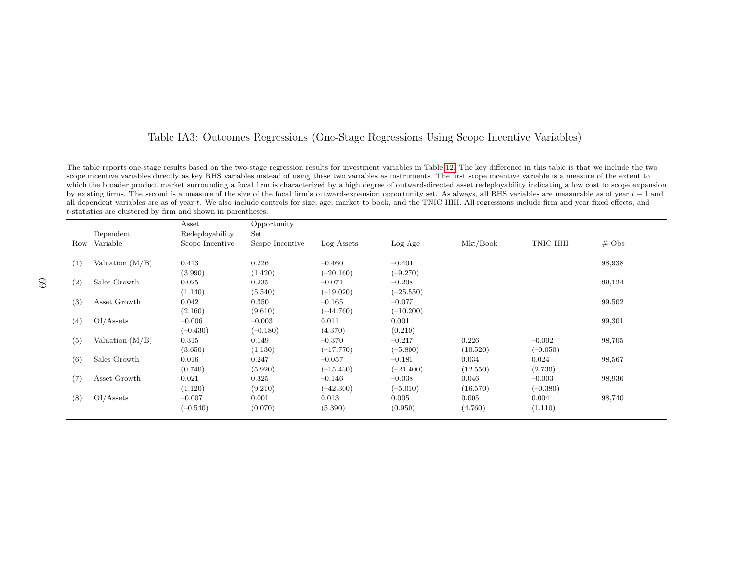#### Table IA3: Outcomes Regressions (One-Stage Regressions Using Scope Incentive Variables)

The table reports one-stage results based on the two-stage regression results for investment variables in Table [12.](#page-51-0) The key difference in this table is that we include the twoscope incentive variables directly as key RHS variables instead of using these two variables as instruments. The first scope incentive variable is <sup>a</sup> measure of the extent to which the broader product market surrounding <sup>a</sup> focal firm is characterized by <sup>a</sup> high degree of outward-directed asset redeployability indicating <sup>a</sup> low cost to scope expansionby existing firms. The second is a measure of the size of the focal firm's outward-expansion opportunity set. As always, all RHS variables are measurable as of year t − 1 and all dependent variables are as of year t − 1 a all dependent variables are as of year t. We also include controls for size, age, market to book, and the TNIC HHI. All regressions include firm and year fixed effects, and <sup>t</sup>-statistics are clustered by firm and shown in parentheses.

|     |                   | Asset           | Opportunity     |             |             |          |            |                   |
|-----|-------------------|-----------------|-----------------|-------------|-------------|----------|------------|-------------------|
|     | Dependent         | Redeployability | Set             |             |             |          |            |                   |
|     | Row Variable      | Scope Incentive | Scope Incentive | Log Assets  | Log Age     | Mkt/Book | TNIC HHI   | $# \; \text{Obs}$ |
|     |                   |                 |                 |             |             |          |            |                   |
| (1) | Valuation $(M/B)$ | 0.413           | 0.226           | $-0.460$    | $-0.404$    |          |            | 98,938            |
|     |                   | (3.990)         | (1.420)         | $(-20.160)$ | $(-9.270)$  |          |            |                   |
| (2) | Sales Growth      | 0.025           | 0.235           | $-0.071$    | $-0.208$    |          |            | 99,124            |
|     |                   | (1.140)         | (5.540)         | $(-19.020)$ | $(-25.550)$ |          |            |                   |
| (3) | Asset Growth      | 0.042           | 0.350           | $-0.165$    | $-0.077$    |          |            | 99,502            |
|     |                   | (2.160)         | (9.610)         | $(-44.760)$ | $(-10.200)$ |          |            |                   |
| (4) | OI/Assets         | $-0.006$        | $-0.003$        | 0.011       | 0.001       |          |            | 99,301            |
|     |                   | $(-0.430)$      | $(-0.180)$      | (4.370)     | (0.210)     |          |            |                   |
| (5) | Valuation $(M/B)$ | 0.315           | 0.149           | $-0.370$    | $-0.217$    | 0.226    | $-0.002$   | 98,705            |
|     |                   | (3.650)         | (1.130)         | $(-17.770)$ | $(-5.800)$  | (10.520) | $(-0.050)$ |                   |
| (6) | Sales Growth      | 0.016           | 0.247           | $-0.057$    | $-0.181$    | 0.034    | 0.024      | 98,567            |
|     |                   | (0.740)         | (5.920)         | $(-15.430)$ | $(-21.400)$ | (12.550) | (2.730)    |                   |
| (7) | Asset Growth      | 0.021           | 0.325           | $-0.146$    | $-0.038$    | 0.046    | $-0.003$   | 98,936            |
|     |                   | (1.120)         | (9.210)         | $(-42.300)$ | $(-5.010)$  | (16.570) | $(-0.380)$ |                   |
| (8) | OI/Assets         | $-0.007$        | 0.001           | 0.013       | 0.005       | 0.005    | 0.004      | 98,740            |
|     |                   | $(-0.540)$      | (0.070)         | (5.390)     | (0.950)     | (4.760)  | (1.110)    |                   |
|     |                   |                 |                 |             |             |          |            |                   |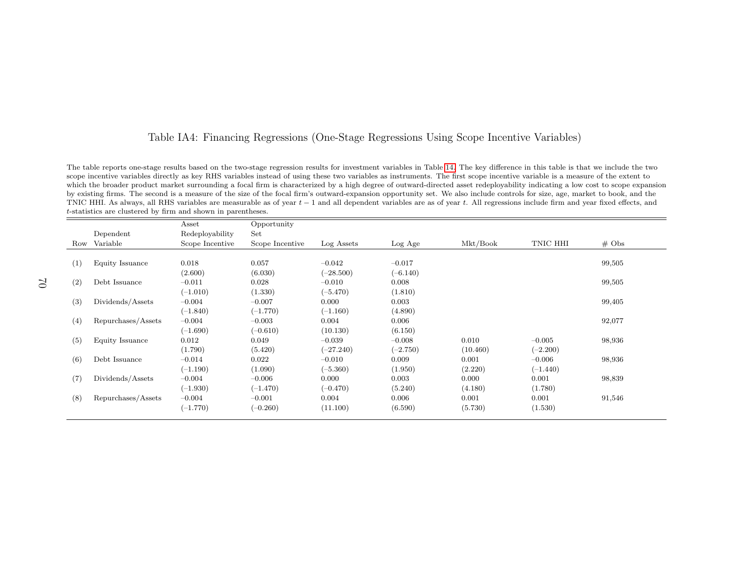#### Table IA4: Financing Regressions (One-Stage Regressions Using Scope Incentive Variables)

The table reports one-stage results based on the two-stage regression results for investment variables in Table [14.](#page-53-1) The key difference in this table is that we include the twoscope incentive variables directly as key RHS variables instead of using these two variables as instruments. The first scope incentive variable is <sup>a</sup> measure of the extent to which the broader product market surrounding <sup>a</sup> focal firm is characterized by <sup>a</sup> high degree of outward-directed asset redeployability indicating <sup>a</sup> low cost to scope expansionby existing firms. The second is <sup>a</sup> measure of the size of the focal firm's outward-expansion opportunity set. We also include controls for size, age, market to book, and theTNIC HHI. As always, all RHS variables are measurable as of year  $t - 1$  and all dependent variables are as of year t. All regressions include firm and year fixed effects, and the firm and sear fixed effects, and the firm <sup>t</sup>-statistics are clustered by firm and shown in parentheses.

|     |                    | Asset           | Opportunity     |             |            |          |            |          |
|-----|--------------------|-----------------|-----------------|-------------|------------|----------|------------|----------|
|     | Dependent          | Redeployability | Set             |             |            |          |            |          |
|     | Row Variable       | Scope Incentive | Scope Incentive | Log Assets  | Log Age    | Mkt/Book | TNIC HHI   | $\#$ Obs |
|     |                    |                 |                 |             |            |          |            |          |
| (1) | Equity Issuance    | 0.018           | 0.057           | $-0.042$    | $-0.017$   |          |            | 99,505   |
|     |                    | (2.600)         | (6.030)         | $-28.500)$  | $(-6.140)$ |          |            |          |
| (2) | Debt Issuance      | $-0.011$        | 0.028           | $-0.010$    | 0.008      |          |            | 99,505   |
|     |                    | $(-1.010)$      | (1.330)         | $(-5.470)$  | (1.810)    |          |            |          |
| (3) | Dividends/Assets   | $-0.004$        | $-0.007$        | 0.000       | 0.003      |          |            | 99,405   |
|     |                    | $(-1.840)$      | $(-1.770)$      | $(-1.160)$  | (4.890)    |          |            |          |
| (4) | Repurchases/Assets | $-0.004$        | $-0.003$        | 0.004       | 0.006      |          |            | 92,077   |
|     |                    | $(-1.690)$      | $(-0.610)$      | (10.130)    | (6.150)    |          |            |          |
| (5) | Equity Issuance    | 0.012           | 0.049           | $-0.039$    | $-0.008$   | 0.010    | $-0.005$   | 98,936   |
|     |                    | (1.790)         | (5.420)         | $(-27.240)$ | $-2.750)$  | (10.460) | $(-2.200)$ |          |
| (6) | Debt Issuance      | $-0.014$        | 0.022           | $-0.010$    | 0.009      | 0.001    | $-0.006$   | 98,936   |
|     |                    | $(-1.190)$      | (1.090)         | $(-5.360)$  | (1.950)    | (2.220)  | $(-1.440)$ |          |
| (7) | Dividends/Assets   | $-0.004$        | $-0.006$        | 0.000       | 0.003      | 0.000    | 0.001      | 98,839   |
|     |                    | $(-1.930)$      | $(-1.470)$      | $(-0.470)$  | (5.240)    | (4.180)  | (1.780)    |          |
| (8) | Repurchases/Assets | $-0.004$        | $-0.001$        | 0.004       | 0.006      | 0.001    | 0.001      | 91,546   |
|     |                    | $(-1.770)$      | $(-0.260)$      | (11.100)    | (6.590)    | (5.730)  | (1.530)    |          |
|     |                    |                 |                 |             |            |          |            |          |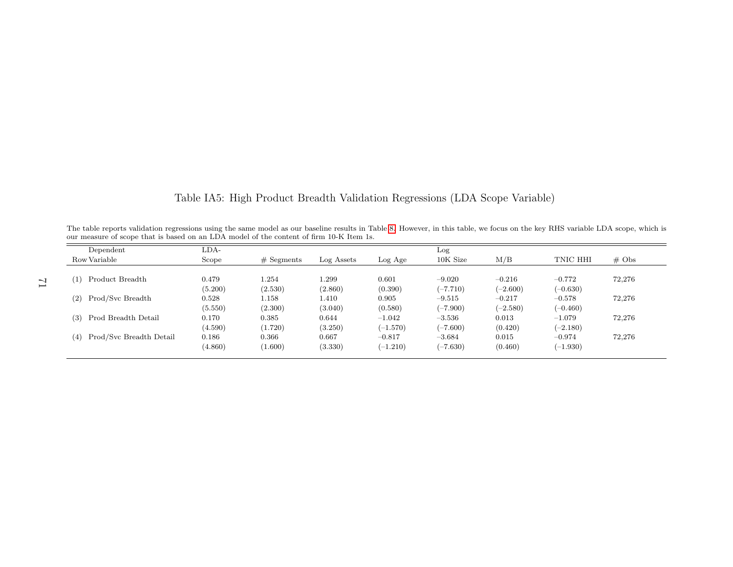<span id="page-71-0"></span>

| Dependent                      | LDA-    |              |            |            | Log        |            |            |          |
|--------------------------------|---------|--------------|------------|------------|------------|------------|------------|----------|
| Row Variable                   | Scope   | $#$ Segments | Log Assets | Log Age    | 10K Size   | M/B        | TNIC HHI   | $\#$ Obs |
| Product Breadth<br>(1)         | 0.479   | 1.254        | 1.299      | 0.601      | $-9.020$   | $-0.216$   | $-0.772$   | 72,276   |
|                                | (5.200) | (2.530)      | (2.860)    | (0.390)    | $(-7.710)$ | $(-2.600)$ | $(-0.630)$ |          |
| Prod/Svc Breadth<br>(2)        | 0.528   | 1.158        | 1.410      | 0.905      | $-9.515$   | $-0.217$   | $-0.578$   | 72,276   |
|                                | (5.550) | (2.300)      | (3.040)    | (0.580)    | $(-7.900)$ | $(-2.580)$ | $(-0.460)$ |          |
| Prod Breadth Detail<br>(3)     | 0.170   | 0.385        | 0.644      | $-1.042$   | $-3.536$   | 0.013      | $-1.079$   | 72,276   |
|                                | (4.590) | (1.720)      | (3.250)    | $(-1.570)$ | $(-7.600)$ | (0.420)    | $(-2.180)$ |          |
| Prod/Svc Breadth Detail<br>(4) | 0.186   | 0.366        | 0.667      | $-0.817$   | $-3.684$   | 0.015      | $-0.974$   | 72,276   |
|                                | (4.860) | (1.600)      | (3.330)    | $(-1.210)$ | $(-7.630)$ | (0.460)    | $(-1.930)$ |          |

Table IA5: High Product Breadth Validation Regressions (LDA Scope Variable)

71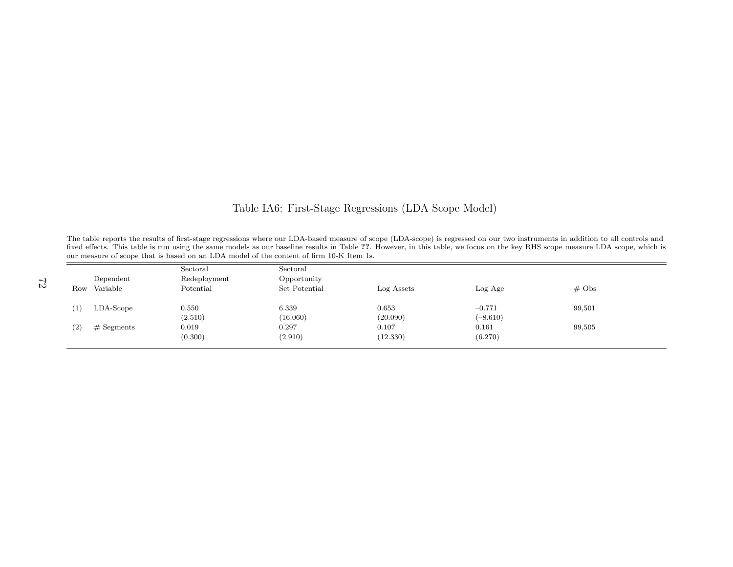## Table IA6: First-Stage Regressions (LDA Scope Model)

The table reports the results of first-stage regressions where our LDA-based measure of scope (LDA-scope) is regressed on our two instruments in addition to all controls and fixed effects. This table is run using the same models as our baseline results in Table ??. However, in this table, we focus on the key RHS scope measure LDA scope, which is our measure of scope that is based on an LDA model of the content of firm 10-K Item 1s.

|                   |                       | Sectoral                  | Sectoral                     |            |            |          |
|-------------------|-----------------------|---------------------------|------------------------------|------------|------------|----------|
|                   | Dependent<br>Variable | Redeployment<br>Potential | Opportunity<br>Set Potential | Log Assets | Log Age    | $\#$ Obs |
| Row               |                       |                           |                              |            |            |          |
|                   |                       |                           |                              |            |            |          |
| $\left(1\right)$  | $LDA-Scope$           | 0.550                     | 6.339                        | 0.653      | $-0.771$   | 99,501   |
|                   |                       | (2.510)                   | (16.060)                     | (20.090)   | $(-8.610)$ |          |
| $\left( 2\right)$ | $#$ Segments          | 0.019                     | 0.297                        | 0.107      | 0.161      | 99,505   |
|                   |                       | (0.300)                   | (2.910)                      | (12.330)   | (6.270)    |          |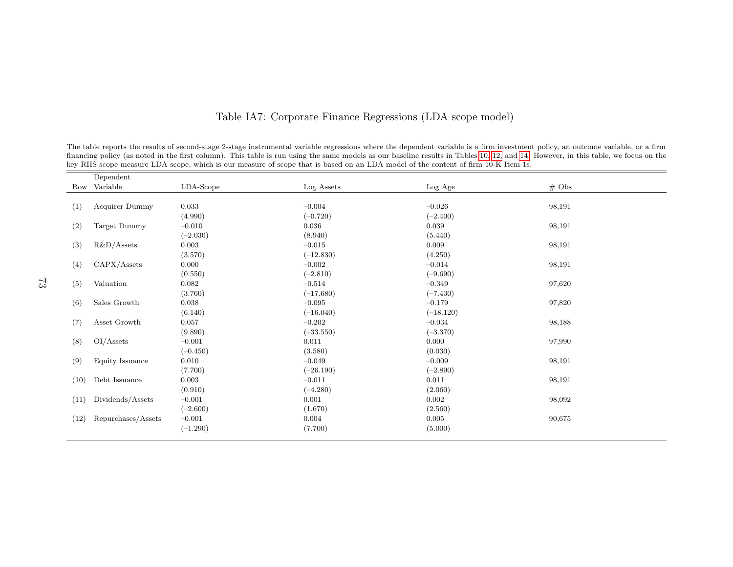|      | Dependent             |            |             |             |                   |
|------|-----------------------|------------|-------------|-------------|-------------------|
|      | Row Variable          | LDA-Scope  | Log Assets  | Log Age     | $# \; \text{Obs}$ |
| (1)  | <b>Acquirer Dummy</b> | 0.033      | $-0.004$    | $-0.026$    | 98,191            |
|      |                       | (4.990)    | $(-0.720)$  | $(-2.400)$  |                   |
| (2)  | Target Dummy          | $-0.010$   | 0.036       | 0.039       | 98,191            |
|      |                       | $(-2.030)$ | (8.940)     | (5.440)     |                   |
| (3)  | $R&D/A$ ssets         | 0.003      | $-0.015$    | 0.009       | 98,191            |
|      |                       | (3.570)    | $(-12.830)$ | (4.250)     |                   |
| (4)  | CAPX/Assets           | 0.000      | $-0.002$    | $-0.014$    | 98,191            |
|      |                       | (0.550)    | $(-2.810)$  | $(-9.690)$  |                   |
| (5)  | Valuation             | 0.082      | $-0.514$    | $-0.349$    | 97,620            |
|      |                       | (3.760)    | $(-17.680)$ | $(-7.430)$  |                   |
| (6)  | Sales Growth          | 0.038      | $-0.095$    | $-0.179$    | 97,820            |
|      |                       | (6.140)    | $(-16.040)$ | $(-18.120)$ |                   |
| (7)  | Asset Growth          | 0.057      | $-0.202$    | $-0.034$    | 98,188            |
|      |                       | (9.890)    | $(-33.550)$ | $(-3.370)$  |                   |
| (8)  | OI/Assets             | $-0.001$   | 0.011       | 0.000       | 97,990            |
|      |                       | $(-0.450)$ | (3.580)     | (0.030)     |                   |
| (9)  | Equity Issuance       | 0.010      | $-0.049$    | $-0.009$    | 98,191            |
|      |                       | (7.700)    | $(-26.190)$ | $(-2.890)$  |                   |
| (10) | Debt Issuance         | 0.003      | $-0.011$    | 0.011       | 98,191            |
|      |                       | (0.910)    | $(-4.280)$  | (2.060)     |                   |
| (11) | Dividends/Assets      | $-0.001$   | 0.001       | 0.002       | 98,092            |
|      |                       | $(-2.600)$ | (1.670)     | (2.560)     |                   |
| (12) | Repurchases/Assets    | $-0.001$   | 0.004       | 0.005       | 90,675            |
|      |                       | $(-1.290)$ | (7.700)     | (5.000)     |                   |

## Table IA7: Corporate Finance Regressions (LDA scope model)

The table reports the results of second-stage 2-stage instrumental variable regressions where the dependent variable is <sup>a</sup> firm investment policy, an outcome variable, or <sup>a</sup> firmfinancing policy (as noted in the first column). This table is run using the same models as our baseline results in Tables [10,](#page-49-0) [12,](#page-51-0) and [14.](#page-53-0) However, in this table, we focus on the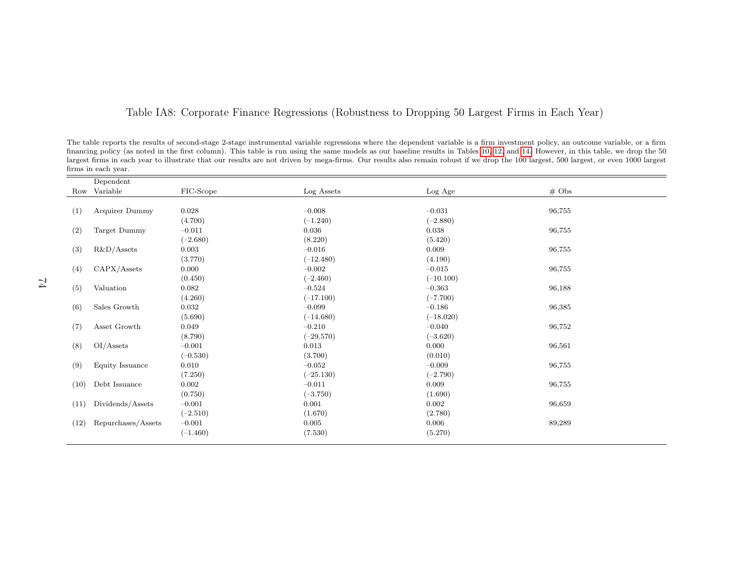## Table IA8: Corporate Finance Regressions (Robustness to Dropping <sup>50</sup> Largest Firms in Each Year)

The table reports the results of second-stage 2-stage instrumental variable regressions where the dependent variable is <sup>a</sup> firm investment policy, an outcome variable, or <sup>a</sup> firm financing policy (as noted in the first column). This table is run using the same models as our baseline results in Tables [10,](#page-49-0) [12,](#page-51-0) and [14.](#page-53-0) However, in this table, we drop the <sup>50</sup> largest firms in each year to illustrate that our results are not driven by mega-firms. Our results also remain robust if we drop the 100 largest, 500 largest, or even 1000 largestfirms in each year.

|      | Dependent          |            |             |             |                   |
|------|--------------------|------------|-------------|-------------|-------------------|
|      | Row Variable       | FIC-Scope  | Log Assets  | Log Age     | $# \; \text{Obs}$ |
|      |                    |            |             |             |                   |
| (1)  | Acquirer Dummy     | 0.028      | $-0.008$    | $-0.031$    | 96,755            |
|      |                    | (4.700)    | $(-1.240)$  | $(-2.880)$  |                   |
| (2)  | Target Dummy       | $-0.011$   | 0.036       | 0.038       | 96,755            |
|      |                    | $(-2.680)$ | (8.220)     | (5.420)     |                   |
| (3)  | $R&D/A$ ssets      | 0.003      | $-0.016$    | 0.009       | 96,755            |
|      |                    | (3.770)    | $(-12.480)$ | (4.190)     |                   |
| (4)  | CAPX/Assets        | 0.000      | $-0.002$    | $-0.015$    | 96,755            |
|      |                    | (0.450)    | $(-2.460)$  | $(-10.100)$ |                   |
| (5)  | Valuation          | 0.082      | $-0.524$    | $-0.363$    | 96,188            |
|      |                    | (4.260)    | $(-17.100)$ | $(-7.700)$  |                   |
| (6)  | Sales Growth       | 0.032      | $-0.099$    | $-0.186$    | 96,385            |
|      |                    | (5.690)    | $(-14.680)$ | $(-18.020)$ |                   |
| (7)  | Asset Growth       | 0.049      | $-0.210$    | $-0.040$    | 96,752            |
|      |                    | (8.790)    | $(-29.570)$ | $(-3.620)$  |                   |
| (8)  | OI/Assets          | $-0.001$   | 0.013       | 0.000       | 96,561            |
|      |                    | $(-0.530)$ | (3.700)     | (0.010)     |                   |
| (9)  | Equity Issuance    | 0.010      | $-0.052$    | $-0.009$    | 96,755            |
|      |                    | (7.250)    | $(-25.130)$ | $(-2.790)$  |                   |
| (10) | Debt Issuance      | 0.002      | $-0.011$    | 0.009       | 96,755            |
|      |                    | (0.750)    | $(-3.750)$  | (1.690)     |                   |
| (11) | Dividends/Assets   | $-0.001$   | 0.001       | 0.002       | 96,659            |
|      |                    | $(-2.510)$ | (1.670)     | (2.780)     |                   |
| (12) | Repurchases/Assets | $-0.001$   | 0.005       | 0.006       | 89,289            |
|      |                    | $(-1.460)$ | (7.530)     | (5.270)     |                   |
|      |                    |            |             |             |                   |